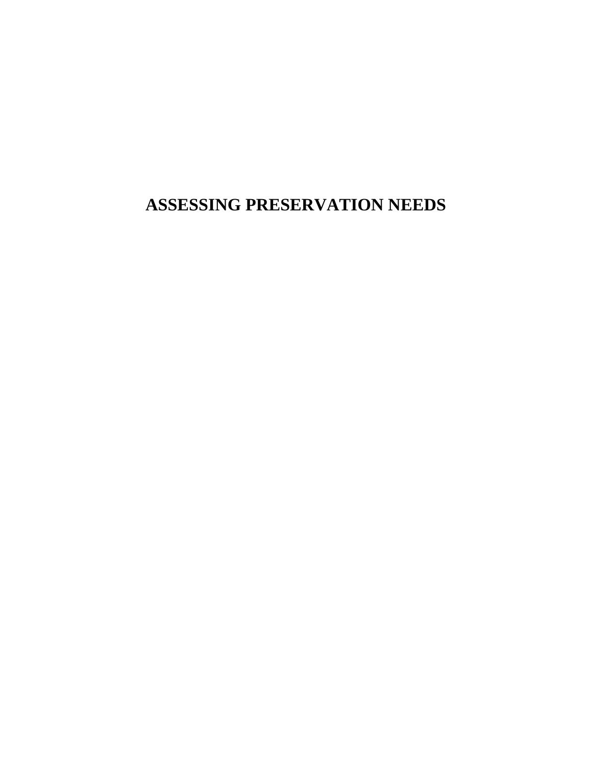**ASSESSING PRESERVATION NEEDS**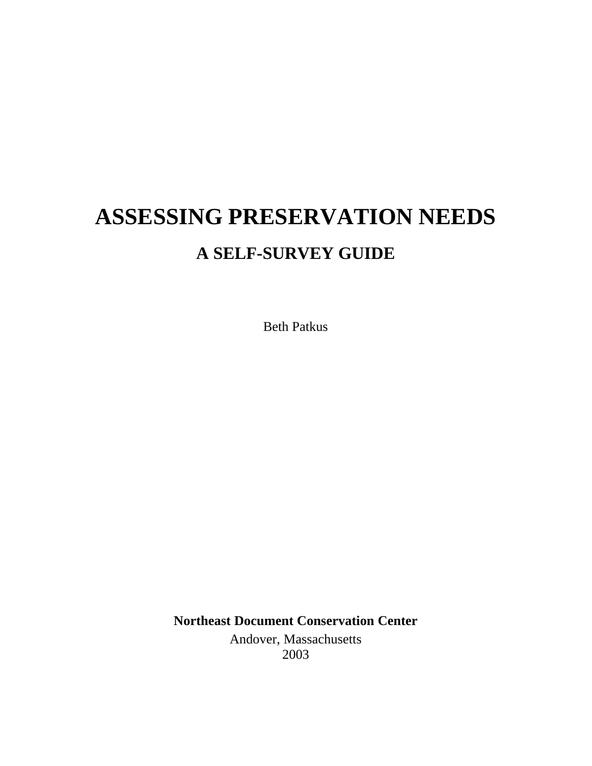# **ASSESSING PRESERVATION NEEDS A SELF-SURVEY GUIDE**

Beth Patkus

**Northeast Document Conservation Center** Andover, Massachusetts 2003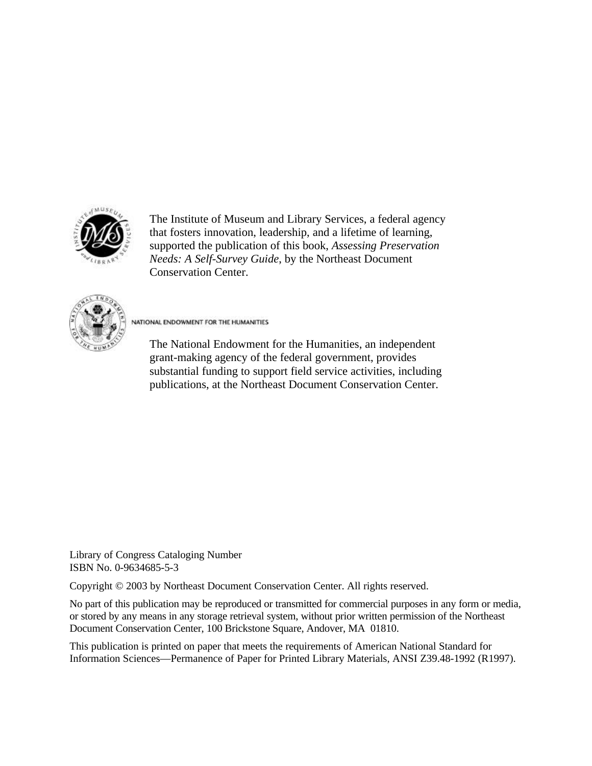

The Institute of Museum and Library Services, a federal agency that fosters innovation, leadership, and a lifetime of learning, supported the publication of this book, *Assessing Preservation Needs: A Self-Survey Guide*, by the Northeast Document Conservation Center.



NATIONAL ENDOWMENT FOR THE HUMANITIES

The National Endowment for the Humanities, an independent grant-making agency of the federal government, provides substantial funding to support field service activities, including publications, at the Northeast Document Conservation Center.

Library of Congress Cataloging Number ISBN No. 0-9634685-5-3

Copyright © 2003 by Northeast Document Conservation Center. All rights reserved.

No part of this publication may be reproduced or transmitted for commercial purposes in any form or media, or stored by any means in any storage retrieval system, without prior written permission of the Northeast Document Conservation Center, 100 Brickstone Square, Andover, MA 01810.

This publication is printed on paper that meets the requirements of American National Standard for Information Sciences—Permanence of Paper for Printed Library Materials, ANSI Z39.48-1992 (R1997).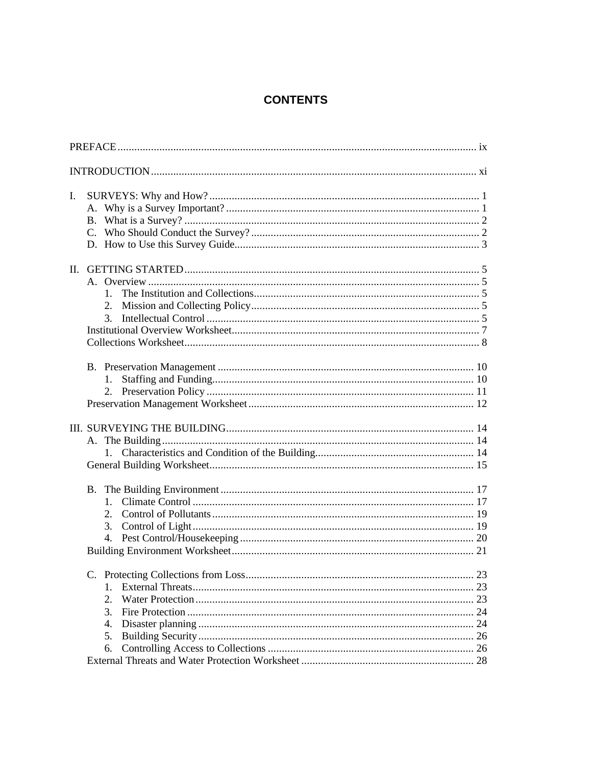# **CONTENTS**

| L.                                          |  |  |  |
|---------------------------------------------|--|--|--|
| $1_{-}$<br>2.<br>3.<br>$1_{\cdot}$<br>2.    |  |  |  |
|                                             |  |  |  |
| $1_{-}$<br>2.<br>3.                         |  |  |  |
| 23<br>$1_{-}$<br>2.<br>3.<br>4.<br>5.<br>6. |  |  |  |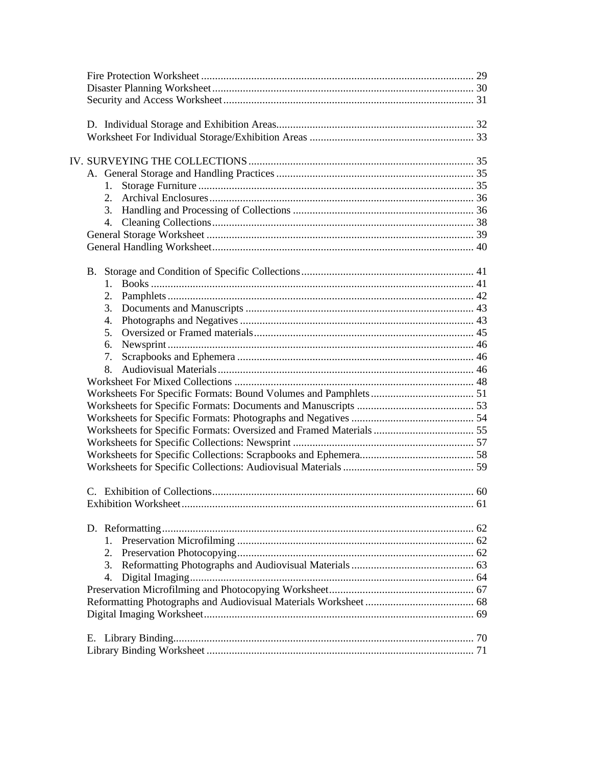| 1.      |  |
|---------|--|
| 2.      |  |
|         |  |
|         |  |
|         |  |
|         |  |
|         |  |
| $1_{-}$ |  |
| 2.      |  |
| 3.      |  |
| 4.      |  |
| 5.      |  |
| 6.      |  |
| 7.      |  |
| 8.      |  |
|         |  |
|         |  |
|         |  |
|         |  |
|         |  |
|         |  |
|         |  |
|         |  |
|         |  |
|         |  |
|         |  |
|         |  |
| $1_{-}$ |  |
| 2.      |  |
| 3.      |  |
| 4.      |  |
|         |  |
|         |  |
|         |  |
|         |  |
|         |  |
|         |  |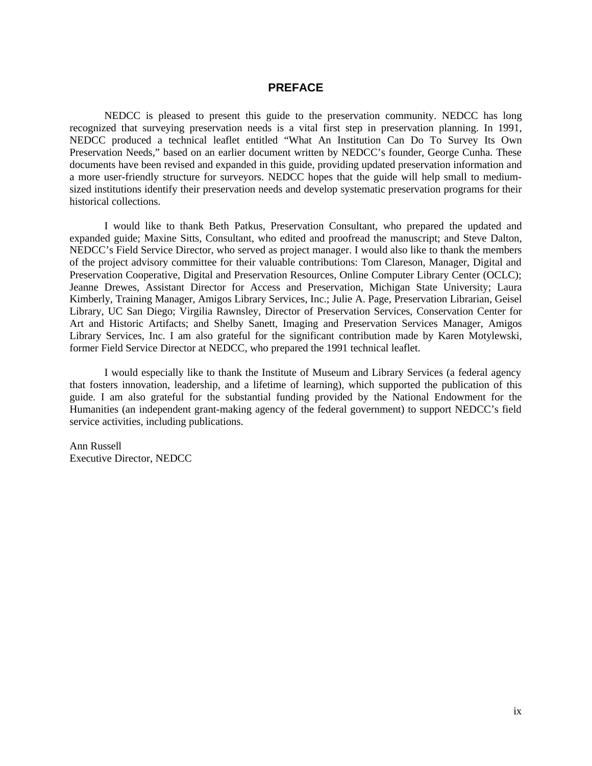# **PREFACE**

NEDCC is pleased to present this guide to the preservation community. NEDCC has long recognized that surveying preservation needs is a vital first step in preservation planning. In 1991, NEDCC produced a technical leaflet entitled "What An Institution Can Do To Survey Its Own Preservation Needs," based on an earlier document written by NEDCC's founder, George Cunha. These documents have been revised and expanded in this guide, providing updated preservation information and a more user-friendly structure for surveyors. NEDCC hopes that the guide will help small to mediumsized institutions identify their preservation needs and develop systematic preservation programs for their historical collections.

I would like to thank Beth Patkus, Preservation Consultant, who prepared the updated and expanded guide; Maxine Sitts, Consultant, who edited and proofread the manuscript; and Steve Dalton, NEDCC's Field Service Director, who served as project manager. I would also like to thank the members of the project advisory committee for their valuable contributions: Tom Clareson, Manager, Digital and Preservation Cooperative, Digital and Preservation Resources, Online Computer Library Center (OCLC); Jeanne Drewes, Assistant Director for Access and Preservation, Michigan State University; Laura Kimberly, Training Manager, Amigos Library Services, Inc.; Julie A. Page, Preservation Librarian, Geisel Library, UC San Diego; Virgilia Rawnsley, Director of Preservation Services, Conservation Center for Art and Historic Artifacts; and Shelby Sanett, Imaging and Preservation Services Manager, Amigos Library Services, Inc. I am also grateful for the significant contribution made by Karen Motylewski, former Field Service Director at NEDCC, who prepared the 1991 technical leaflet.

I would especially like to thank the Institute of Museum and Library Services (a federal agency that fosters innovation, leadership, and a lifetime of learning), which supported the publication of this guide. I am also grateful for the substantial funding provided by the National Endowment for the Humanities (an independent grant-making agency of the federal government) to support NEDCC's field service activities, including publications.

Ann Russell Executive Director, NEDCC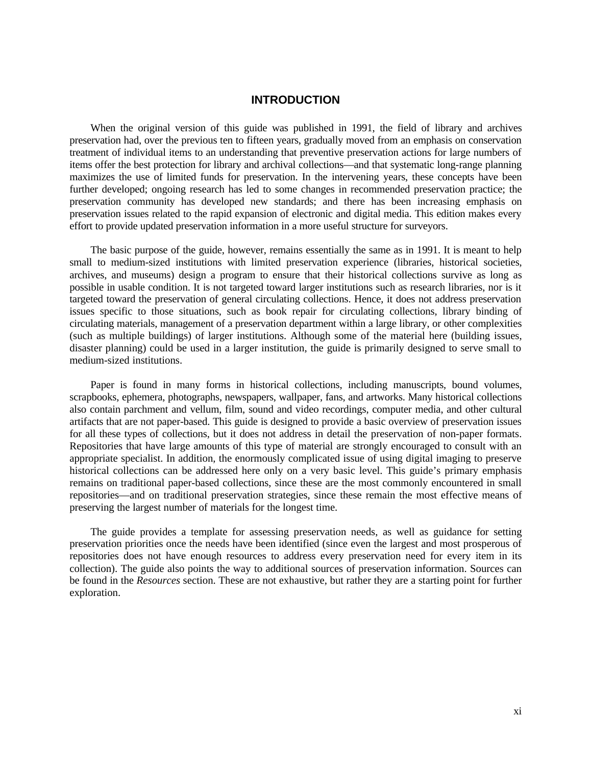#### **INTRODUCTION**

When the original version of this guide was published in 1991, the field of library and archives preservation had, over the previous ten to fifteen years, gradually moved from an emphasis on conservation treatment of individual items to an understanding that preventive preservation actions for large numbers of items offer the best protection for library and archival collections—and that systematic long-range planning maximizes the use of limited funds for preservation. In the intervening years, these concepts have been further developed; ongoing research has led to some changes in recommended preservation practice; the preservation community has developed new standards; and there has been increasing emphasis on preservation issues related to the rapid expansion of electronic and digital media. This edition makes every effort to provide updated preservation information in a more useful structure for surveyors.

The basic purpose of the guide, however, remains essentially the same as in 1991. It is meant to help small to medium-sized institutions with limited preservation experience (libraries, historical societies, archives, and museums) design a program to ensure that their historical collections survive as long as possible in usable condition. It is not targeted toward larger institutions such as research libraries, nor is it targeted toward the preservation of general circulating collections. Hence, it does not address preservation issues specific to those situations, such as book repair for circulating collections, library binding of circulating materials, management of a preservation department within a large library, or other complexities (such as multiple buildings) of larger institutions. Although some of the material here (building issues, disaster planning) could be used in a larger institution, the guide is primarily designed to serve small to medium-sized institutions.

Paper is found in many forms in historical collections, including manuscripts, bound volumes, scrapbooks, ephemera, photographs, newspapers, wallpaper, fans, and artworks. Many historical collections also contain parchment and vellum, film, sound and video recordings, computer media, and other cultural artifacts that are not paper-based. This guide is designed to provide a basic overview of preservation issues for all these types of collections, but it does not address in detail the preservation of non-paper formats. Repositories that have large amounts of this type of material are strongly encouraged to consult with an appropriate specialist. In addition, the enormously complicated issue of using digital imaging to preserve historical collections can be addressed here only on a very basic level. This guide's primary emphasis remains on traditional paper-based collections, since these are the most commonly encountered in small repositories—and on traditional preservation strategies, since these remain the most effective means of preserving the largest number of materials for the longest time.

The guide provides a template for assessing preservation needs, as well as guidance for setting preservation priorities once the needs have been identified (since even the largest and most prosperous of repositories does not have enough resources to address every preservation need for every item in its collection). The guide also points the way to additional sources of preservation information. Sources can be found in the *Resources* section. These are not exhaustive, but rather they are a starting point for further exploration.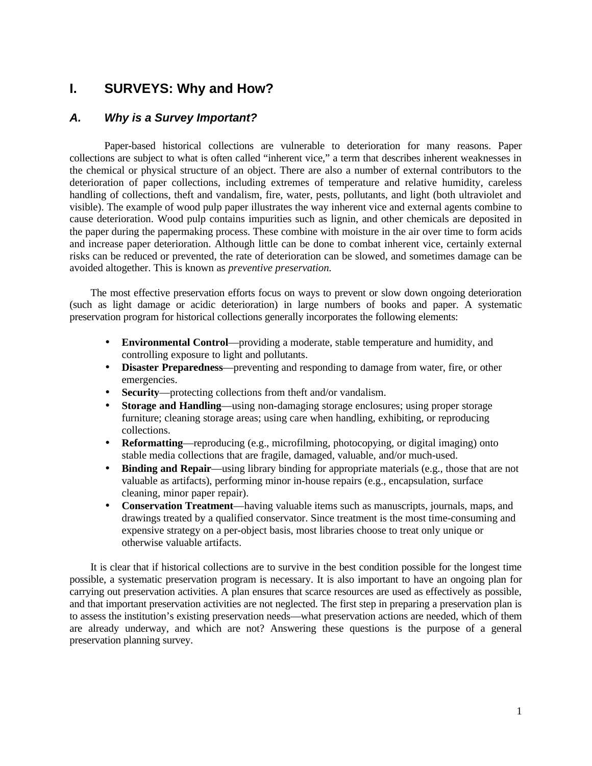# **I. SURVEYS: Why and How?**

# *A. Why is a Survey Important?*

Paper-based historical collections are vulnerable to deterioration for many reasons. Paper collections are subject to what is often called "inherent vice," a term that describes inherent weaknesses in the chemical or physical structure of an object. There are also a number of external contributors to the deterioration of paper collections, including extremes of temperature and relative humidity, careless handling of collections, theft and vandalism, fire, water, pests, pollutants, and light (both ultraviolet and visible). The example of wood pulp paper illustrates the way inherent vice and external agents combine to cause deterioration. Wood pulp contains impurities such as lignin, and other chemicals are deposited in the paper during the papermaking process. These combine with moisture in the air over time to form acids and increase paper deterioration. Although little can be done to combat inherent vice, certainly external risks can be reduced or prevented, the rate of deterioration can be slowed, and sometimes damage can be avoided altogether. This is known as *preventive preservation.*

The most effective preservation efforts focus on ways to prevent or slow down ongoing deterioration (such as light damage or acidic deterioration) in large numbers of books and paper. A systematic preservation program for historical collections generally incorporates the following elements:

- **Environmental Control**—providing a moderate, stable temperature and humidity, and controlling exposure to light and pollutants.
- **Disaster Preparedness**—preventing and responding to damage from water, fire, or other emergencies.
- **Security**—protecting collections from theft and/or vandalism.
- **Storage and Handling**—using non-damaging storage enclosures; using proper storage furniture; cleaning storage areas; using care when handling, exhibiting, or reproducing collections.
- **Reformatting**—reproducing (e.g., microfilming, photocopying, or digital imaging) onto stable media collections that are fragile, damaged, valuable, and/or much-used.
- **Binding and Repair**—using library binding for appropriate materials (e.g., those that are not valuable as artifacts), performing minor in-house repairs (e.g., encapsulation, surface cleaning, minor paper repair).
- **Conservation Treatment**—having valuable items such as manuscripts, journals, maps, and drawings treated by a qualified conservator. Since treatment is the most time-consuming and expensive strategy on a per-object basis, most libraries choose to treat only unique or otherwise valuable artifacts.

It is clear that if historical collections are to survive in the best condition possible for the longest time possible, a systematic preservation program is necessary. It is also important to have an ongoing plan for carrying out preservation activities. A plan ensures that scarce resources are used as effectively as possible, and that important preservation activities are not neglected. The first step in preparing a preservation plan is to assess the institution's existing preservation needs—what preservation actions are needed, which of them are already underway, and which are not? Answering these questions is the purpose of a general preservation planning survey.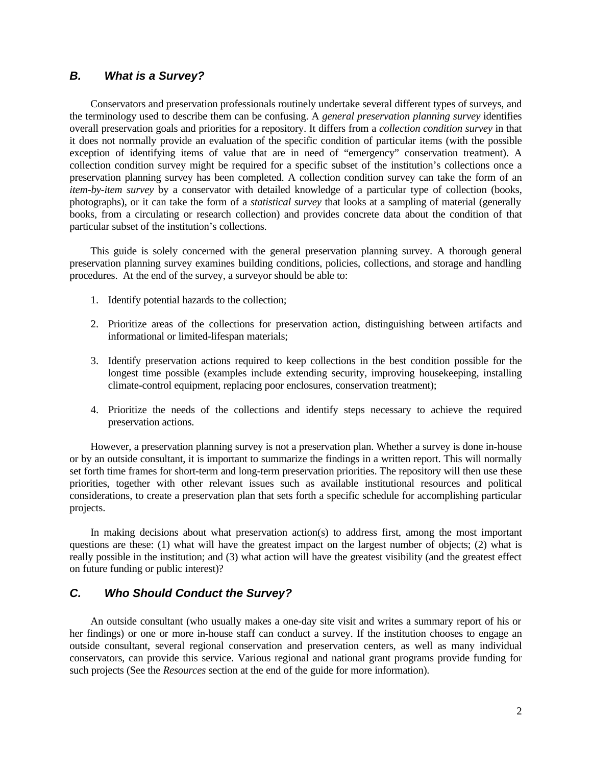# *B. What is a Survey?*

Conservators and preservation professionals routinely undertake several different types of surveys, and the terminology used to describe them can be confusing. A *general preservation planning survey* identifies overall preservation goals and priorities for a repository. It differs from a *collection condition survey* in that it does not normally provide an evaluation of the specific condition of particular items (with the possible exception of identifying items of value that are in need of "emergency" conservation treatment). A collection condition survey might be required for a specific subset of the institution's collections once a preservation planning survey has been completed. A collection condition survey can take the form of an *item-by-item survey* by a conservator with detailed knowledge of a particular type of collection (books, photographs), or it can take the form of a *statistical survey* that looks at a sampling of material (generally books, from a circulating or research collection) and provides concrete data about the condition of that particular subset of the institution's collections.

This guide is solely concerned with the general preservation planning survey. A thorough general preservation planning survey examines building conditions, policies, collections, and storage and handling procedures. At the end of the survey, a surveyor should be able to:

- 1. Identify potential hazards to the collection;
- 2. Prioritize areas of the collections for preservation action, distinguishing between artifacts and informational or limited-lifespan materials;
- 3. Identify preservation actions required to keep collections in the best condition possible for the longest time possible (examples include extending security, improving housekeeping, installing climate-control equipment, replacing poor enclosures, conservation treatment);
- 4. Prioritize the needs of the collections and identify steps necessary to achieve the required preservation actions.

However, a preservation planning survey is not a preservation plan. Whether a survey is done in-house or by an outside consultant, it is important to summarize the findings in a written report. This will normally set forth time frames for short-term and long-term preservation priorities. The repository will then use these priorities, together with other relevant issues such as available institutional resources and political considerations, to create a preservation plan that sets forth a specific schedule for accomplishing particular projects.

In making decisions about what preservation action(s) to address first, among the most important questions are these: (1) what will have the greatest impact on the largest number of objects; (2) what is really possible in the institution; and (3) what action will have the greatest visibility (and the greatest effect on future funding or public interest)?

# *C. Who Should Conduct the Survey?*

An outside consultant (who usually makes a one-day site visit and writes a summary report of his or her findings) or one or more in-house staff can conduct a survey. If the institution chooses to engage an outside consultant, several regional conservation and preservation centers, as well as many individual conservators, can provide this service. Various regional and national grant programs provide funding for such projects (See the *Resources* section at the end of the guide for more information).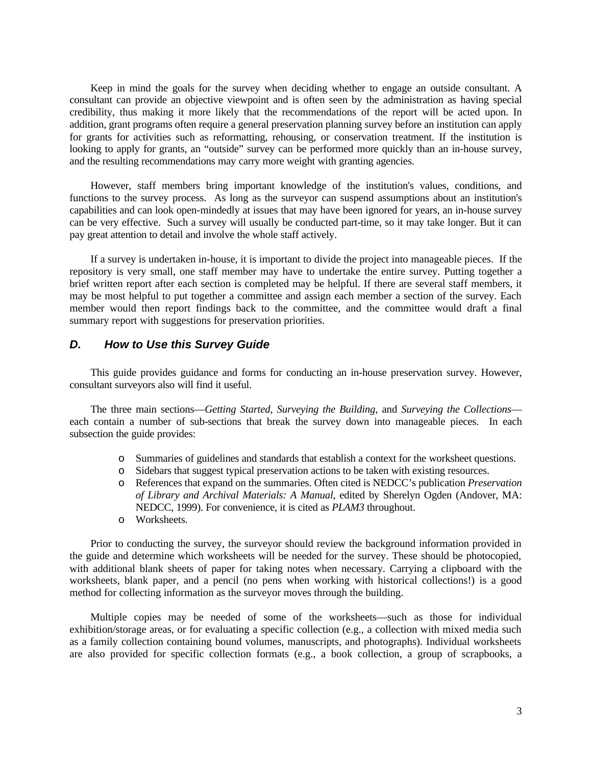Keep in mind the goals for the survey when deciding whether to engage an outside consultant. A consultant can provide an objective viewpoint and is often seen by the administration as having special credibility, thus making it more likely that the recommendations of the report will be acted upon. In addition, grant programs often require a general preservation planning survey before an institution can apply for grants for activities such as reformatting, rehousing, or conservation treatment. If the institution is looking to apply for grants, an "outside" survey can be performed more quickly than an in-house survey, and the resulting recommendations may carry more weight with granting agencies.

However, staff members bring important knowledge of the institution's values, conditions, and functions to the survey process. As long as the surveyor can suspend assumptions about an institution's capabilities and can look open-mindedly at issues that may have been ignored for years, an in-house survey can be very effective. Such a survey will usually be conducted part-time, so it may take longer. But it can pay great attention to detail and involve the whole staff actively.

If a survey is undertaken in-house, it is important to divide the project into manageable pieces. If the repository is very small, one staff member may have to undertake the entire survey. Putting together a brief written report after each section is completed may be helpful. If there are several staff members, it may be most helpful to put together a committee and assign each member a section of the survey. Each member would then report findings back to the committee, and the committee would draft a final summary report with suggestions for preservation priorities.

# *D. How to Use this Survey Guide*

This guide provides guidance and forms for conducting an in-house preservation survey. However, consultant surveyors also will find it useful.

The three main sections—*Getting Started*, *Surveying the Building*, and *Surveying the Collections* each contain a number of sub-sections that break the survey down into manageable pieces. In each subsection the guide provides:

- o Summaries of guidelines and standards that establish a context for the worksheet questions.
- o Sidebars that suggest typical preservation actions to be taken with existing resources.
- o References that expand on the summaries. Often cited is NEDCC's publication *Preservation of Library and Archival Materials: A Manual*, edited by Sherelyn Ogden (Andover, MA: NEDCC, 1999). For convenience, it is cited as *PLAM3* throughout.
- o Worksheets.

Prior to conducting the survey, the surveyor should review the background information provided in the guide and determine which worksheets will be needed for the survey. These should be photocopied, with additional blank sheets of paper for taking notes when necessary. Carrying a clipboard with the worksheets, blank paper, and a pencil (no pens when working with historical collections!) is a good method for collecting information as the surveyor moves through the building.

Multiple copies may be needed of some of the worksheets—such as those for individual exhibition/storage areas, or for evaluating a specific collection (e.g., a collection with mixed media such as a family collection containing bound volumes, manuscripts, and photographs). Individual worksheets are also provided for specific collection formats (e.g., a book collection, a group of scrapbooks, a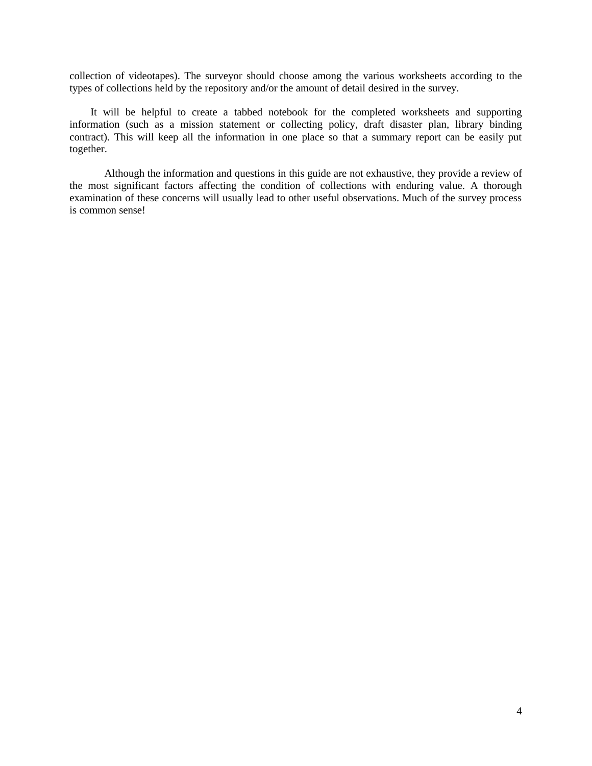collection of videotapes). The surveyor should choose among the various worksheets according to the types of collections held by the repository and/or the amount of detail desired in the survey.

It will be helpful to create a tabbed notebook for the completed worksheets and supporting information (such as a mission statement or collecting policy, draft disaster plan, library binding contract). This will keep all the information in one place so that a summary report can be easily put together.

Although the information and questions in this guide are not exhaustive, they provide a review of the most significant factors affecting the condition of collections with enduring value. A thorough examination of these concerns will usually lead to other useful observations. Much of the survey process is common sense!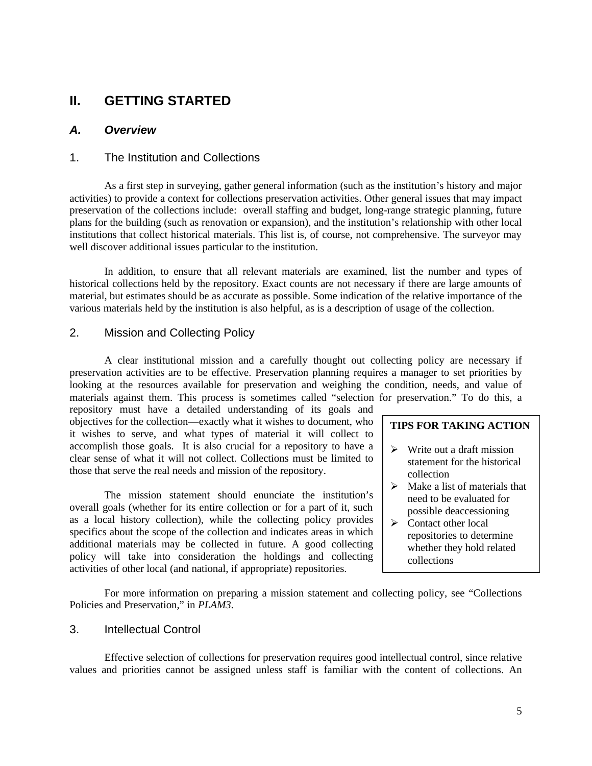# **II. GETTING STARTED**

# *A. Overview*

## 1. The Institution and Collections

As a first step in surveying, gather general information (such as the institution's history and major activities) to provide a context for collections preservation activities. Other general issues that may impact preservation of the collections include: overall staffing and budget, long-range strategic planning, future plans for the building (such as renovation or expansion), and the institution's relationship with other local institutions that collect historical materials. This list is, of course, not comprehensive. The surveyor may well discover additional issues particular to the institution.

In addition, to ensure that all relevant materials are examined, list the number and types of historical collections held by the repository. Exact counts are not necessary if there are large amounts of material, but estimates should be as accurate as possible. Some indication of the relative importance of the various materials held by the institution is also helpful, as is a description of usage of the collection.

# 2. Mission and Collecting Policy

A clear institutional mission and a carefully thought out collecting policy are necessary if preservation activities are to be effective. Preservation planning requires a manager to set priorities by looking at the resources available for preservation and weighing the condition, needs, and value of materials against them. This process is sometimes called "selection for preservation." To do this, a

repository must have a detailed understanding of its goals and objectives for the collection—exactly what it wishes to document, who it wishes to serve, and what types of material it will collect to accomplish those goals. It is also crucial for a repository to have a clear sense of what it will not collect. Collections must be limited to those that serve the real needs and mission of the repository.

The mission statement should enunciate the institution's overall goals (whether for its entire collection or for a part of it, such as a local history collection), while the collecting policy provides specifics about the scope of the collection and indicates areas in which additional materials may be collected in future. A good collecting policy will take into consideration the holdings and collecting activities of other local (and national, if appropriate) repositories.

#### **TIPS FOR TAKING ACTION**

- $\triangleright$  Write out a draft mission statement for the historical collection
- $\triangleright$  Make a list of materials that need to be evaluated for possible deaccessioning
- $\triangleright$  Contact other local repositories to determine whether they hold related collections

For more information on preparing a mission statement and collecting policy, see "Collections Policies and Preservation," in *PLAM3*.

#### 3. Intellectual Control

Effective selection of collections for preservation requires good intellectual control, since relative values and priorities cannot be assigned unless staff is familiar with the content of collections. An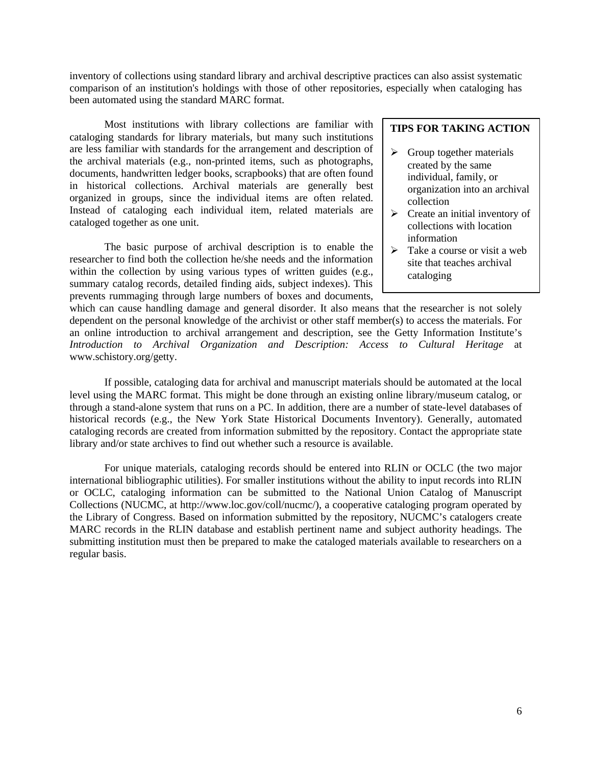inventory of collections using standard library and archival descriptive practices can also assist systematic comparison of an institution's holdings with those of other repositories, especially when cataloging has been automated using the standard MARC format.

Most institutions with library collections are familiar with cataloging standards for library materials, but many such institutions are less familiar with standards for the arrangement and description of the archival materials (e.g., non-printed items, such as photographs, documents, handwritten ledger books, scrapbooks) that are often found in historical collections. Archival materials are generally best organized in groups, since the individual items are often related. Instead of cataloging each individual item, related materials are cataloged together as one unit.

The basic purpose of archival description is to enable the researcher to find both the collection he/she needs and the information within the collection by using various types of written guides (e.g., summary catalog records, detailed finding aids, subject indexes). This prevents rummaging through large numbers of boxes and documents,

# **TIPS FOR TAKING ACTION**

- $\triangleright$  Group together materials created by the same individual, family, or organization into an archival collection
- $\triangleright$  Create an initial inventory of collections with location information
- $\triangleright$  Take a course or visit a web site that teaches archival cataloging

which can cause handling damage and general disorder. It also means that the researcher is not solely dependent on the personal knowledge of the archivist or other staff member(s) to access the materials. For an online introduction to archival arrangement and description, see the Getty Information Institute's *Introduction to Archival Organization and Description: Access to Cultural Heritage* at www.schistory.org/getty.

If possible, cataloging data for archival and manuscript materials should be automated at the local level using the MARC format. This might be done through an existing online library/museum catalog, or through a stand-alone system that runs on a PC. In addition, there are a number of state-level databases of historical records (e.g., the New York State Historical Documents Inventory). Generally, automated cataloging records are created from information submitted by the repository. Contact the appropriate state library and/or state archives to find out whether such a resource is available.

For unique materials, cataloging records should be entered into RLIN or OCLC (the two major international bibliographic utilities). For smaller institutions without the ability to input records into RLIN or OCLC, cataloging information can be submitted to the National Union Catalog of Manuscript Collections (NUCMC, at http://www.loc.gov/coll/nucmc/), a cooperative cataloging program operated by the Library of Congress. Based on information submitted by the repository, NUCMC's catalogers create MARC records in the RLIN database and establish pertinent name and subject authority headings. The submitting institution must then be prepared to make the cataloged materials available to researchers on a regular basis.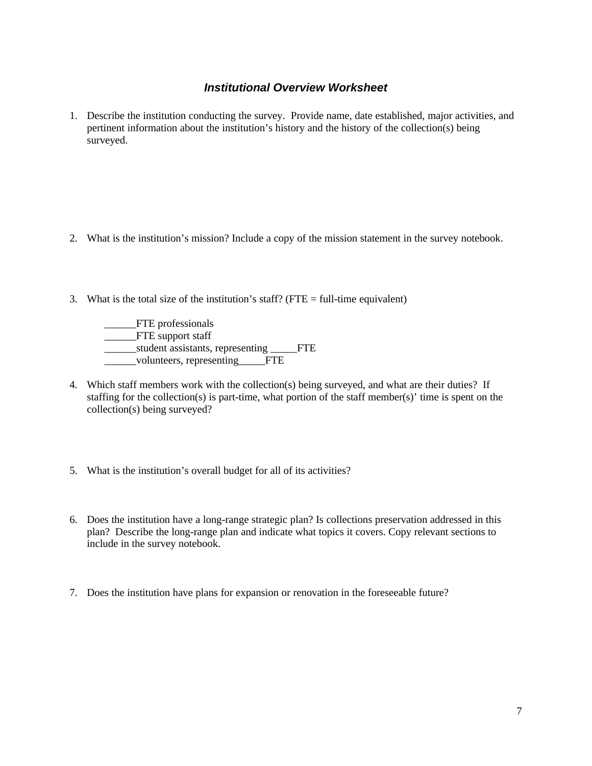# *Institutional Overview Worksheet*

1. Describe the institution conducting the survey. Provide name, date established, major activities, and pertinent information about the institution's history and the history of the collection(s) being surveyed.

- 2. What is the institution's mission? Include a copy of the mission statement in the survey notebook.
- 3. What is the total size of the institution's staff? (FTE  $=$  full-time equivalent)

\_\_\_\_\_\_FTE professionals \_\_\_\_\_FTE support staff \_\_\_\_\_\_student assistants, representing \_\_\_\_\_FTE \_\_\_\_\_\_volunteers, representing\_\_\_\_\_FTE

- 4. Which staff members work with the collection(s) being surveyed, and what are their duties? If staffing for the collection(s) is part-time, what portion of the staff member(s)' time is spent on the collection(s) being surveyed?
- 5. What is the institution's overall budget for all of its activities?
- 6. Does the institution have a long-range strategic plan? Is collections preservation addressed in this plan?Describe the long-range plan and indicate what topics it covers. Copy relevant sections to include in the survey notebook.
- 7. Does the institution have plans for expansion or renovation in the foreseeable future?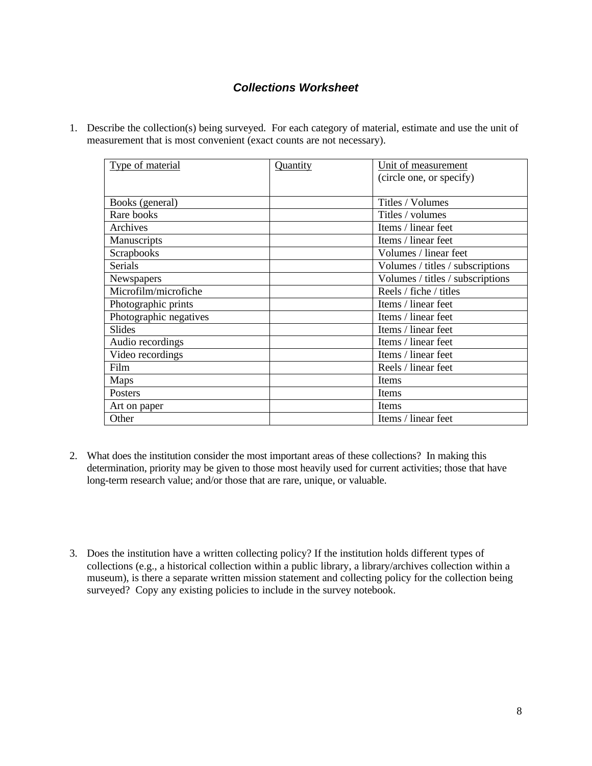# *Collections Worksheet*

1. Describe the collection(s) being surveyed. For each category of material, estimate and use the unit of measurement that is most convenient (exact counts are not necessary).

| Type of material       | Quantity | Unit of measurement              |
|------------------------|----------|----------------------------------|
|                        |          | (circle one, or specify)         |
|                        |          |                                  |
| Books (general)        |          | Titles / Volumes                 |
| Rare books             |          | Titles / volumes                 |
| Archives               |          | Items / linear feet              |
| Manuscripts            |          | Items / linear feet              |
| Scrapbooks             |          | Volumes / linear feet            |
| <b>Serials</b>         |          | Volumes / titles / subscriptions |
| Newspapers             |          | Volumes / titles / subscriptions |
| Microfilm/microfiche   |          | Reels / fiche / titles           |
| Photographic prints    |          | Items / linear feet              |
| Photographic negatives |          | Items / linear feet              |
| Slides                 |          | Items / linear feet              |
| Audio recordings       |          | Items / linear feet              |
| Video recordings       |          | Items / linear feet              |
| Film                   |          | Reels / linear feet              |
| Maps                   |          | Items                            |
| Posters                |          | Items                            |
| Art on paper           |          | Items                            |
| Other                  |          | Items / linear feet              |

- 2. What does the institution consider the most important areas of these collections? In making this determination, priority may be given to those most heavily used for current activities; those that have long-term research value; and/or those that are rare, unique, or valuable.
- 3. Does the institution have a written collecting policy? If the institution holds different types of collections (e.g., a historical collection within a public library, a library/archives collection within a museum), is there a separate written mission statement and collecting policy for the collection being surveyed? Copy any existing policies to include in the survey notebook.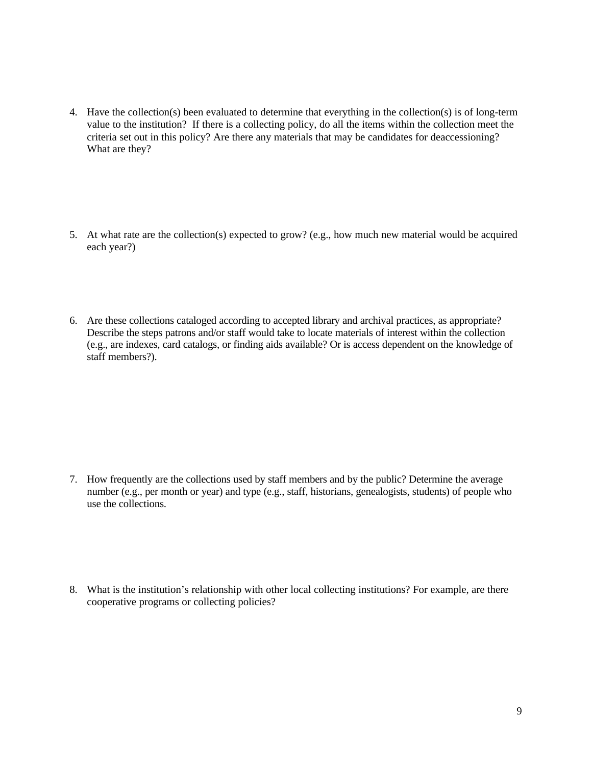- 4. Have the collection(s) been evaluated to determine that everything in the collection(s) is of long-term value to the institution?If there is a collecting policy, do all the items within the collection meet the criteria set out in this policy? Are there any materials that may be candidates for deaccessioning? What are they?
- 5. At what rate are the collection(s) expected to grow? (e.g., how much new material would be acquired each year?)
- 6. Are these collections cataloged according to accepted library and archival practices, as appropriate? Describe the steps patrons and/or staff would take to locate materials of interest within the collection (e.g., are indexes, card catalogs, or finding aids available? Or is access dependent on the knowledge of staff members?).

- 7. How frequently are the collections used by staff members and by the public? Determine the average number (e.g., per month or year) and type (e.g., staff, historians, genealogists, students) of people who use the collections.
- 8. What is the institution's relationship with other local collecting institutions? For example, are there cooperative programs or collecting policies?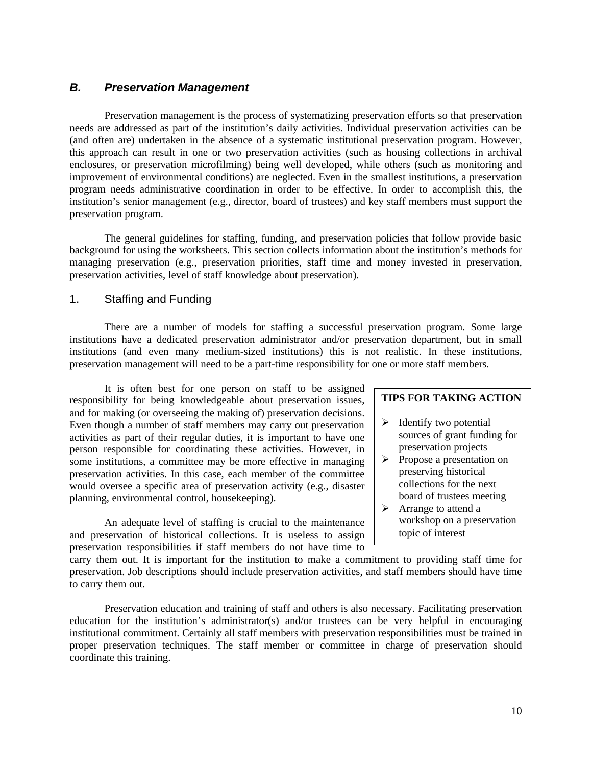# *B. Preservation Management*

Preservation management is the process of systematizing preservation efforts so that preservation needs are addressed as part of the institution's daily activities. Individual preservation activities can be (and often are) undertaken in the absence of a systematic institutional preservation program. However, this approach can result in one or two preservation activities (such as housing collections in archival enclosures, or preservation microfilming) being well developed, while others (such as monitoring and improvement of environmental conditions) are neglected. Even in the smallest institutions, a preservation program needs administrative coordination in order to be effective. In order to accomplish this, the institution's senior management (e.g., director, board of trustees) and key staff members must support the preservation program.

The general guidelines for staffing, funding, and preservation policies that follow provide basic background for using the worksheets. This section collects information about the institution's methods for managing preservation (e.g., preservation priorities, staff time and money invested in preservation, preservation activities, level of staff knowledge about preservation).

# 1. Staffing and Funding

There are a number of models for staffing a successful preservation program. Some large institutions have a dedicated preservation administrator and/or preservation department, but in small institutions (and even many medium-sized institutions) this is not realistic. In these institutions, preservation management will need to be a part-time responsibility for one or more staff members.

It is often best for one person on staff to be assigned responsibility for being knowledgeable about preservation issues, and for making (or overseeing the making of) preservation decisions. Even though a number of staff members may carry out preservation activities as part of their regular duties, it is important to have one person responsible for coordinating these activities. However, in some institutions, a committee may be more effective in managing preservation activities. In this case, each member of the committee would oversee a specific area of preservation activity (e.g., disaster planning, environmental control, housekeeping).

An adequate level of staffing is crucial to the maintenance and preservation of historical collections. It is useless to assign preservation responsibilities if staff members do not have time to

#### **TIPS FOR TAKING ACTION**

- $\triangleright$  Identify two potential sources of grant funding for preservation projects
- $\triangleright$  Propose a presentation on preserving historical collections for the next board of trustees meeting
- $\triangleright$  Arrange to attend a workshop on a preservation topic of interest

carry them out. It is important for the institution to make a commitment to providing staff time for preservation. Job descriptions should include preservation activities, and staff members should have time to carry them out.

Preservation education and training of staff and others is also necessary. Facilitating preservation education for the institution's administrator(s) and/or trustees can be very helpful in encouraging institutional commitment. Certainly all staff members with preservation responsibilities must be trained in proper preservation techniques. The staff member or committee in charge of preservation should coordinate this training.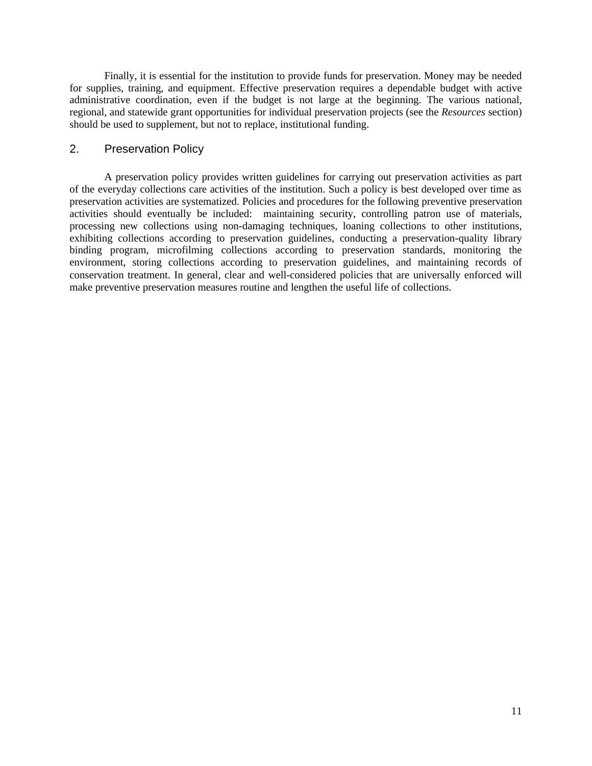Finally, it is essential for the institution to provide funds for preservation. Money may be needed for supplies, training, and equipment. Effective preservation requires a dependable budget with active administrative coordination, even if the budget is not large at the beginning. The various national, regional, and statewide grant opportunities for individual preservation projects (see the *Resources* section) should be used to supplement, but not to replace, institutional funding.

# 2. Preservation Policy

A preservation policy provides written guidelines for carrying out preservation activities as part of the everyday collections care activities of the institution. Such a policy is best developed over time as preservation activities are systematized. Policies and procedures for the following preventive preservation activities should eventually be included: maintaining security, controlling patron use of materials, processing new collections using non-damaging techniques, loaning collections to other institutions, exhibiting collections according to preservation guidelines, conducting a preservation-quality library binding program, microfilming collections according to preservation standards, monitoring the environment, storing collections according to preservation guidelines, and maintaining records of conservation treatment. In general, clear and well-considered policies that are universally enforced will make preventive preservation measures routine and lengthen the useful life of collections.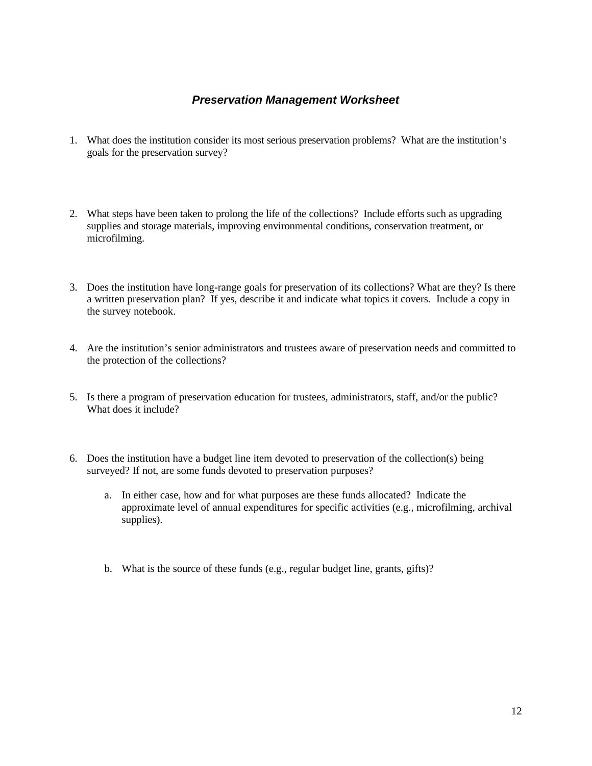# *Preservation Management Worksheet*

- 1. What does the institution consider its most serious preservation problems? What are the institution's goals for the preservation survey?
- 2. What steps have been taken to prolong the life of the collections? Include efforts such as upgrading supplies and storage materials, improving environmental conditions, conservation treatment, or microfilming.
- 3. Does the institution have long-range goals for preservation of its collections? What are they? Is there a written preservation plan?If yes, describe it and indicate what topics it covers. Include a copy in the survey notebook.
- 4. Are the institution's senior administrators and trustees aware of preservation needs and committed to the protection of the collections?
- 5. Is there a program of preservation education for trustees, administrators, staff, and/or the public? What does it include?
- 6. Does the institution have a budget line item devoted to preservation of the collection(s) being surveyed? If not, are some funds devoted to preservation purposes?
	- a. In either case, how and for what purposes are these funds allocated? Indicate the approximate level of annual expenditures for specific activities (e.g., microfilming, archival supplies).
	- b. What is the source of these funds (e.g., regular budget line, grants, gifts)?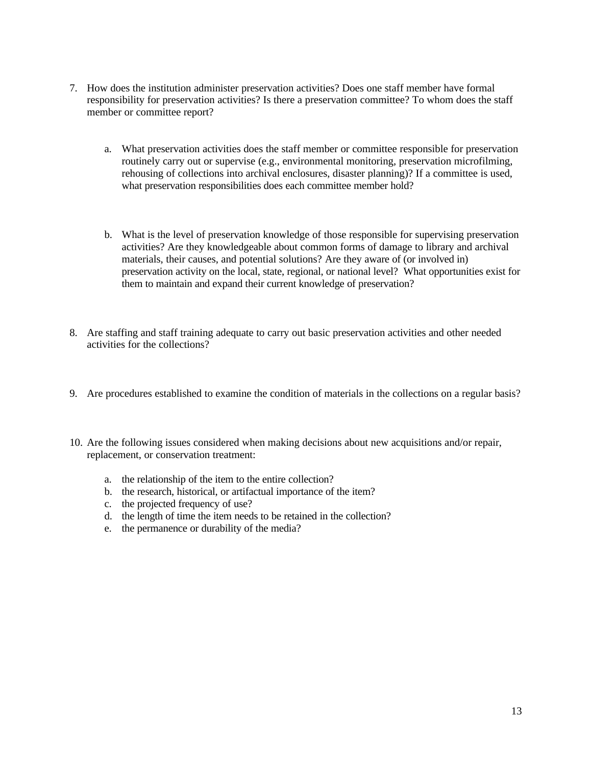- 7. How does the institution administer preservation activities? Does one staff member have formal responsibility for preservation activities? Is there a preservation committee? To whom does the staff member or committee report?
	- a. What preservation activities does the staff member or committee responsible for preservation routinely carry out or supervise (e.g., environmental monitoring, preservation microfilming, rehousing of collections into archival enclosures, disaster planning)? If a committee is used, what preservation responsibilities does each committee member hold?
	- b. What is the level of preservation knowledge of those responsible for supervising preservation activities? Are they knowledgeable about common forms of damage to library and archival materials, their causes, and potential solutions? Are they aware of (or involved in) preservation activity on the local, state, regional, or national level? What opportunities exist for them to maintain and expand their current knowledge of preservation?
- 8. Are staffing and staff training adequate to carry out basic preservation activities and other needed activities for the collections?
- 9. Are procedures established to examine the condition of materials in the collections on a regular basis?
- 10. Are the following issues considered when making decisions about new acquisitions and/or repair, replacement, or conservation treatment:
	- a. the relationship of the item to the entire collection?
	- b. the research, historical, or artifactual importance of the item?
	- c. the projected frequency of use?
	- d. the length of time the item needs to be retained in the collection?
	- e. the permanence or durability of the media?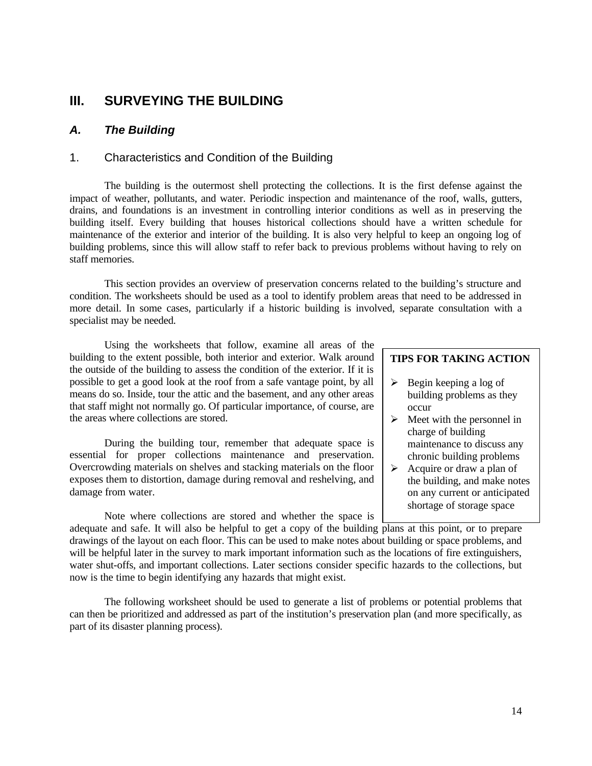# **III. SURVEYING THE BUILDING**

# *A. The Building*

# 1. Characteristics and Condition of the Building

The building is the outermost shell protecting the collections. It is the first defense against the impact of weather, pollutants, and water. Periodic inspection and maintenance of the roof, walls, gutters, drains, and foundations is an investment in controlling interior conditions as well as in preserving the building itself. Every building that houses historical collections should have a written schedule for maintenance of the exterior and interior of the building. It is also very helpful to keep an ongoing log of building problems, since this will allow staff to refer back to previous problems without having to rely on staff memories.

This section provides an overview of preservation concerns related to the building's structure and condition. The worksheets should be used as a tool to identify problem areas that need to be addressed in more detail. In some cases, particularly if a historic building is involved, separate consultation with a specialist may be needed.

Using the worksheets that follow, examine all areas of the building to the extent possible, both interior and exterior. Walk around the outside of the building to assess the condition of the exterior. If it is possible to get a good look at the roof from a safe vantage point, by all means do so. Inside, tour the attic and the basement, and any other areas that staff might not normally go. Of particular importance, of course, are the areas where collections are stored.

During the building tour, remember that adequate space is essential for proper collections maintenance and preservation. Overcrowding materials on shelves and stacking materials on the floor exposes them to distortion, damage during removal and reshelving, and damage from water.

Note where collections are stored and whether the space is

#### **TIPS FOR TAKING ACTION**

- $\triangleright$  Begin keeping a log of building problems as they occur
- $\triangleright$  Meet with the personnel in charge of building maintenance to discuss any chronic building problems
- $\triangleright$  Acquire or draw a plan of the building, and make notes on any current or anticipated shortage of storage space

adequate and safe. It will also be helpful to get a copy of the building plans at this point, or to prepare drawings of the layout on each floor. This can be used to make notes about building or space problems, and will be helpful later in the survey to mark important information such as the locations of fire extinguishers, water shut-offs, and important collections. Later sections consider specific hazards to the collections, but now is the time to begin identifying any hazards that might exist.

The following worksheet should be used to generate a list of problems or potential problems that can then be prioritized and addressed as part of the institution's preservation plan (and more specifically, as part of its disaster planning process).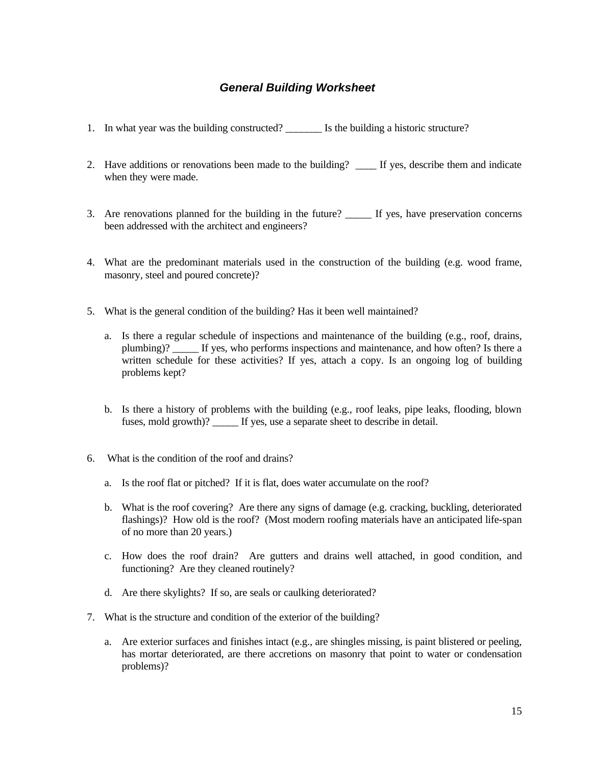# *General Building Worksheet*

- 1. In what year was the building constructed?  $\qquad \qquad$  Is the building a historic structure?
- 2. Have additions or renovations been made to the building? \_\_\_\_\_ If yes, describe them and indicate when they were made.
- 3. Are renovations planned for the building in the future? If yes, have preservation concerns been addressed with the architect and engineers?
- 4. What are the predominant materials used in the construction of the building (e.g. wood frame, masonry, steel and poured concrete)?
- 5. What is the general condition of the building? Has it been well maintained?
	- a. Is there a regular schedule of inspections and maintenance of the building (e.g., roof, drains, plumbing)? \_\_\_\_\_ If yes, who performs inspections and maintenance, and how often? Is there a written schedule for these activities? If yes, attach a copy. Is an ongoing log of building problems kept?
	- b. Is there a history of problems with the building (e.g., roof leaks, pipe leaks, flooding, blown fuses, mold growth)? If yes, use a separate sheet to describe in detail.
- 6. What is the condition of the roof and drains?
	- a. Is the roof flat or pitched? If it is flat, does water accumulate on the roof?
	- b. What is the roof covering? Are there any signs of damage (e.g. cracking, buckling, deteriorated flashings)? How old is the roof? (Most modern roofing materials have an anticipated life-span of no more than 20 years.)
	- c. How does the roof drain? Are gutters and drains well attached, in good condition, and functioning? Are they cleaned routinely?
	- d. Are there skylights? If so, are seals or caulking deteriorated?
- 7. What is the structure and condition of the exterior of the building?
	- a. Are exterior surfaces and finishes intact (e.g., are shingles missing, is paint blistered or peeling, has mortar deteriorated, are there accretions on masonry that point to water or condensation problems)?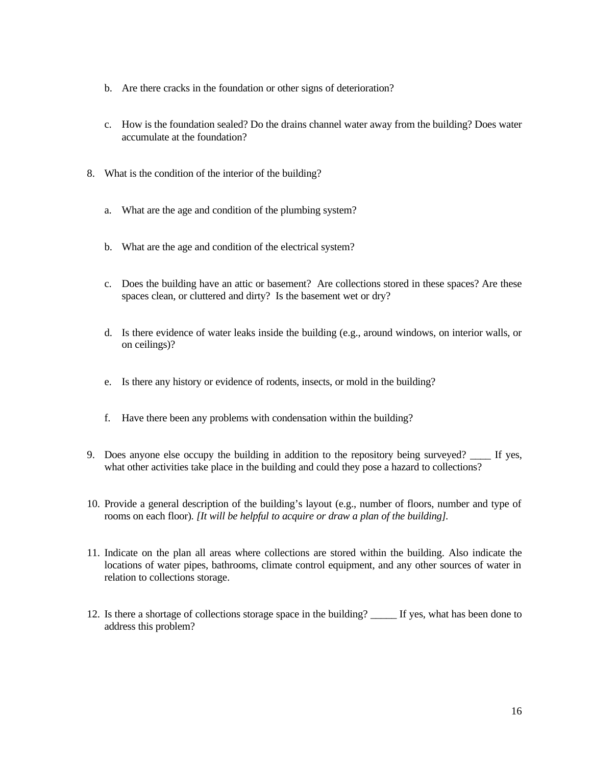- b. Are there cracks in the foundation or other signs of deterioration?
- c. How is the foundation sealed? Do the drains channel water away from the building? Does water accumulate at the foundation?
- 8. What is the condition of the interior of the building?
	- a. What are the age and condition of the plumbing system?
	- b. What are the age and condition of the electrical system?
	- c. Does the building have an attic or basement? Are collections stored in these spaces? Are these spaces clean, or cluttered and dirty? Is the basement wet or dry?
	- d. Is there evidence of water leaks inside the building (e.g., around windows, on interior walls, or on ceilings)?
	- e. Is there any history or evidence of rodents, insects, or mold in the building?
	- f. Have there been any problems with condensation within the building?
- 9. Does anyone else occupy the building in addition to the repository being surveyed? \_\_\_\_ If yes, what other activities take place in the building and could they pose a hazard to collections?
- 10. Provide a general description of the building's layout (e.g., number of floors, number and type of rooms on each floor). *[It will be helpful to acquire or draw a plan of the building].*
- 11. Indicate on the plan all areas where collections are stored within the building. Also indicate the locations of water pipes, bathrooms, climate control equipment, and any other sources of water in relation to collections storage.
- 12. Is there a shortage of collections storage space in the building? \_\_\_\_\_ If yes, what has been done to address this problem?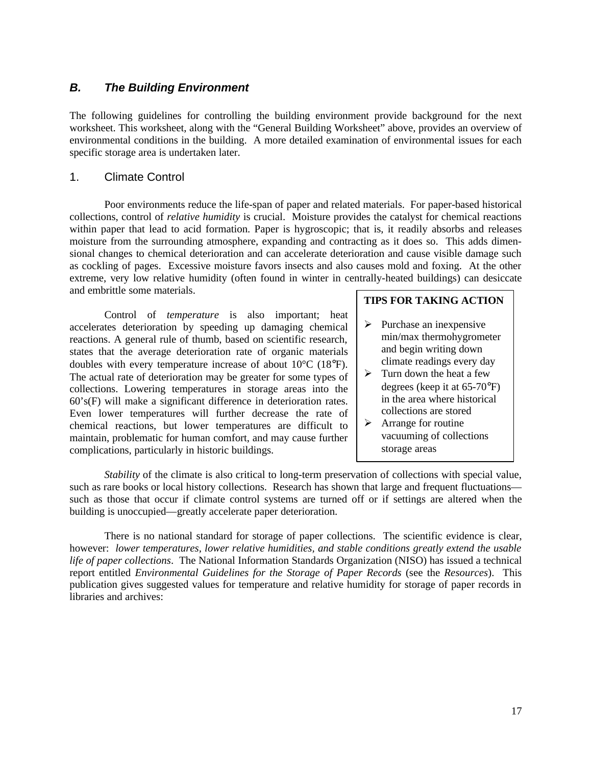# *B. The Building Environment*

The following guidelines for controlling the building environment provide background for the next worksheet. This worksheet, along with the "General Building Worksheet" above, provides an overview of environmental conditions in the building. A more detailed examination of environmental issues for each specific storage area is undertaken later.

## 1. Climate Control

Poor environments reduce the life-span of paper and related materials. For paper-based historical collections, control of *relative humidity* is crucial. Moisture provides the catalyst for chemical reactions within paper that lead to acid formation. Paper is hygroscopic; that is, it readily absorbs and releases moisture from the surrounding atmosphere, expanding and contracting as it does so. This adds dimensional changes to chemical deterioration and can accelerate deterioration and cause visible damage such as cockling of pages. Excessive moisture favors insects and also causes mold and foxing. At the other extreme, very low relative humidity (often found in winter in centrally-heated buildings) can desiccate and embrittle some materials.

Control of *temperature* is also important; heat accelerates deterioration by speeding up damaging chemical reactions. A general rule of thumb, based on scientific research, states that the average deterioration rate of organic materials doubles with every temperature increase of about 10°C (18°F). The actual rate of deterioration may be greater for some types of collections. Lowering temperatures in storage areas into the 60's(F) will make a significant difference in deterioration rates. Even lower temperatures will further decrease the rate of chemical reactions, but lower temperatures are difficult to maintain, problematic for human comfort, and may cause further complications, particularly in historic buildings.

# **TIPS FOR TAKING ACTION**

- $\triangleright$  Purchase an inexpensive min/max thermohygrometer and begin writing down climate readings every day
- $\triangleright$  Turn down the heat a few degrees (keep it at 65-70°F) in the area where historical collections are stored
- $\triangleright$  Arrange for routine vacuuming of collections storage areas

*Stability* of the climate is also critical to long-term preservation of collections with special value, such as rare books or local history collections. Research has shown that large and frequent fluctuations such as those that occur if climate control systems are turned off or if settings are altered when the building is unoccupied—greatly accelerate paper deterioration.

There is no national standard for storage of paper collections. The scientific evidence is clear, however: *lower temperatures, lower relative humidities, and stable conditions greatly extend the usable life of paper collections*. The National Information Standards Organization (NISO) has issued a technical report entitled *Environmental Guidelines for the Storage of Paper Records* (see the *Resources*). This publication gives suggested values for temperature and relative humidity for storage of paper records in libraries and archives: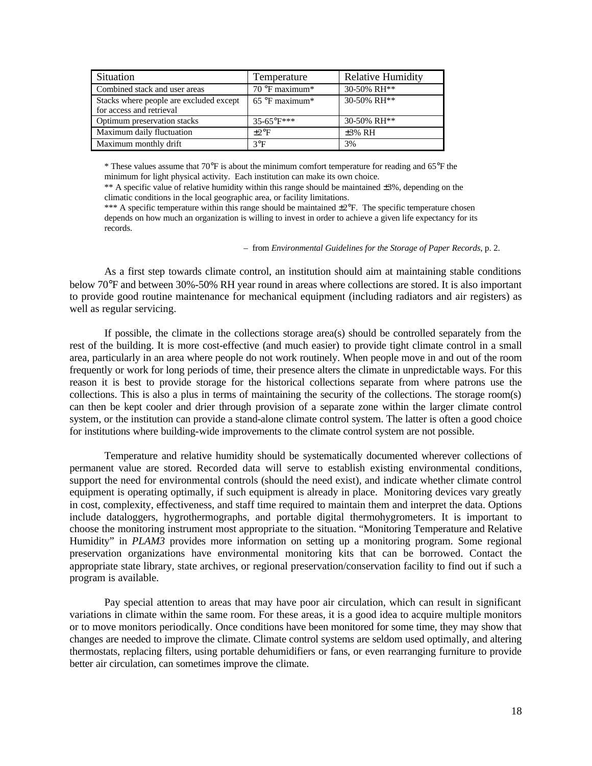| Situation                                                           | Temperature             | <b>Relative Humidity</b> |
|---------------------------------------------------------------------|-------------------------|--------------------------|
| Combined stack and user areas                                       | $70^{\circ}$ F maximum* | 30-50% RH**              |
| Stacks where people are excluded except<br>for access and retrieval | $65^{\circ}$ F maximum* | 30-50% RH**              |
| Optimum preservation stacks                                         | $35-65^{\circ}F***$     | 30-50% RH**              |
| Maximum daily fluctuation                                           | $+2$ <sup>o</sup> F     | $\pm 3\%$ RH             |
| Maximum monthly drift                                               | $3^{\circ}F$            | 3%                       |

\* These values assume that 70°F is about the minimum comfort temperature for reading and 65°F the minimum for light physical activity. Each institution can make its own choice.

\*\* A specific value of relative humidity within this range should be maintained  $\pm 3\%$ , depending on the climatic conditions in the local geographic area, or facility limitations.

\*\*\* A specific temperature within this range should be maintained  $\pm 2^{\circ}F$ . The specific temperature chosen depends on how much an organization is willing to invest in order to achieve a given life expectancy for its records.

#### – from *Environmental Guidelines for the Storage of Paper Records*, p. 2.

As a first step towards climate control, an institution should aim at maintaining stable conditions below 70°F and between 30%-50% RH year round in areas where collections are stored. It is also important to provide good routine maintenance for mechanical equipment (including radiators and air registers) as well as regular servicing.

If possible, the climate in the collections storage area(s) should be controlled separately from the rest of the building. It is more cost-effective (and much easier) to provide tight climate control in a small area, particularly in an area where people do not work routinely. When people move in and out of the room frequently or work for long periods of time, their presence alters the climate in unpredictable ways. For this reason it is best to provide storage for the historical collections separate from where patrons use the collections. This is also a plus in terms of maintaining the security of the collections. The storage room(s) can then be kept cooler and drier through provision of a separate zone within the larger climate control system, or the institution can provide a stand-alone climate control system. The latter is often a good choice for institutions where building-wide improvements to the climate control system are not possible.

Temperature and relative humidity should be systematically documented wherever collections of permanent value are stored. Recorded data will serve to establish existing environmental conditions, support the need for environmental controls (should the need exist), and indicate whether climate control equipment is operating optimally, if such equipment is already in place. Monitoring devices vary greatly in cost, complexity, effectiveness, and staff time required to maintain them and interpret the data. Options include dataloggers, hygrothermographs, and portable digital thermohygrometers. It is important to choose the monitoring instrument most appropriate to the situation. "Monitoring Temperature and Relative Humidity" in *PLAM3* provides more information on setting up a monitoring program. Some regional preservation organizations have environmental monitoring kits that can be borrowed. Contact the appropriate state library, state archives, or regional preservation/conservation facility to find out if such a program is available.

Pay special attention to areas that may have poor air circulation, which can result in significant variations in climate within the same room. For these areas, it is a good idea to acquire multiple monitors or to move monitors periodically. Once conditions have been monitored for some time, they may show that changes are needed to improve the climate. Climate control systems are seldom used optimally, and altering thermostats, replacing filters, using portable dehumidifiers or fans, or even rearranging furniture to provide better air circulation, can sometimes improve the climate.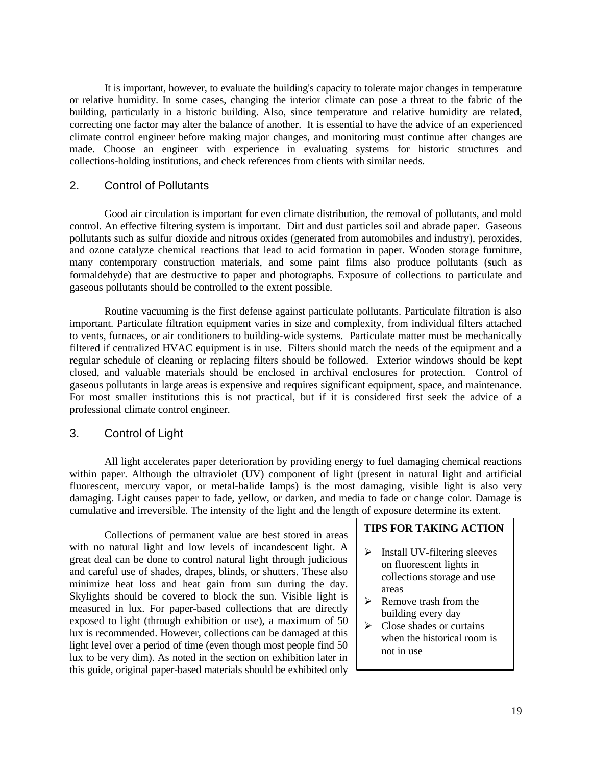It is important, however, to evaluate the building's capacity to tolerate major changes in temperature or relative humidity. In some cases, changing the interior climate can pose a threat to the fabric of the building, particularly in a historic building. Also, since temperature and relative humidity are related, correcting one factor may alter the balance of another. It is essential to have the advice of an experienced climate control engineer before making major changes, and monitoring must continue after changes are made. Choose an engineer with experience in evaluating systems for historic structures and collections-holding institutions, and check references from clients with similar needs.

#### 2. Control of Pollutants

Good air circulation is important for even climate distribution, the removal of pollutants, and mold control. An effective filtering system is important. Dirt and dust particles soil and abrade paper. Gaseous pollutants such as sulfur dioxide and nitrous oxides (generated from automobiles and industry), peroxides, and ozone catalyze chemical reactions that lead to acid formation in paper. Wooden storage furniture, many contemporary construction materials, and some paint films also produce pollutants (such as formaldehyde) that are destructive to paper and photographs. Exposure of collections to particulate and gaseous pollutants should be controlled to the extent possible.

Routine vacuuming is the first defense against particulate pollutants. Particulate filtration is also important. Particulate filtration equipment varies in size and complexity, from individual filters attached to vents, furnaces, or air conditioners to building-wide systems. Particulate matter must be mechanically filtered if centralized HVAC equipment is in use. Filters should match the needs of the equipment and a regular schedule of cleaning or replacing filters should be followed. Exterior windows should be kept closed, and valuable materials should be enclosed in archival enclosures for protection. Control of gaseous pollutants in large areas is expensive and requires significant equipment, space, and maintenance. For most smaller institutions this is not practical, but if it is considered first seek the advice of a professional climate control engineer.

## 3. Control of Light

All light accelerates paper deterioration by providing energy to fuel damaging chemical reactions within paper. Although the ultraviolet (UV) component of light (present in natural light and artificial fluorescent, mercury vapor, or metal-halide lamps) is the most damaging, visible light is also very damaging. Light causes paper to fade, yellow, or darken, and media to fade or change color. Damage is cumulative and irreversible. The intensity of the light and the length of exposure determine its extent.

Collections of permanent value are best stored in areas with no natural light and low levels of incandescent light. A great deal can be done to control natural light through judicious and careful use of shades, drapes, blinds, or shutters. These also minimize heat loss and heat gain from sun during the day. Skylights should be covered to block the sun. Visible light is measured in lux. For paper-based collections that are directly exposed to light (through exhibition or use), a maximum of 50 lux is recommended. However, collections can be damaged at this light level over a period of time (even though most people find 50 lux to be very dim). As noted in the section on exhibition later in this guide, original paper-based materials should be exhibited only

#### **TIPS FOR TAKING ACTION**

- $\triangleright$  Install UV-filtering sleeves on fluorescent lights in collections storage and use areas
- $\triangleright$  Remove trash from the building every day
- $\triangleright$  Close shades or curtains when the historical room is not in use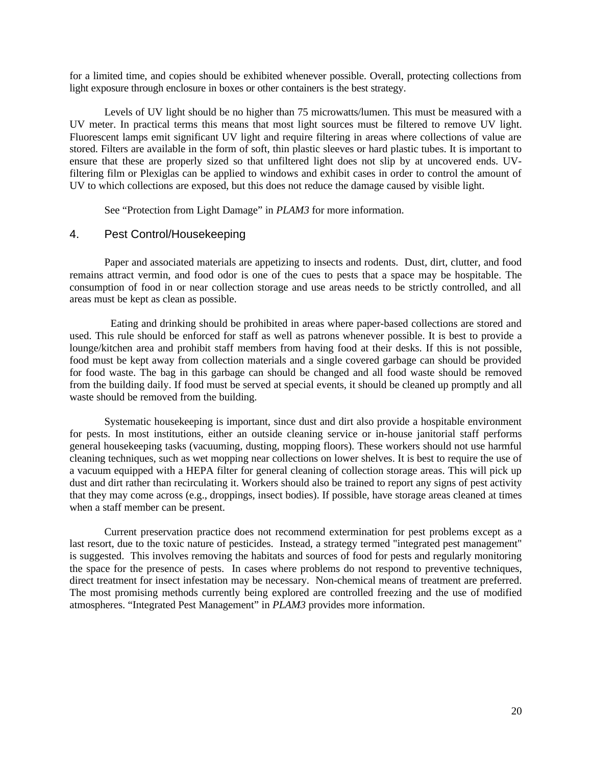for a limited time, and copies should be exhibited whenever possible. Overall, protecting collections from light exposure through enclosure in boxes or other containers is the best strategy.

Levels of UV light should be no higher than 75 microwatts/lumen. This must be measured with a UV meter. In practical terms this means that most light sources must be filtered to remove UV light. Fluorescent lamps emit significant UV light and require filtering in areas where collections of value are stored. Filters are available in the form of soft, thin plastic sleeves or hard plastic tubes. It is important to ensure that these are properly sized so that unfiltered light does not slip by at uncovered ends. UVfiltering film or Plexiglas can be applied to windows and exhibit cases in order to control the amount of UV to which collections are exposed, but this does not reduce the damage caused by visible light.

See "Protection from Light Damage" in *PLAM3* for more information.

# 4. Pest Control/Housekeeping

Paper and associated materials are appetizing to insects and rodents. Dust, dirt, clutter, and food remains attract vermin, and food odor is one of the cues to pests that a space may be hospitable. The consumption of food in or near collection storage and use areas needs to be strictly controlled, and all areas must be kept as clean as possible.

 Eating and drinking should be prohibited in areas where paper-based collections are stored and used. This rule should be enforced for staff as well as patrons whenever possible. It is best to provide a lounge/kitchen area and prohibit staff members from having food at their desks. If this is not possible, food must be kept away from collection materials and a single covered garbage can should be provided for food waste. The bag in this garbage can should be changed and all food waste should be removed from the building daily. If food must be served at special events, it should be cleaned up promptly and all waste should be removed from the building.

Systematic housekeeping is important, since dust and dirt also provide a hospitable environment for pests. In most institutions, either an outside cleaning service or in-house janitorial staff performs general housekeeping tasks (vacuuming, dusting, mopping floors). These workers should not use harmful cleaning techniques, such as wet mopping near collections on lower shelves. It is best to require the use of a vacuum equipped with a HEPA filter for general cleaning of collection storage areas. This will pick up dust and dirt rather than recirculating it. Workers should also be trained to report any signs of pest activity that they may come across (e.g., droppings, insect bodies). If possible, have storage areas cleaned at times when a staff member can be present.

Current preservation practice does not recommend extermination for pest problems except as a last resort, due to the toxic nature of pesticides. Instead, a strategy termed "integrated pest management" is suggested. This involves removing the habitats and sources of food for pests and regularly monitoring the space for the presence of pests. In cases where problems do not respond to preventive techniques, direct treatment for insect infestation may be necessary. Non-chemical means of treatment are preferred. The most promising methods currently being explored are controlled freezing and the use of modified atmospheres. "Integrated Pest Management" in *PLAM3* provides more information.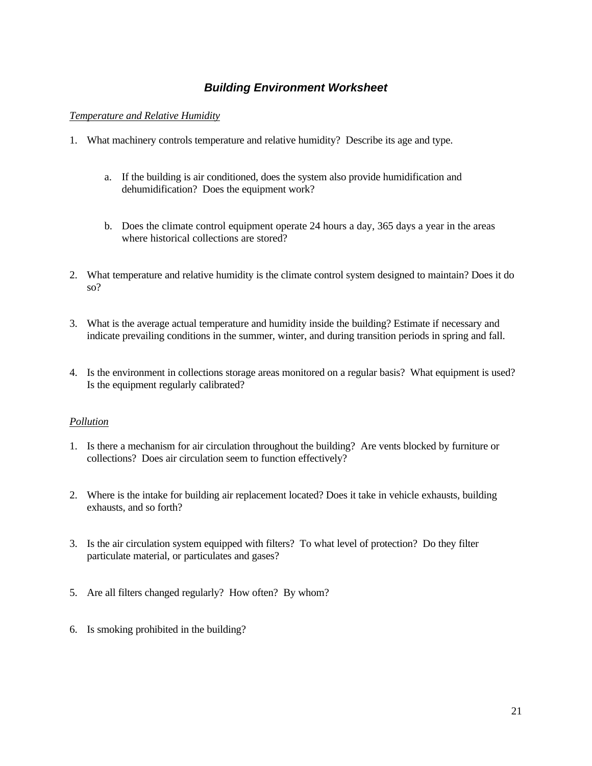# *Building Environment Worksheet*

#### *Temperature and Relative Humidity*

- 1. What machinery controls temperature and relative humidity? Describe its age and type.
	- a. If the building is air conditioned, does the system also provide humidification and dehumidification? Does the equipment work?
	- b. Does the climate control equipment operate 24 hours a day, 365 days a year in the areas where historical collections are stored?
- 2. What temperature and relative humidity is the climate control system designed to maintain? Does it do so?
- 3. What is the average actual temperature and humidity inside the building? Estimate if necessary and indicate prevailing conditions in the summer, winter, and during transition periods in spring and fall.
- 4. Is the environment in collections storage areas monitored on a regular basis? What equipment is used? Is the equipment regularly calibrated?

#### *Pollution*

- 1. Is there a mechanism for air circulation throughout the building? Are vents blocked by furniture or collections? Does air circulation seem to function effectively?
- 2. Where is the intake for building air replacement located? Does it take in vehicle exhausts, building exhausts, and so forth?
- 3. Is the air circulation system equipped with filters? To what level of protection? Do they filter particulate material, or particulates and gases?
- 5. Are all filters changed regularly? How often? By whom?
- 6. Is smoking prohibited in the building?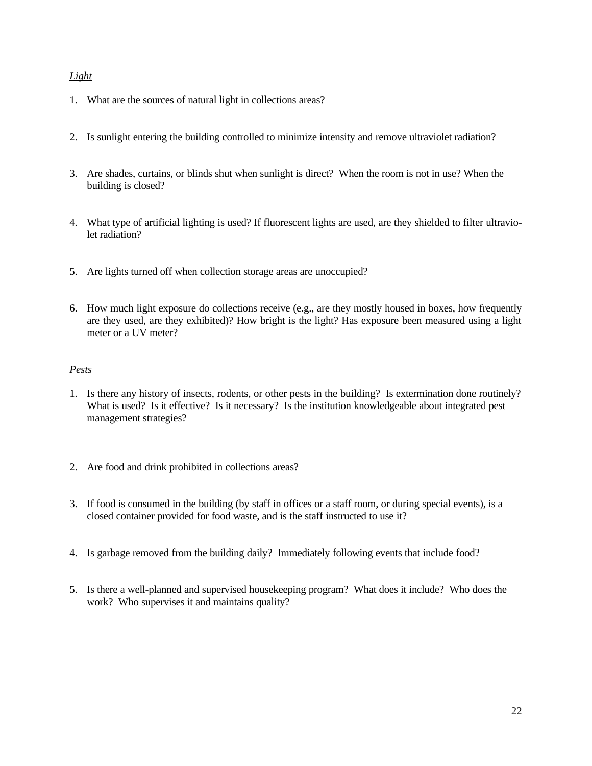# *Light*

- 1. What are the sources of natural light in collections areas?
- 2. Is sunlight entering the building controlled to minimize intensity and remove ultraviolet radiation?
- 3. Are shades, curtains, or blinds shut when sunlight is direct? When the room is not in use? When the building is closed?
- 4. What type of artificial lighting is used? If fluorescent lights are used, are they shielded to filter ultraviolet radiation?
- 5. Are lights turned off when collection storage areas are unoccupied?
- 6. How much light exposure do collections receive (e.g., are they mostly housed in boxes, how frequently are they used, are they exhibited)? How bright is the light? Has exposure been measured using a light meter or a UV meter?

# *Pests*

- 1. Is there any history of insects, rodents, or other pests in the building? Is extermination done routinely? What is used? Is it effective? Is it necessary? Is the institution knowledgeable about integrated pest management strategies?
- 2. Are food and drink prohibited in collections areas?
- 3. If food is consumed in the building (by staff in offices or a staff room, or during special events), is a closed container provided for food waste, and is the staff instructed to use it?
- 4. Is garbage removed from the building daily? Immediately following events that include food?
- 5. Is there a well-planned and supervised housekeeping program? What does it include? Who does the work? Who supervises it and maintains quality?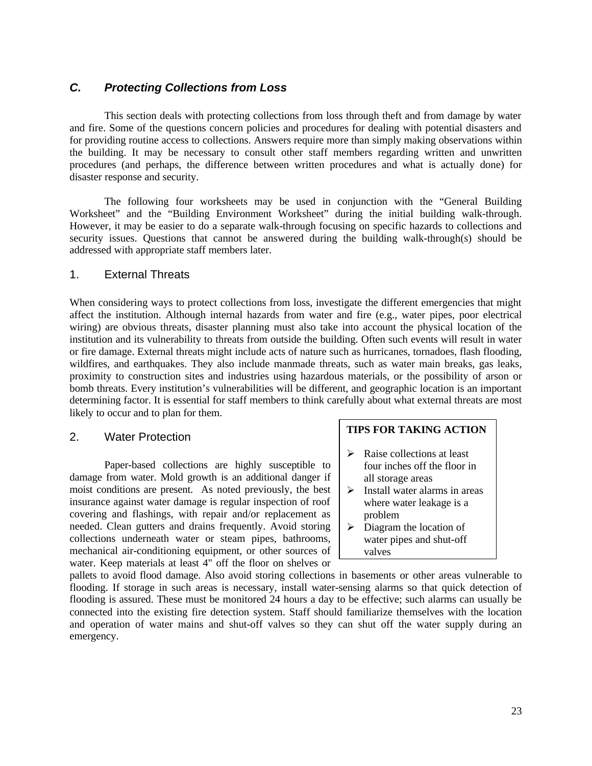# *C. Protecting Collections from Loss*

This section deals with protecting collections from loss through theft and from damage by water and fire. Some of the questions concern policies and procedures for dealing with potential disasters and for providing routine access to collections. Answers require more than simply making observations within the building. It may be necessary to consult other staff members regarding written and unwritten procedures (and perhaps, the difference between written procedures and what is actually done) for disaster response and security.

The following four worksheets may be used in conjunction with the "General Building Worksheet" and the "Building Environment Worksheet" during the initial building walk-through. However, it may be easier to do a separate walk-through focusing on specific hazards to collections and security issues. Questions that cannot be answered during the building walk-through(s) should be addressed with appropriate staff members later.

# 1. External Threats

When considering ways to protect collections from loss, investigate the different emergencies that might affect the institution. Although internal hazards from water and fire (e.g., water pipes, poor electrical wiring) are obvious threats, disaster planning must also take into account the physical location of the institution and its vulnerability to threats from outside the building. Often such events will result in water or fire damage. External threats might include acts of nature such as hurricanes, tornadoes, flash flooding, wildfires, and earthquakes. They also include manmade threats, such as water main breaks, gas leaks, proximity to construction sites and industries using hazardous materials, or the possibility of arson or bomb threats. Every institution's vulnerabilities will be different, and geographic location is an important determining factor. It is essential for staff members to think carefully about what external threats are most likely to occur and to plan for them.

# 2. Water Protection

Paper-based collections are highly susceptible to damage from water. Mold growth is an additional danger if moist conditions are present. As noted previously, the best insurance against water damage is regular inspection of roof covering and flashings, with repair and/or replacement as needed. Clean gutters and drains frequently. Avoid storing collections underneath water or steam pipes, bathrooms, mechanical air-conditioning equipment, or other sources of water. Keep materials at least 4" off the floor on shelves or

#### **TIPS FOR TAKING ACTION**

- $\triangleright$  Raise collections at least four inches off the floor in all storage areas
- $\triangleright$  Install water alarms in areas where water leakage is a problem
- $\triangleright$  Diagram the location of water pipes and shut-off valves

pallets to avoid flood damage. Also avoid storing collections in basements or other areas vulnerable to flooding. If storage in such areas is necessary, install water-sensing alarms so that quick detection of flooding is assured. These must be monitored 24 hours a day to be effective; such alarms can usually be connected into the existing fire detection system. Staff should familiarize themselves with the location and operation of water mains and shut-off valves so they can shut off the water supply during an emergency.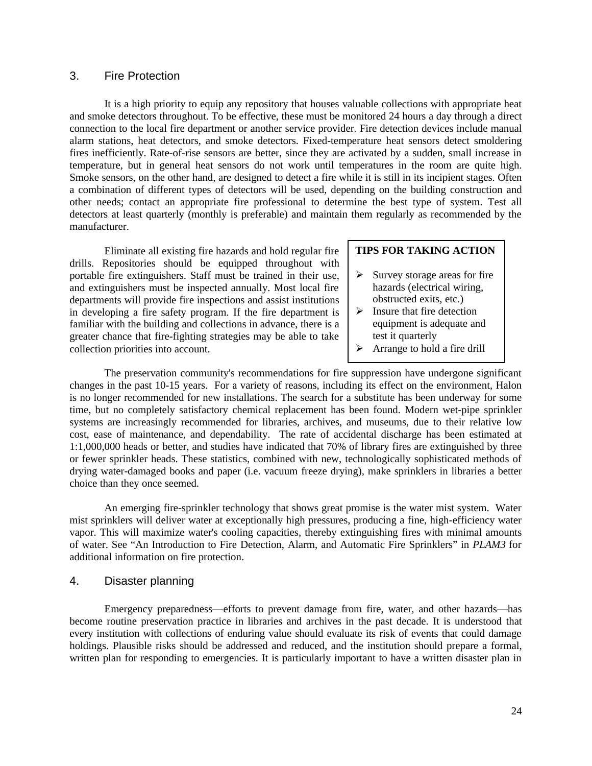# 3. Fire Protection

It is a high priority to equip any repository that houses valuable collections with appropriate heat and smoke detectors throughout. To be effective, these must be monitored 24 hours a day through a direct connection to the local fire department or another service provider. Fire detection devices include manual alarm stations, heat detectors, and smoke detectors. Fixed-temperature heat sensors detect smoldering fires inefficiently. Rate-of-rise sensors are better, since they are activated by a sudden, small increase in temperature, but in general heat sensors do not work until temperatures in the room are quite high. Smoke sensors, on the other hand, are designed to detect a fire while it is still in its incipient stages. Often a combination of different types of detectors will be used, depending on the building construction and other needs; contact an appropriate fire professional to determine the best type of system. Test all detectors at least quarterly (monthly is preferable) and maintain them regularly as recommended by the manufacturer.

Eliminate all existing fire hazards and hold regular fire drills. Repositories should be equipped throughout with portable fire extinguishers. Staff must be trained in their use, and extinguishers must be inspected annually. Most local fire departments will provide fire inspections and assist institutions in developing a fire safety program. If the fire department is familiar with the building and collections in advance, there is a greater chance that fire-fighting strategies may be able to take collection priorities into account.

#### **TIPS FOR TAKING ACTION**

- $\triangleright$  Survey storage areas for fire hazards (electrical wiring, obstructed exits, etc.)
- $\triangleright$  Insure that fire detection equipment is adequate and test it quarterly
- $\triangleright$  Arrange to hold a fire drill

The preservation community's recommendations for fire suppression have undergone significant changes in the past 10-15 years. For a variety of reasons, including its effect on the environment, Halon is no longer recommended for new installations. The search for a substitute has been underway for some time, but no completely satisfactory chemical replacement has been found. Modern wet-pipe sprinkler systems are increasingly recommended for libraries, archives, and museums, due to their relative low cost, ease of maintenance, and dependability. The rate of accidental discharge has been estimated at 1:1,000,000 heads or better, and studies have indicated that 70% of library fires are extinguished by three or fewer sprinkler heads. These statistics, combined with new, technologically sophisticated methods of drying water-damaged books and paper (i.e. vacuum freeze drying), make sprinklers in libraries a better choice than they once seemed.

An emerging fire-sprinkler technology that shows great promise is the water mist system. Water mist sprinklers will deliver water at exceptionally high pressures, producing a fine, high-efficiency water vapor. This will maximize water's cooling capacities, thereby extinguishing fires with minimal amounts of water. See "An Introduction to Fire Detection, Alarm, and Automatic Fire Sprinklers" in *PLAM3* for additional information on fire protection.

#### 4. Disaster planning

Emergency preparedness—efforts to prevent damage from fire, water, and other hazards—has become routine preservation practice in libraries and archives in the past decade. It is understood that every institution with collections of enduring value should evaluate its risk of events that could damage holdings. Plausible risks should be addressed and reduced, and the institution should prepare a formal, written plan for responding to emergencies. It is particularly important to have a written disaster plan in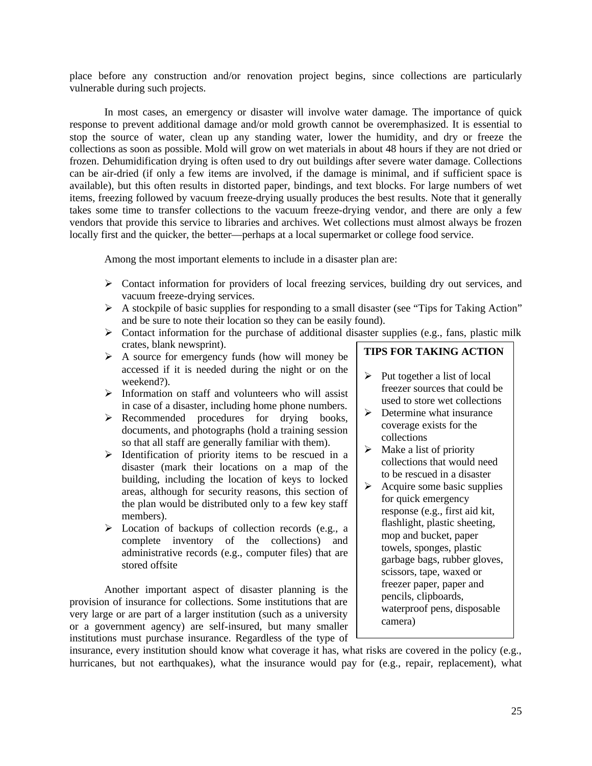place before any construction and/or renovation project begins, since collections are particularly vulnerable during such projects.

In most cases, an emergency or disaster will involve water damage. The importance of quick response to prevent additional damage and/or mold growth cannot be overemphasized. It is essential to stop the source of water, clean up any standing water, lower the humidity, and dry or freeze the collections as soon as possible. Mold will grow on wet materials in about 48 hours if they are not dried or frozen. Dehumidification drying is often used to dry out buildings after severe water damage. Collections can be air-dried (if only a few items are involved, if the damage is minimal, and if sufficient space is available), but this often results in distorted paper, bindings, and text blocks. For large numbers of wet items, freezing followed by vacuum freeze-drying usually produces the best results. Note that it generally takes some time to transfer collections to the vacuum freeze-drying vendor, and there are only a few vendors that provide this service to libraries and archives. Wet collections must almost always be frozen locally first and the quicker, the better—perhaps at a local supermarket or college food service.

Among the most important elements to include in a disaster plan are:

- $\triangleright$  Contact information for providers of local freezing services, building dry out services, and vacuum freeze-drying services.
- $\triangleright$  A stockpile of basic supplies for responding to a small disaster (see "Tips for Taking Action" and be sure to note their location so they can be easily found).
- $\triangleright$  Contact information for the purchase of additional disaster supplies (e.g., fans, plastic milk crates, blank newsprint).
- $\triangleright$  A source for emergency funds (how will money be accessed if it is needed during the night or on the weekend?).
- $\triangleright$  Information on staff and volunteers who will assist in case of a disaster, including home phone numbers.
- $\triangleright$  Recommended procedures for drying books, documents, and photographs (hold a training session so that all staff are generally familiar with them).
- $\triangleright$  Identification of priority items to be rescued in a disaster (mark their locations on a map of the building, including the location of keys to locked areas, although for security reasons, this section of the plan would be distributed only to a few key staff members).
- $\triangleright$  Location of backups of collection records (e.g., a complete inventory of the collections) and administrative records (e.g., computer files) that are stored offsite

Another important aspect of disaster planning is the provision of insurance for collections. Some institutions that are very large or are part of a larger institution (such as a university or a government agency) are self-insured, but many smaller institutions must purchase insurance. Regardless of the type of

# **TIPS FOR TAKING ACTION**

- $\triangleright$  Put together a list of local freezer sources that could be used to store wet collections
- $\triangleright$  Determine what insurance coverage exists for the collections
- $\triangleright$  Make a list of priority collections that would need to be rescued in a disaster
- $\triangleright$  Acquire some basic supplies for quick emergency response (e.g., first aid kit, flashlight, plastic sheeting, mop and bucket, paper towels, sponges, plastic garbage bags, rubber gloves, scissors, tape, waxed or freezer paper, paper and pencils, clipboards, waterproof pens, disposable camera)

insurance, every institution should know what coverage it has, what risks are covered in the policy (e.g., hurricanes, but not earthquakes), what the insurance would pay for (e.g., repair, replacement), what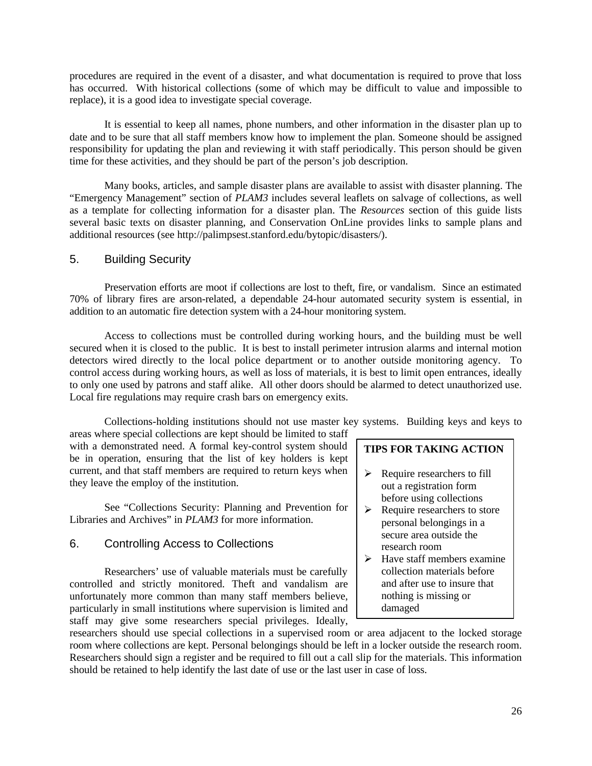procedures are required in the event of a disaster, and what documentation is required to prove that loss has occurred. With historical collections (some of which may be difficult to value and impossible to replace), it is a good idea to investigate special coverage.

It is essential to keep all names, phone numbers, and other information in the disaster plan up to date and to be sure that all staff members know how to implement the plan. Someone should be assigned responsibility for updating the plan and reviewing it with staff periodically. This person should be given time for these activities, and they should be part of the person's job description.

Many books, articles, and sample disaster plans are available to assist with disaster planning. The "Emergency Management" section of *PLAM3* includes several leaflets on salvage of collections, as well as a template for collecting information for a disaster plan. The *Resources* section of this guide lists several basic texts on disaster planning, and Conservation OnLine provides links to sample plans and additional resources (see http://palimpsest.stanford.edu/bytopic/disasters/).

## 5. Building Security

Preservation efforts are moot if collections are lost to theft, fire, or vandalism. Since an estimated 70% of library fires are arson-related, a dependable 24-hour automated security system is essential, in addition to an automatic fire detection system with a 24-hour monitoring system.

Access to collections must be controlled during working hours, and the building must be well secured when it is closed to the public. It is best to install perimeter intrusion alarms and internal motion detectors wired directly to the local police department or to another outside monitoring agency. To control access during working hours, as well as loss of materials, it is best to limit open entrances, ideally to only one used by patrons and staff alike. All other doors should be alarmed to detect unauthorized use. Local fire regulations may require crash bars on emergency exits.

Collections-holding institutions should not use master key systems. Building keys and keys to

areas where special collections are kept should be limited to staff with a demonstrated need. A formal key-control system should be in operation, ensuring that the list of key holders is kept current, and that staff members are required to return keys when they leave the employ of the institution.

See "Collections Security: Planning and Prevention for Libraries and Archives" in *PLAM3* for more information.

## 6. Controlling Access to Collections

Researchers' use of valuable materials must be carefully controlled and strictly monitored. Theft and vandalism are unfortunately more common than many staff members believe, particularly in small institutions where supervision is limited and staff may give some researchers special privileges. Ideally,

## **TIPS FOR TAKING ACTION**

- $\triangleright$  Require researchers to fill out a registration form before using collections
- $\triangleright$  Require researchers to store personal belongings in a secure area outside the research room
- $\blacktriangleright$  Have staff members examine collection materials before and after use to insure that nothing is missing or damaged

researchers should use special collections in a supervised room or area adjacent to the locked storage room where collections are kept. Personal belongings should be left in a locker outside the research room. Researchers should sign a register and be required to fill out a call slip for the materials. This information should be retained to help identify the last date of use or the last user in case of loss.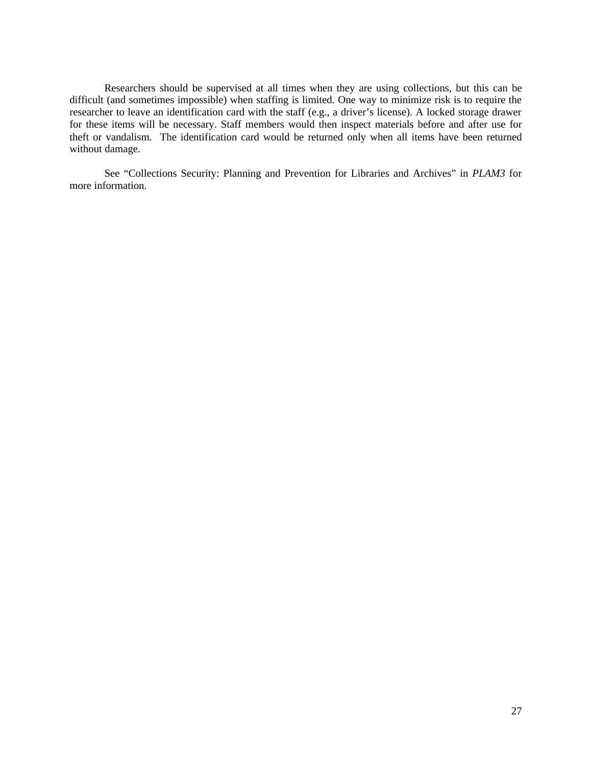Researchers should be supervised at all times when they are using collections, but this can be difficult (and sometimes impossible) when staffing is limited. One way to minimize risk is to require the researcher to leave an identification card with the staff (e.g., a driver's license). A locked storage drawer for these items will be necessary. Staff members would then inspect materials before and after use for theft or vandalism. The identification card would be returned only when all items have been returned without damage.

See "Collections Security: Planning and Prevention for Libraries and Archives" in *PLAM3* for more information.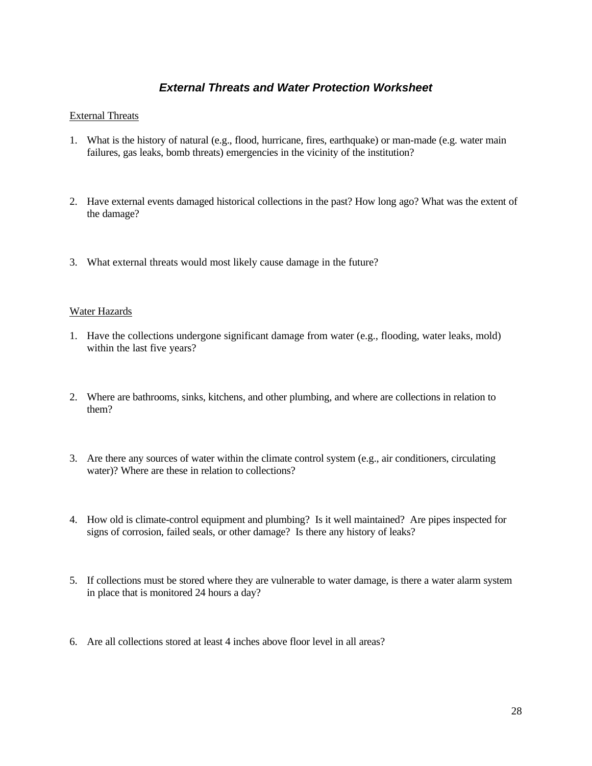# *External Threats and Water Protection Worksheet*

### External Threats

- 1. What is the history of natural (e.g., flood, hurricane, fires, earthquake) or man-made (e.g. water main failures, gas leaks, bomb threats) emergencies in the vicinity of the institution?
- 2. Have external events damaged historical collections in the past? How long ago? What was the extent of the damage?
- 3. What external threats would most likely cause damage in the future?

#### Water Hazards

- 1. Have the collections undergone significant damage from water (e.g., flooding, water leaks, mold) within the last five years?
- 2. Where are bathrooms, sinks, kitchens, and other plumbing, and where are collections in relation to them?
- 3. Are there any sources of water within the climate control system (e.g., air conditioners, circulating water)? Where are these in relation to collections?
- 4. How old is climate-control equipment and plumbing? Is it well maintained? Are pipes inspected for signs of corrosion, failed seals, or other damage? Is there any history of leaks?
- 5. If collections must be stored where they are vulnerable to water damage, is there a water alarm system in place that is monitored 24 hours a day?
- 6. Are all collections stored at least 4 inches above floor level in all areas?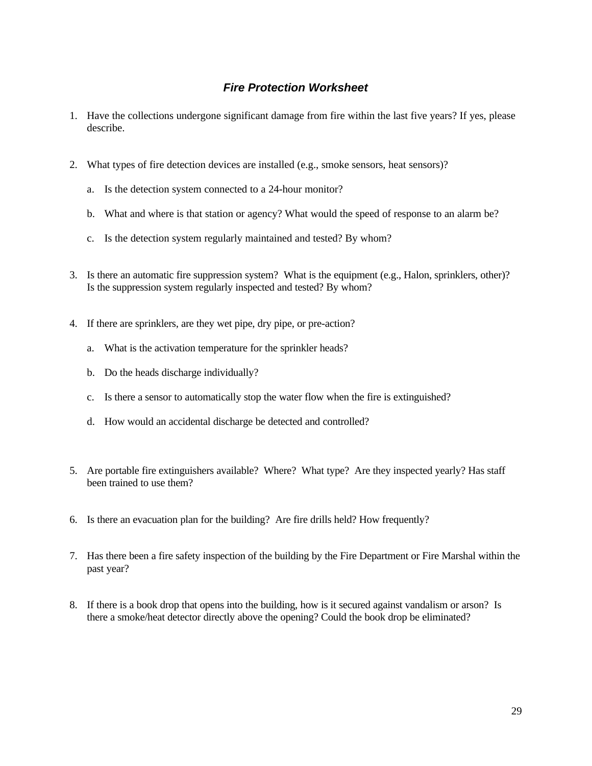# *Fire Protection Worksheet*

- 1. Have the collections undergone significant damage from fire within the last five years? If yes, please describe.
- 2. What types of fire detection devices are installed (e.g., smoke sensors, heat sensors)?
	- a. Is the detection system connected to a 24-hour monitor?
	- b. What and where is that station or agency? What would the speed of response to an alarm be?
	- c. Is the detection system regularly maintained and tested? By whom?
- 3. Is there an automatic fire suppression system? What is the equipment (e.g., Halon, sprinklers, other)? Is the suppression system regularly inspected and tested? By whom?
- 4. If there are sprinklers, are they wet pipe, dry pipe, or pre-action?
	- a. What is the activation temperature for the sprinkler heads?
	- b. Do the heads discharge individually?
	- c. Is there a sensor to automatically stop the water flow when the fire is extinguished?
	- d. How would an accidental discharge be detected and controlled?
- 5. Are portable fire extinguishers available? Where? What type? Are they inspected yearly? Has staff been trained to use them?
- 6. Is there an evacuation plan for the building? Are fire drills held? How frequently?
- 7. Has there been a fire safety inspection of the building by the Fire Department or Fire Marshal within the past year?
- 8. If there is a book drop that opens into the building, how is it secured against vandalism or arson? Is there a smoke/heat detector directly above the opening? Could the book drop be eliminated?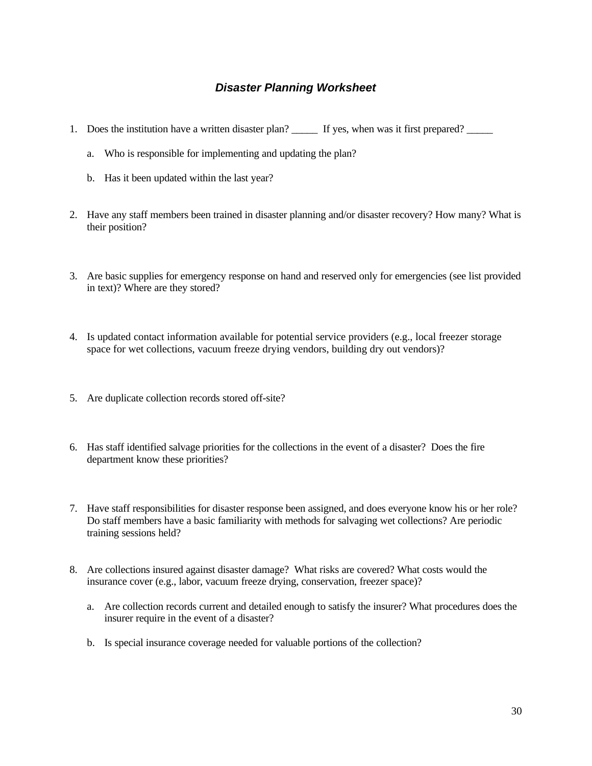## *Disaster Planning Worksheet*

- 1. Does the institution have a written disaster plan? If yes, when was it first prepared?
	- a. Who is responsible for implementing and updating the plan?
	- b. Has it been updated within the last year?
- 2. Have any staff members been trained in disaster planning and/or disaster recovery? How many? What is their position?
- 3. Are basic supplies for emergency response on hand and reserved only for emergencies (see list provided in text)? Where are they stored?
- 4. Is updated contact information available for potential service providers (e.g., local freezer storage space for wet collections, vacuum freeze drying vendors, building dry out vendors)?
- 5. Are duplicate collection records stored off-site?
- 6. Has staff identified salvage priorities for the collections in the event of a disaster? Does the fire department know these priorities?
- 7. Have staff responsibilities for disaster response been assigned, and does everyone know his or her role? Do staff members have a basic familiarity with methods for salvaging wet collections? Are periodic training sessions held?
- 8. Are collections insured against disaster damage? What risks are covered? What costs would the insurance cover (e.g., labor, vacuum freeze drying, conservation, freezer space)?
	- a. Are collection records current and detailed enough to satisfy the insurer? What procedures does the insurer require in the event of a disaster?
	- b. Is special insurance coverage needed for valuable portions of the collection?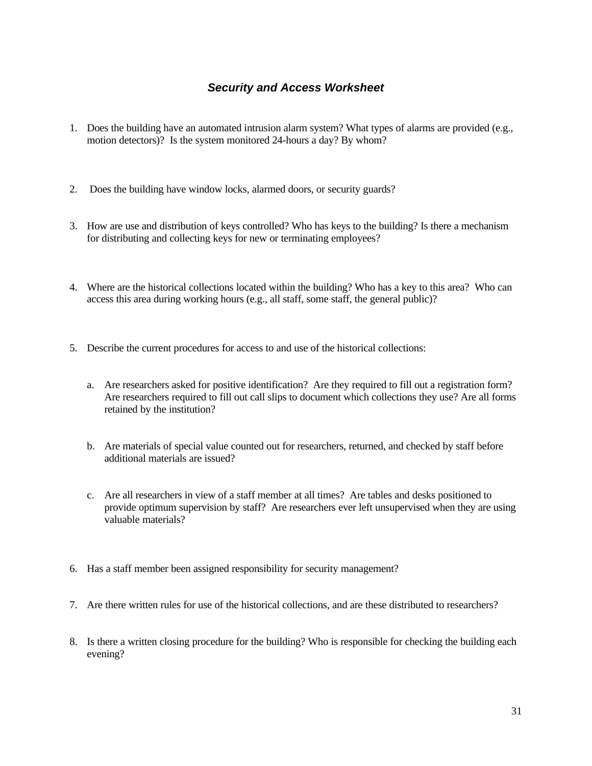# *Security and Access Worksheet*

- 1. Does the building have an automated intrusion alarm system? What types of alarms are provided (e.g., motion detectors)? Is the system monitored 24-hours a day? By whom?
- 2. Does the building have window locks, alarmed doors, or security guards?
- 3. How are use and distribution of keys controlled? Who has keys to the building? Is there a mechanism for distributing and collecting keys for new or terminating employees?
- 4. Where are the historical collections located within the building? Who has a key to this area? Who can access this area during working hours (e.g., all staff, some staff, the general public)?
- 5. Describe the current procedures for access to and use of the historical collections:
	- a. Are researchers asked for positive identification? Are they required to fill out a registration form? Are researchers required to fill out call slips to document which collections they use? Are all forms retained by the institution?
	- b. Are materials of special value counted out for researchers, returned, and checked by staff before additional materials are issued?
	- c. Are all researchers in view of a staff member at all times? Are tables and desks positioned to provide optimum supervision by staff? Are researchers ever left unsupervised when they are using valuable materials?
- 6. Has a staff member been assigned responsibility for security management?
- 7. Are there written rules for use of the historical collections, and are these distributed to researchers?
- 8. Is there a written closing procedure for the building? Who is responsible for checking the building each evening?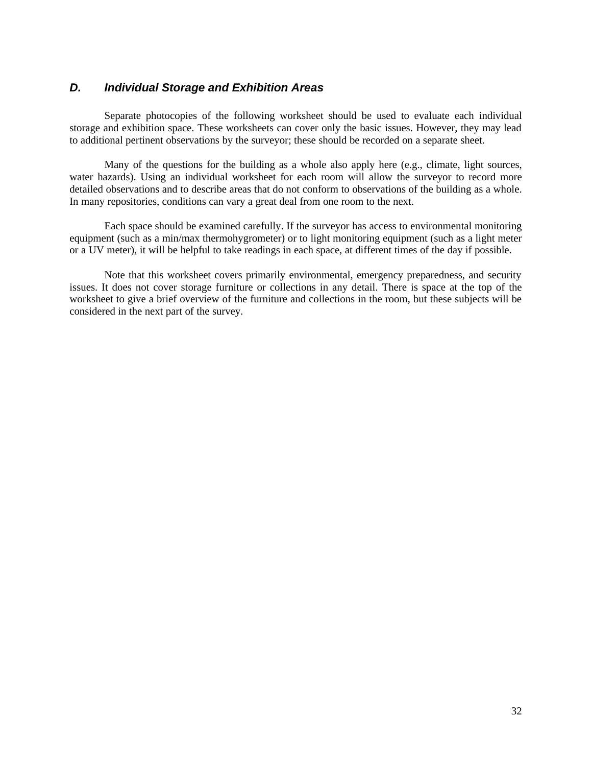### *D. Individual Storage and Exhibition Areas*

Separate photocopies of the following worksheet should be used to evaluate each individual storage and exhibition space. These worksheets can cover only the basic issues. However, they may lead to additional pertinent observations by the surveyor; these should be recorded on a separate sheet.

Many of the questions for the building as a whole also apply here (e.g., climate, light sources, water hazards). Using an individual worksheet for each room will allow the surveyor to record more detailed observations and to describe areas that do not conform to observations of the building as a whole. In many repositories, conditions can vary a great deal from one room to the next.

Each space should be examined carefully. If the surveyor has access to environmental monitoring equipment (such as a min/max thermohygrometer) or to light monitoring equipment (such as a light meter or a UV meter), it will be helpful to take readings in each space, at different times of the day if possible.

Note that this worksheet covers primarily environmental, emergency preparedness, and security issues. It does not cover storage furniture or collections in any detail. There is space at the top of the worksheet to give a brief overview of the furniture and collections in the room, but these subjects will be considered in the next part of the survey.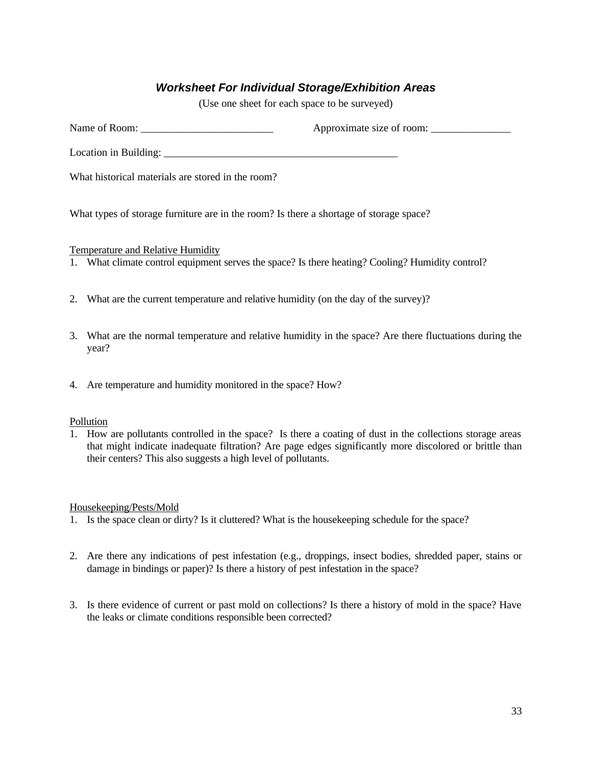# *Worksheet For Individual Storage/Exhibition Areas*

(Use one sheet for each space to be surveyed)

Name of Room: \_\_\_\_\_\_\_\_\_\_\_\_\_\_\_\_\_\_\_\_\_\_\_\_\_ Approximate size of room: \_\_\_\_\_\_\_\_\_\_\_\_\_\_\_

Location in Building:

What historical materials are stored in the room?

What types of storage furniture are in the room? Is there a shortage of storage space?

Temperature and Relative Humidity

- 1. What climate control equipment serves the space? Is there heating? Cooling? Humidity control?
- 2. What are the current temperature and relative humidity (on the day of the survey)?
- 3. What are the normal temperature and relative humidity in the space? Are there fluctuations during the year?
- 4. Are temperature and humidity monitored in the space? How?

### Pollution

1. How are pollutants controlled in the space? Is there a coating of dust in the collections storage areas that might indicate inadequate filtration? Are page edges significantly more discolored or brittle than their centers? This also suggests a high level of pollutants.

### Housekeeping/Pests/Mold

- 1. Is the space clean or dirty? Is it cluttered? What is the housekeeping schedule for the space?
- 2. Are there any indications of pest infestation (e.g., droppings, insect bodies, shredded paper, stains or damage in bindings or paper)? Is there a history of pest infestation in the space?
- 3. Is there evidence of current or past mold on collections? Is there a history of mold in the space? Have the leaks or climate conditions responsible been corrected?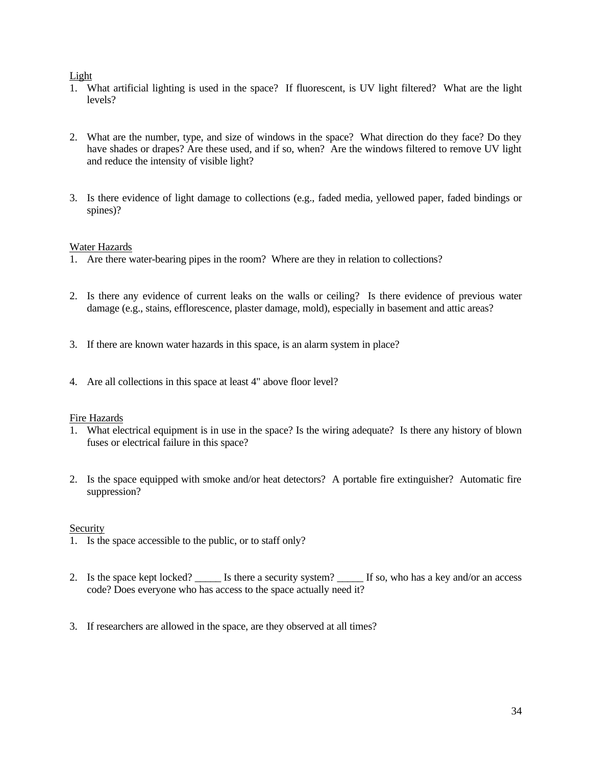### Light

- 1. What artificial lighting is used in the space? If fluorescent, is UV light filtered? What are the light levels?
- 2. What are the number, type, and size of windows in the space? What direction do they face? Do they have shades or drapes? Are these used, and if so, when? Are the windows filtered to remove UV light and reduce the intensity of visible light?
- 3. Is there evidence of light damage to collections (e.g., faded media, yellowed paper, faded bindings or spines)?

### Water Hazards

- 1. Are there water-bearing pipes in the room? Where are they in relation to collections?
- 2. Is there any evidence of current leaks on the walls or ceiling? Is there evidence of previous water damage (e.g., stains, efflorescence, plaster damage, mold), especially in basement and attic areas?
- 3. If there are known water hazards in this space, is an alarm system in place?
- 4. Are all collections in this space at least 4" above floor level?

### Fire Hazards

- 1. What electrical equipment is in use in the space? Is the wiring adequate? Is there any history of blown fuses or electrical failure in this space?
- 2. Is the space equipped with smoke and/or heat detectors? A portable fire extinguisher? Automatic fire suppression?

### **Security**

- 1. Is the space accessible to the public, or to staff only?
- 2. Is the space kept locked? \_\_\_\_\_\_ Is there a security system? \_\_\_\_\_\_ If so, who has a key and/or an access code? Does everyone who has access to the space actually need it?
- 3. If researchers are allowed in the space, are they observed at all times?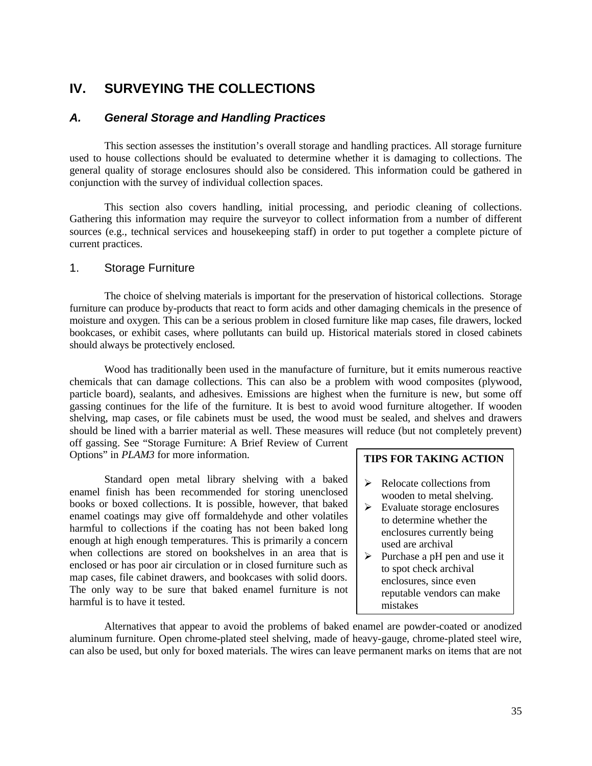# **IV. SURVEYING THE COLLECTIONS**

## *A. General Storage and Handling Practices*

This section assesses the institution's overall storage and handling practices. All storage furniture used to house collections should be evaluated to determine whether it is damaging to collections. The general quality of storage enclosures should also be considered. This information could be gathered in conjunction with the survey of individual collection spaces.

This section also covers handling, initial processing, and periodic cleaning of collections. Gathering this information may require the surveyor to collect information from a number of different sources (e.g., technical services and housekeeping staff) in order to put together a complete picture of current practices.

### 1. Storage Furniture

The choice of shelving materials is important for the preservation of historical collections. Storage furniture can produce by-products that react to form acids and other damaging chemicals in the presence of moisture and oxygen. This can be a serious problem in closed furniture like map cases, file drawers, locked bookcases, or exhibit cases, where pollutants can build up. Historical materials stored in closed cabinets should always be protectively enclosed.

Wood has traditionally been used in the manufacture of furniture, but it emits numerous reactive chemicals that can damage collections. This can also be a problem with wood composites (plywood, particle board), sealants, and adhesives. Emissions are highest when the furniture is new, but some off gassing continues for the life of the furniture. It is best to avoid wood furniture altogether. If wooden shelving, map cases, or file cabinets must be used, the wood must be sealed, and shelves and drawers should be lined with a barrier material as well. These measures will reduce (but not completely prevent) off gassing. See "Storage Furniture: A Brief Review of Current

Options" in *PLAM3* for more information.

Standard open metal library shelving with a baked enamel finish has been recommended for storing unenclosed books or boxed collections. It is possible, however, that baked enamel coatings may give off formaldehyde and other volatiles harmful to collections if the coating has not been baked long enough at high enough temperatures. This is primarily a concern when collections are stored on bookshelves in an area that is enclosed or has poor air circulation or in closed furniture such as map cases, file cabinet drawers, and bookcases with solid doors. The only way to be sure that baked enamel furniture is not harmful is to have it tested.

### **TIPS FOR TAKING ACTION**

- $\triangleright$  Relocate collections from wooden to metal shelving.
- $\triangleright$  Evaluate storage enclosures to determine whether the enclosures currently being used are archival
- $\triangleright$  Purchase a pH pen and use it to spot check archival enclosures, since even reputable vendors can make mistakes

Alternatives that appear to avoid the problems of baked enamel are powder-coated or anodized aluminum furniture. Open chrome-plated steel shelving, made of heavy-gauge, chrome-plated steel wire, can also be used, but only for boxed materials. The wires can leave permanent marks on items that are not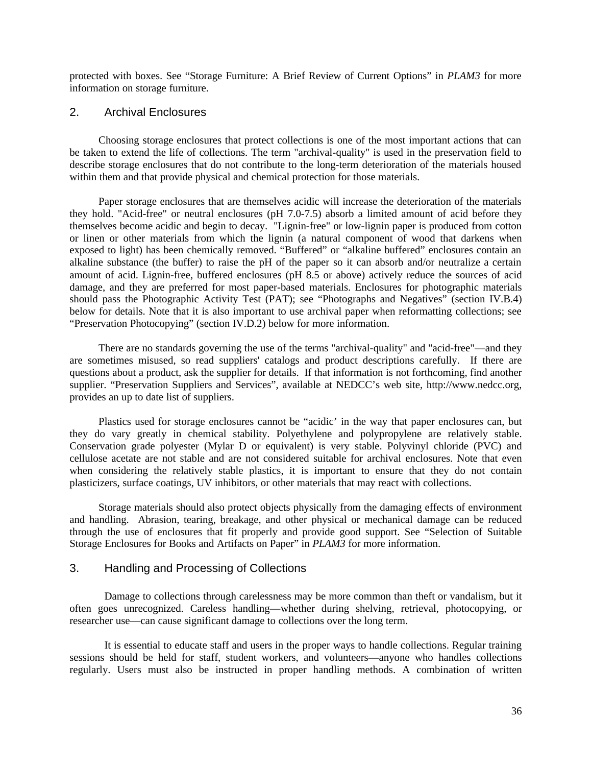protected with boxes. See "Storage Furniture: A Brief Review of Current Options" in *PLAM3* for more information on storage furniture.

## 2. Archival Enclosures

Choosing storage enclosures that protect collections is one of the most important actions that can be taken to extend the life of collections. The term "archival-quality" is used in the preservation field to describe storage enclosures that do not contribute to the long-term deterioration of the materials housed within them and that provide physical and chemical protection for those materials.

Paper storage enclosures that are themselves acidic will increase the deterioration of the materials they hold. "Acid-free" or neutral enclosures (pH 7.0-7.5) absorb a limited amount of acid before they themselves become acidic and begin to decay. "Lignin-free" or low-lignin paper is produced from cotton or linen or other materials from which the lignin (a natural component of wood that darkens when exposed to light) has been chemically removed. "Buffered" or "alkaline buffered" enclosures contain an alkaline substance (the buffer) to raise the pH of the paper so it can absorb and/or neutralize a certain amount of acid. Lignin-free, buffered enclosures (pH 8.5 or above) actively reduce the sources of acid damage, and they are preferred for most paper-based materials. Enclosures for photographic materials should pass the Photographic Activity Test (PAT); see "Photographs and Negatives" (section IV.B.4) below for details. Note that it is also important to use archival paper when reformatting collections; see "Preservation Photocopying" (section IV.D.2) below for more information.

There are no standards governing the use of the terms "archival-quality" and "acid-free"—and they are sometimes misused, so read suppliers' catalogs and product descriptions carefully. If there are questions about a product, ask the supplier for details. If that information is not forthcoming, find another supplier. "Preservation Suppliers and Services", available at NEDCC's web site, http://www.nedcc.org, provides an up to date list of suppliers.

Plastics used for storage enclosures cannot be "acidic' in the way that paper enclosures can, but they do vary greatly in chemical stability. Polyethylene and polypropylene are relatively stable. Conservation grade polyester (Mylar D or equivalent) is very stable. Polyvinyl chloride (PVC) and cellulose acetate are not stable and are not considered suitable for archival enclosures. Note that even when considering the relatively stable plastics, it is important to ensure that they do not contain plasticizers, surface coatings, UV inhibitors, or other materials that may react with collections.

Storage materials should also protect objects physically from the damaging effects of environment and handling. Abrasion, tearing, breakage, and other physical or mechanical damage can be reduced through the use of enclosures that fit properly and provide good support. See "Selection of Suitable Storage Enclosures for Books and Artifacts on Paper" in *PLAM3* for more information.

### 3. Handling and Processing of Collections

Damage to collections through carelessness may be more common than theft or vandalism, but it often goes unrecognized. Careless handling—whether during shelving, retrieval, photocopying, or researcher use—can cause significant damage to collections over the long term.

It is essential to educate staff and users in the proper ways to handle collections. Regular training sessions should be held for staff, student workers, and volunteers—anyone who handles collections regularly. Users must also be instructed in proper handling methods. A combination of written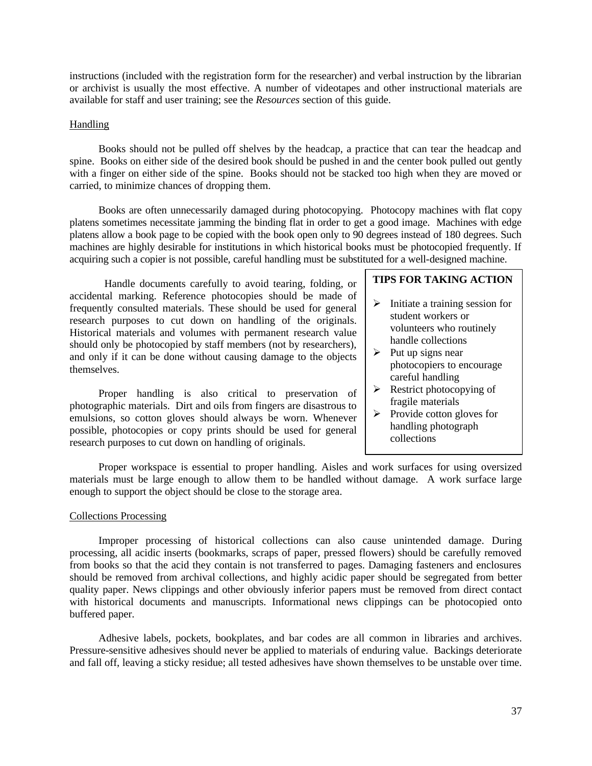instructions (included with the registration form for the researcher) and verbal instruction by the librarian or archivist is usually the most effective. A number of videotapes and other instructional materials are available for staff and user training; see the *Resources* section of this guide.

### Handling

Books should not be pulled off shelves by the headcap, a practice that can tear the headcap and spine. Books on either side of the desired book should be pushed in and the center book pulled out gently with a finger on either side of the spine. Books should not be stacked too high when they are moved or carried, to minimize chances of dropping them.

Books are often unnecessarily damaged during photocopying. Photocopy machines with flat copy platens sometimes necessitate jamming the binding flat in order to get a good image. Machines with edge platens allow a book page to be copied with the book open only to 90 degrees instead of 180 degrees. Such machines are highly desirable for institutions in which historical books must be photocopied frequently. If acquiring such a copier is not possible, careful handling must be substituted for a well-designed machine.

Handle documents carefully to avoid tearing, folding, or accidental marking. Reference photocopies should be made of frequently consulted materials. These should be used for general research purposes to cut down on handling of the originals. Historical materials and volumes with permanent research value should only be photocopied by staff members (not by researchers), and only if it can be done without causing damage to the objects themselves.

Proper handling is also critical to preservation of photographic materials. Dirt and oils from fingers are disastrous to emulsions, so cotton gloves should always be worn. Whenever possible, photocopies or copy prints should be used for general research purposes to cut down on handling of originals.

## **TIPS FOR TAKING ACTION**

- $\triangleright$  Initiate a training session for student workers or volunteers who routinely handle collections
- $\triangleright$  Put up signs near photocopiers to encourage careful handling
- $\triangleright$  Restrict photocopying of fragile materials
- $\triangleright$  Provide cotton gloves for handling photograph collections

Proper workspace is essential to proper handling. Aisles and work surfaces for using oversized materials must be large enough to allow them to be handled without damage. A work surface large enough to support the object should be close to the storage area.

#### Collections Processing

Improper processing of historical collections can also cause unintended damage. During processing, all acidic inserts (bookmarks, scraps of paper, pressed flowers) should be carefully removed from books so that the acid they contain is not transferred to pages. Damaging fasteners and enclosures should be removed from archival collections, and highly acidic paper should be segregated from better quality paper. News clippings and other obviously inferior papers must be removed from direct contact with historical documents and manuscripts. Informational news clippings can be photocopied onto buffered paper.

Adhesive labels, pockets, bookplates, and bar codes are all common in libraries and archives. Pressure-sensitive adhesives should never be applied to materials of enduring value. Backings deteriorate and fall off, leaving a sticky residue; all tested adhesives have shown themselves to be unstable over time.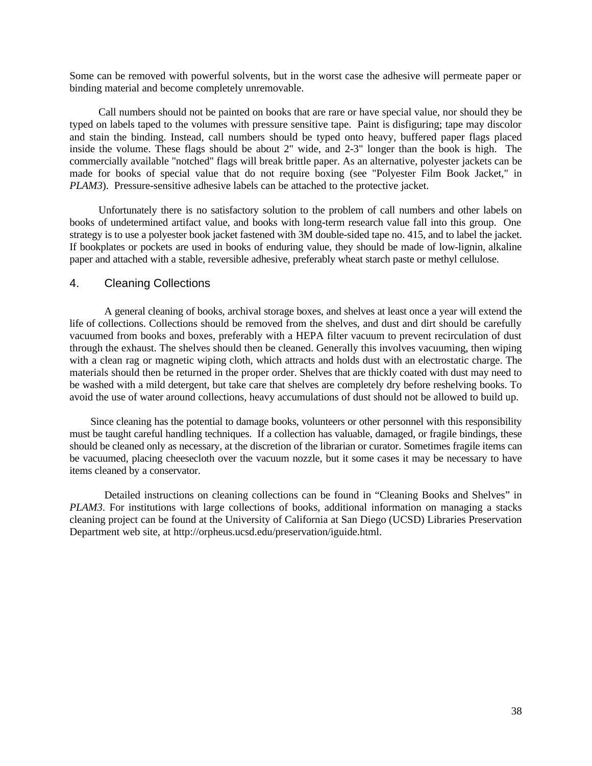Some can be removed with powerful solvents, but in the worst case the adhesive will permeate paper or binding material and become completely unremovable.

Call numbers should not be painted on books that are rare or have special value, nor should they be typed on labels taped to the volumes with pressure sensitive tape. Paint is disfiguring; tape may discolor and stain the binding. Instead, call numbers should be typed onto heavy, buffered paper flags placed inside the volume. These flags should be about 2" wide, and 2-3" longer than the book is high. The commercially available "notched" flags will break brittle paper. As an alternative, polyester jackets can be made for books of special value that do not require boxing (see "Polyester Film Book Jacket," in *PLAM3*). Pressure-sensitive adhesive labels can be attached to the protective jacket.

Unfortunately there is no satisfactory solution to the problem of call numbers and other labels on books of undetermined artifact value, and books with long-term research value fall into this group. One strategy is to use a polyester book jacket fastened with 3M double-sided tape no. 415, and to label the jacket. If bookplates or pockets are used in books of enduring value, they should be made of low-lignin, alkaline paper and attached with a stable, reversible adhesive, preferably wheat starch paste or methyl cellulose.

### 4. Cleaning Collections

A general cleaning of books, archival storage boxes, and shelves at least once a year will extend the life of collections. Collections should be removed from the shelves, and dust and dirt should be carefully vacuumed from books and boxes, preferably with a HEPA filter vacuum to prevent recirculation of dust through the exhaust. The shelves should then be cleaned. Generally this involves vacuuming, then wiping with a clean rag or magnetic wiping cloth, which attracts and holds dust with an electrostatic charge. The materials should then be returned in the proper order. Shelves that are thickly coated with dust may need to be washed with a mild detergent, but take care that shelves are completely dry before reshelving books. To avoid the use of water around collections, heavy accumulations of dust should not be allowed to build up.

Since cleaning has the potential to damage books, volunteers or other personnel with this responsibility must be taught careful handling techniques. If a collection has valuable, damaged, or fragile bindings, these should be cleaned only as necessary, at the discretion of the librarian or curator. Sometimes fragile items can be vacuumed, placing cheesecloth over the vacuum nozzle, but it some cases it may be necessary to have items cleaned by a conservator.

Detailed instructions on cleaning collections can be found in "Cleaning Books and Shelves" in *PLAM3*. For institutions with large collections of books, additional information on managing a stacks cleaning project can be found at the University of California at San Diego (UCSD) Libraries Preservation Department web site, at http://orpheus.ucsd.edu/preservation/iguide.html.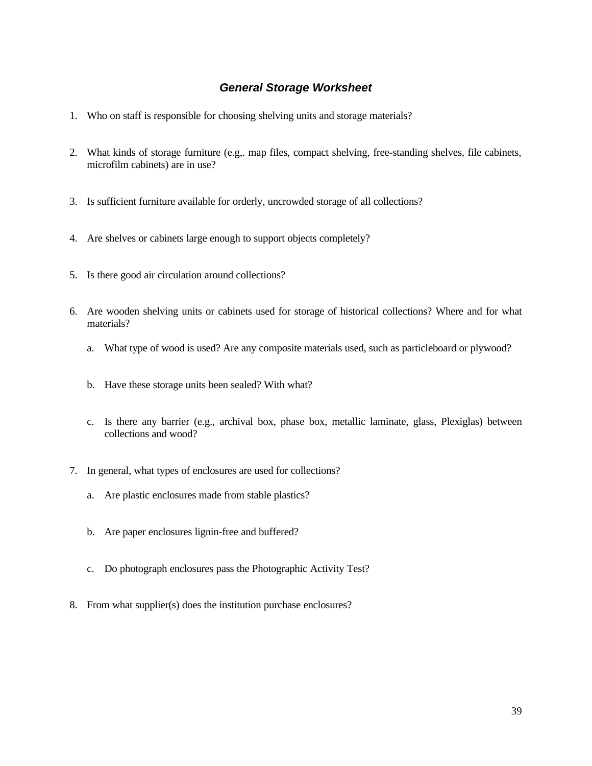## *General Storage Worksheet*

- 1. Who on staff is responsible for choosing shelving units and storage materials?
- 2. What kinds of storage furniture (e.g,. map files, compact shelving, free-standing shelves, file cabinets, microfilm cabinets) are in use?
- 3. Is sufficient furniture available for orderly, uncrowded storage of all collections?
- 4. Are shelves or cabinets large enough to support objects completely?
- 5. Is there good air circulation around collections?
- 6. Are wooden shelving units or cabinets used for storage of historical collections? Where and for what materials?
	- a. What type of wood is used? Are any composite materials used, such as particleboard or plywood?
	- b. Have these storage units been sealed? With what?
	- c. Is there any barrier (e.g., archival box, phase box, metallic laminate, glass, Plexiglas) between collections and wood?
- 7. In general, what types of enclosures are used for collections?
	- a. Are plastic enclosures made from stable plastics?
	- b. Are paper enclosures lignin-free and buffered?
	- c. Do photograph enclosures pass the Photographic Activity Test?
- 8. From what supplier(s) does the institution purchase enclosures?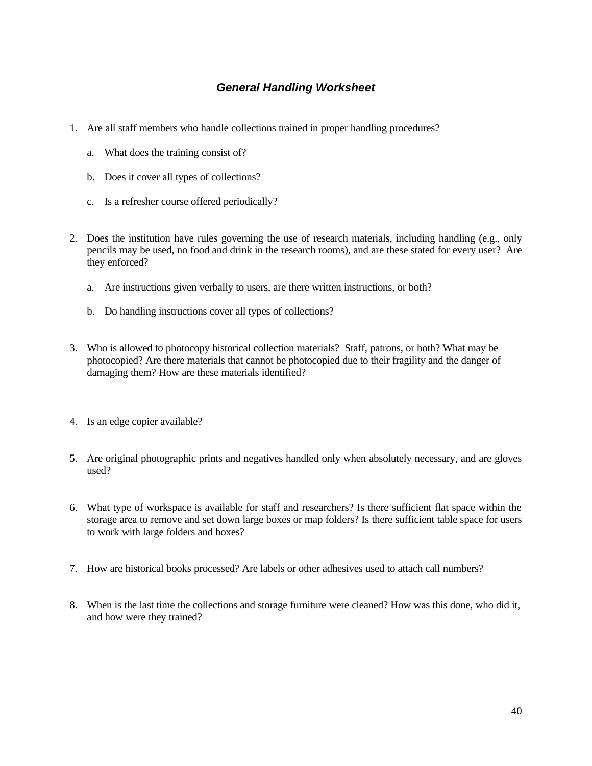# *General Handling Worksheet*

- 1. Are all staff members who handle collections trained in proper handling procedures?
	- a. What does the training consist of?
	- b. Does it cover all types of collections?
	- c. Is a refresher course offered periodically?
- 2. Does the institution have rules governing the use of research materials, including handling (e.g., only pencils may be used, no food and drink in the research rooms), and are these stated for every user? Are they enforced?
	- a. Are instructions given verbally to users, are there written instructions, or both?
	- b. Do handling instructions cover all types of collections?
- 3. Who is allowed to photocopy historical collection materials? Staff, patrons, or both? What may be photocopied? Are there materials that cannot be photocopied due to their fragility and the danger of damaging them? How are these materials identified?
- 4. Is an edge copier available?
- 5. Are original photographic prints and negatives handled only when absolutely necessary, and are gloves used?
- 6. What type of workspace is available for staff and researchers? Is there sufficient flat space within the storage area to remove and set down large boxes or map folders? Is there sufficient table space for users to work with large folders and boxes?
- 7. How are historical books processed? Are labels or other adhesives used to attach call numbers?
- 8. When is the last time the collections and storage furniture were cleaned? How was this done, who did it, and how were they trained?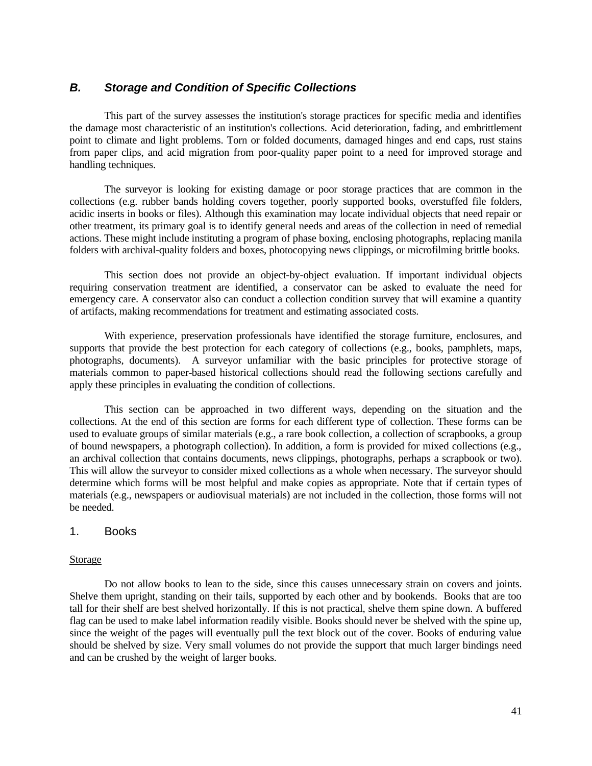## *B. Storage and Condition of Specific Collections*

This part of the survey assesses the institution's storage practices for specific media and identifies the damage most characteristic of an institution's collections. Acid deterioration, fading, and embrittlement point to climate and light problems. Torn or folded documents, damaged hinges and end caps, rust stains from paper clips, and acid migration from poor-quality paper point to a need for improved storage and handling techniques.

The surveyor is looking for existing damage or poor storage practices that are common in the collections (e.g. rubber bands holding covers together, poorly supported books, overstuffed file folders, acidic inserts in books or files). Although this examination may locate individual objects that need repair or other treatment, its primary goal is to identify general needs and areas of the collection in need of remedial actions. These might include instituting a program of phase boxing, enclosing photographs, replacing manila folders with archival-quality folders and boxes, photocopying news clippings, or microfilming brittle books.

This section does not provide an object-by-object evaluation. If important individual objects requiring conservation treatment are identified, a conservator can be asked to evaluate the need for emergency care. A conservator also can conduct a collection condition survey that will examine a quantity of artifacts, making recommendations for treatment and estimating associated costs.

With experience, preservation professionals have identified the storage furniture, enclosures, and supports that provide the best protection for each category of collections (e.g., books, pamphlets, maps, photographs, documents). A surveyor unfamiliar with the basic principles for protective storage of materials common to paper-based historical collections should read the following sections carefully and apply these principles in evaluating the condition of collections.

This section can be approached in two different ways, depending on the situation and the collections. At the end of this section are forms for each different type of collection. These forms can be used to evaluate groups of similar materials (e.g., a rare book collection, a collection of scrapbooks, a group of bound newspapers, a photograph collection). In addition, a form is provided for mixed collections (e.g., an archival collection that contains documents, news clippings, photographs, perhaps a scrapbook or two). This will allow the surveyor to consider mixed collections as a whole when necessary. The surveyor should determine which forms will be most helpful and make copies as appropriate. Note that if certain types of materials (e.g., newspapers or audiovisual materials) are not included in the collection, those forms will not be needed.

### 1. Books

#### Storage

Do not allow books to lean to the side, since this causes unnecessary strain on covers and joints. Shelve them upright, standing on their tails, supported by each other and by bookends. Books that are too tall for their shelf are best shelved horizontally. If this is not practical, shelve them spine down. A buffered flag can be used to make label information readily visible. Books should never be shelved with the spine up, since the weight of the pages will eventually pull the text block out of the cover. Books of enduring value should be shelved by size. Very small volumes do not provide the support that much larger bindings need and can be crushed by the weight of larger books.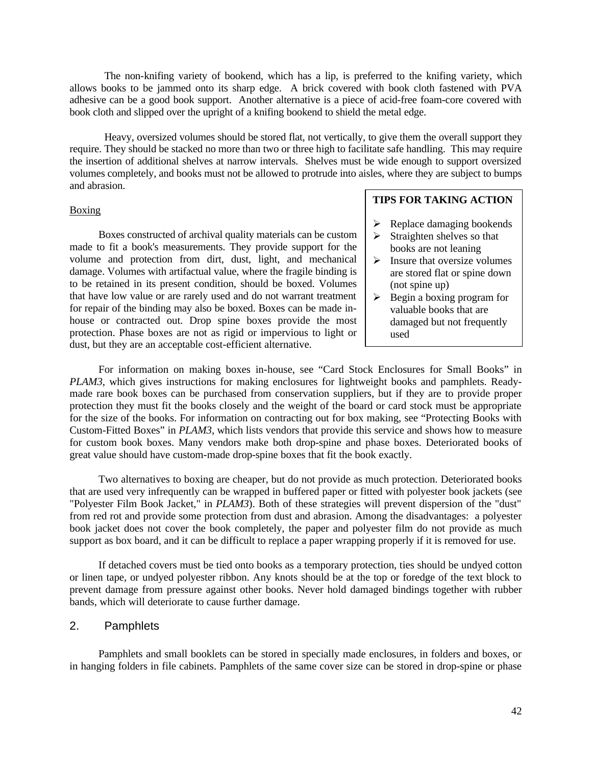The non-knifing variety of bookend, which has a lip, is preferred to the knifing variety, which allows books to be jammed onto its sharp edge. A brick covered with book cloth fastened with PVA adhesive can be a good book support. Another alternative is a piece of acid-free foam-core covered with book cloth and slipped over the upright of a knifing bookend to shield the metal edge.

Heavy, oversized volumes should be stored flat, not vertically, to give them the overall support they require. They should be stacked no more than two or three high to facilitate safe handling. This may require the insertion of additional shelves at narrow intervals. Shelves must be wide enough to support oversized volumes completely, and books must not be allowed to protrude into aisles, where they are subject to bumps and abrasion.

#### **Boxing**

Boxes constructed of archival quality materials can be custom made to fit a book's measurements. They provide support for the volume and protection from dirt, dust, light, and mechanical damage. Volumes with artifactual value, where the fragile binding is to be retained in its present condition, should be boxed. Volumes that have low value or are rarely used and do not warrant treatment for repair of the binding may also be boxed. Boxes can be made inhouse or contracted out. Drop spine boxes provide the most protection. Phase boxes are not as rigid or impervious to light or dust, but they are an acceptable cost-efficient alternative.

### **TIPS FOR TAKING ACTION**

- $\triangleright$  Replace damaging bookends Straighten shelves so that
- books are not leaning
- $\triangleright$  Insure that oversize volumes are stored flat or spine down (not spine up)
- $\triangleright$  Begin a boxing program for valuable books that are damaged but not frequently used

For information on making boxes in-house, see "Card Stock Enclosures for Small Books" in *PLAM3*, which gives instructions for making enclosures for lightweight books and pamphlets. Readymade rare book boxes can be purchased from conservation suppliers, but if they are to provide proper protection they must fit the books closely and the weight of the board or card stock must be appropriate for the size of the books. For information on contracting out for box making, see "Protecting Books with Custom-Fitted Boxes" in *PLAM3*, which lists vendors that provide this service and shows how to measure for custom book boxes. Many vendors make both drop-spine and phase boxes. Deteriorated books of great value should have custom-made drop-spine boxes that fit the book exactly.

Two alternatives to boxing are cheaper, but do not provide as much protection. Deteriorated books that are used very infrequently can be wrapped in buffered paper or fitted with polyester book jackets (see "Polyester Film Book Jacket," in *PLAM3*). Both of these strategies will prevent dispersion of the "dust" from red rot and provide some protection from dust and abrasion. Among the disadvantages: a polyester book jacket does not cover the book completely, the paper and polyester film do not provide as much support as box board, and it can be difficult to replace a paper wrapping properly if it is removed for use.

If detached covers must be tied onto books as a temporary protection, ties should be undyed cotton or linen tape, or undyed polyester ribbon. Any knots should be at the top or foredge of the text block to prevent damage from pressure against other books. Never hold damaged bindings together with rubber bands, which will deteriorate to cause further damage.

#### 2. Pamphlets

Pamphlets and small booklets can be stored in specially made enclosures, in folders and boxes, or in hanging folders in file cabinets. Pamphlets of the same cover size can be stored in drop-spine or phase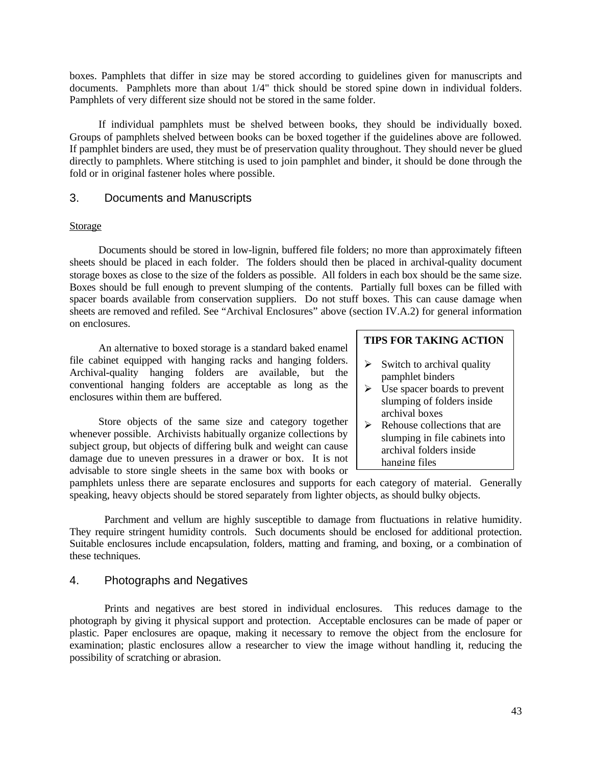boxes. Pamphlets that differ in size may be stored according to guidelines given for manuscripts and documents. Pamphlets more than about 1/4" thick should be stored spine down in individual folders. Pamphlets of very different size should not be stored in the same folder.

If individual pamphlets must be shelved between books, they should be individually boxed. Groups of pamphlets shelved between books can be boxed together if the guidelines above are followed. If pamphlet binders are used, they must be of preservation quality throughout. They should never be glued directly to pamphlets. Where stitching is used to join pamphlet and binder, it should be done through the fold or in original fastener holes where possible.

### 3. Documents and Manuscripts

#### **Storage**

Documents should be stored in low-lignin, buffered file folders; no more than approximately fifteen sheets should be placed in each folder. The folders should then be placed in archival-quality document storage boxes as close to the size of the folders as possible. All folders in each box should be the same size. Boxes should be full enough to prevent slumping of the contents. Partially full boxes can be filled with spacer boards available from conservation suppliers. Do not stuff boxes. This can cause damage when sheets are removed and refiled. See "Archival Enclosures" above (section IV.A.2) for general information on enclosures.

An alternative to boxed storage is a standard baked enamel file cabinet equipped with hanging racks and hanging folders. Archival-quality hanging folders are available, but the conventional hanging folders are acceptable as long as the enclosures within them are buffered.

Store objects of the same size and category together whenever possible. Archivists habitually organize collections by subject group, but objects of differing bulk and weight can cause damage due to uneven pressures in a drawer or box. It is not advisable to store single sheets in the same box with books or

### **TIPS FOR TAKING ACTION**

- $\triangleright$  Switch to archival quality pamphlet binders
- $\triangleright$  Use spacer boards to prevent slumping of folders inside archival boxes
- $\triangleright$  Rehouse collections that are slumping in file cabinets into archival folders inside hanging files

pamphlets unless there are separate enclosures and supports for each category of material. Generally speaking, heavy objects should be stored separately from lighter objects, as should bulky objects.

Parchment and vellum are highly susceptible to damage from fluctuations in relative humidity. They require stringent humidity controls. Such documents should be enclosed for additional protection. Suitable enclosures include encapsulation, folders, matting and framing, and boxing, or a combination of these techniques.

### 4. Photographs and Negatives

Prints and negatives are best stored in individual enclosures. This reduces damage to the photograph by giving it physical support and protection. Acceptable enclosures can be made of paper or plastic. Paper enclosures are opaque, making it necessary to remove the object from the enclosure for examination; plastic enclosures allow a researcher to view the image without handling it, reducing the possibility of scratching or abrasion.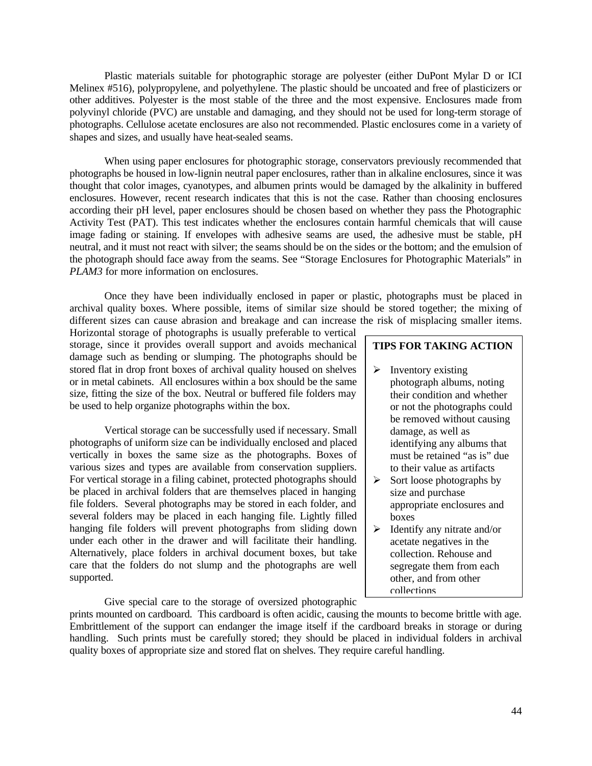Plastic materials suitable for photographic storage are polyester (either DuPont Mylar D or ICI Melinex #516), polypropylene, and polyethylene. The plastic should be uncoated and free of plasticizers or other additives. Polyester is the most stable of the three and the most expensive. Enclosures made from polyvinyl chloride (PVC) are unstable and damaging, and they should not be used for long-term storage of photographs. Cellulose acetate enclosures are also not recommended. Plastic enclosures come in a variety of shapes and sizes, and usually have heat-sealed seams.

When using paper enclosures for photographic storage, conservators previously recommended that photographs be housed in low-lignin neutral paper enclosures, rather than in alkaline enclosures, since it was thought that color images, cyanotypes, and albumen prints would be damaged by the alkalinity in buffered enclosures. However, recent research indicates that this is not the case. Rather than choosing enclosures according their pH level, paper enclosures should be chosen based on whether they pass the Photographic Activity Test (PAT). This test indicates whether the enclosures contain harmful chemicals that will cause image fading or staining. If envelopes with adhesive seams are used, the adhesive must be stable, pH neutral, and it must not react with silver; the seams should be on the sides or the bottom; and the emulsion of the photograph should face away from the seams. See "Storage Enclosures for Photographic Materials" in *PLAM3* for more information on enclosures.

Once they have been individually enclosed in paper or plastic, photographs must be placed in archival quality boxes. Where possible, items of similar size should be stored together; the mixing of different sizes can cause abrasion and breakage and can increase the risk of misplacing smaller items.

Horizontal storage of photographs is usually preferable to vertical storage, since it provides overall support and avoids mechanical damage such as bending or slumping. The photographs should be stored flat in drop front boxes of archival quality housed on shelves or in metal cabinets. All enclosures within a box should be the same size, fitting the size of the box. Neutral or buffered file folders may be used to help organize photographs within the box.

Vertical storage can be successfully used if necessary. Small photographs of uniform size can be individually enclosed and placed vertically in boxes the same size as the photographs. Boxes of various sizes and types are available from conservation suppliers. For vertical storage in a filing cabinet, protected photographs should be placed in archival folders that are themselves placed in hanging file folders. Several photographs may be stored in each folder, and several folders may be placed in each hanging file. Lightly filled hanging file folders will prevent photographs from sliding down under each other in the drawer and will facilitate their handling. Alternatively, place folders in archival document boxes, but take care that the folders do not slump and the photographs are well supported.

Give special care to the storage of oversized photographic

## **TIPS FOR TAKING ACTION**

- $\triangleright$  Inventory existing photograph albums, noting their condition and whether or not the photographs could be removed without causing damage, as well as identifying any albums that must be retained "as is" due to their value as artifacts
- $\triangleright$  Sort loose photographs by size and purchase appropriate enclosures and boxes
- $\blacktriangleright$  Identify any nitrate and/or acetate negatives in the collection. Rehouse and segregate them from each other, and from other collections

prints mounted on cardboard. This cardboard is often acidic, causing the mounts to become brittle with age. Embrittlement of the support can endanger the image itself if the cardboard breaks in storage or during handling. Such prints must be carefully stored; they should be placed in individual folders in archival quality boxes of appropriate size and stored flat on shelves. They require careful handling.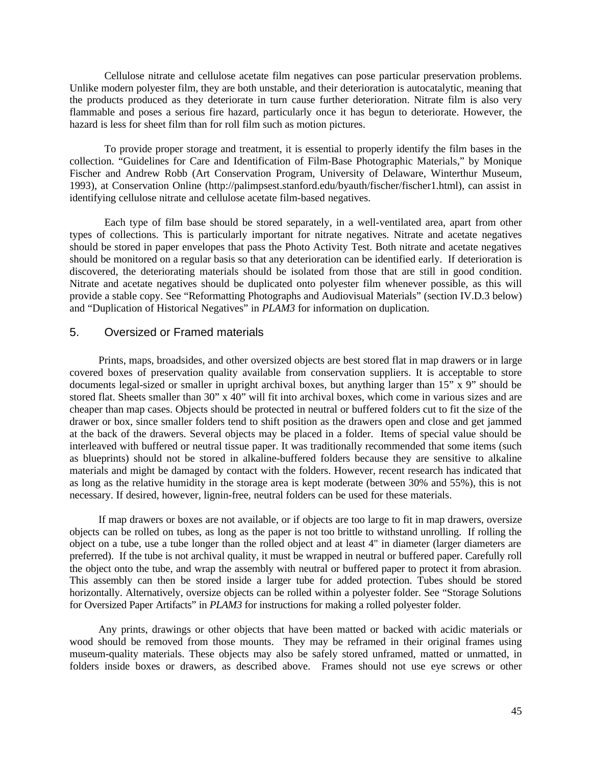Cellulose nitrate and cellulose acetate film negatives can pose particular preservation problems. Unlike modern polyester film, they are both unstable, and their deterioration is autocatalytic, meaning that the products produced as they deteriorate in turn cause further deterioration. Nitrate film is also very flammable and poses a serious fire hazard, particularly once it has begun to deteriorate. However, the hazard is less for sheet film than for roll film such as motion pictures.

To provide proper storage and treatment, it is essential to properly identify the film bases in the collection. "Guidelines for Care and Identification of Film-Base Photographic Materials," by Monique Fischer and Andrew Robb (Art Conservation Program, University of Delaware, Winterthur Museum, 1993), at Conservation Online (http://palimpsest.stanford.edu/byauth/fischer/fischer1.html), can assist in identifying cellulose nitrate and cellulose acetate film-based negatives.

Each type of film base should be stored separately, in a well-ventilated area, apart from other types of collections. This is particularly important for nitrate negatives. Nitrate and acetate negatives should be stored in paper envelopes that pass the Photo Activity Test. Both nitrate and acetate negatives should be monitored on a regular basis so that any deterioration can be identified early. If deterioration is discovered, the deteriorating materials should be isolated from those that are still in good condition. Nitrate and acetate negatives should be duplicated onto polyester film whenever possible, as this will provide a stable copy. See "Reformatting Photographs and Audiovisual Materials" (section IV.D.3 below) and "Duplication of Historical Negatives" in *PLAM3* for information on duplication.

### 5. Oversized or Framed materials

Prints, maps, broadsides, and other oversized objects are best stored flat in map drawers or in large covered boxes of preservation quality available from conservation suppliers. It is acceptable to store documents legal-sized or smaller in upright archival boxes, but anything larger than  $15$ " x 9" should be stored flat. Sheets smaller than 30" x 40" will fit into archival boxes, which come in various sizes and are cheaper than map cases. Objects should be protected in neutral or buffered folders cut to fit the size of the drawer or box, since smaller folders tend to shift position as the drawers open and close and get jammed at the back of the drawers. Several objects may be placed in a folder. Items of special value should be interleaved with buffered or neutral tissue paper. It was traditionally recommended that some items (such as blueprints) should not be stored in alkaline-buffered folders because they are sensitive to alkaline materials and might be damaged by contact with the folders. However, recent research has indicated that as long as the relative humidity in the storage area is kept moderate (between 30% and 55%), this is not necessary. If desired, however, lignin-free, neutral folders can be used for these materials.

If map drawers or boxes are not available, or if objects are too large to fit in map drawers, oversize objects can be rolled on tubes, as long as the paper is not too brittle to withstand unrolling. If rolling the object on a tube, use a tube longer than the rolled object and at least 4" in diameter (larger diameters are preferred). If the tube is not archival quality, it must be wrapped in neutral or buffered paper. Carefully roll the object onto the tube, and wrap the assembly with neutral or buffered paper to protect it from abrasion. This assembly can then be stored inside a larger tube for added protection. Tubes should be stored horizontally. Alternatively, oversize objects can be rolled within a polyester folder. See "Storage Solutions for Oversized Paper Artifacts" in *PLAM3* for instructions for making a rolled polyester folder.

Any prints, drawings or other objects that have been matted or backed with acidic materials or wood should be removed from those mounts. They may be reframed in their original frames using museum-quality materials. These objects may also be safely stored unframed, matted or unmatted, in folders inside boxes or drawers, as described above. Frames should not use eye screws or other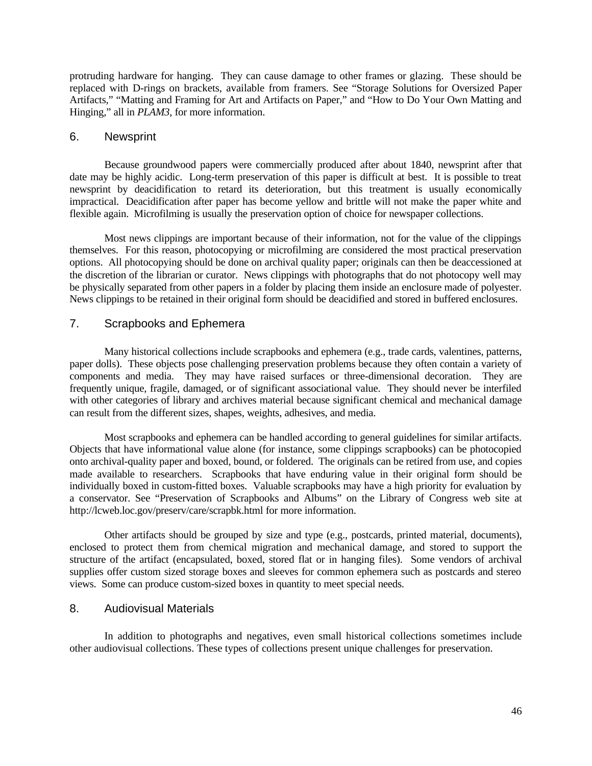protruding hardware for hanging. They can cause damage to other frames or glazing. These should be replaced with D-rings on brackets, available from framers. See "Storage Solutions for Oversized Paper Artifacts," "Matting and Framing for Art and Artifacts on Paper," and "How to Do Your Own Matting and Hinging," all in *PLAM3*, for more information.

#### 6. Newsprint

Because groundwood papers were commercially produced after about 1840, newsprint after that date may be highly acidic. Long-term preservation of this paper is difficult at best. It is possible to treat newsprint by deacidification to retard its deterioration, but this treatment is usually economically impractical. Deacidification after paper has become yellow and brittle will not make the paper white and flexible again. Microfilming is usually the preservation option of choice for newspaper collections.

Most news clippings are important because of their information, not for the value of the clippings themselves. For this reason, photocopying or microfilming are considered the most practical preservation options. All photocopying should be done on archival quality paper; originals can then be deaccessioned at the discretion of the librarian or curator. News clippings with photographs that do not photocopy well may be physically separated from other papers in a folder by placing them inside an enclosure made of polyester. News clippings to be retained in their original form should be deacidified and stored in buffered enclosures.

### 7. Scrapbooks and Ephemera

Many historical collections include scrapbooks and ephemera (e.g., trade cards, valentines, patterns, paper dolls). These objects pose challenging preservation problems because they often contain a variety of components and media. They may have raised surfaces or three-dimensional decoration. They are frequently unique, fragile, damaged, or of significant associational value. They should never be interfiled with other categories of library and archives material because significant chemical and mechanical damage can result from the different sizes, shapes, weights, adhesives, and media.

Most scrapbooks and ephemera can be handled according to general guidelines for similar artifacts. Objects that have informational value alone (for instance, some clippings scrapbooks) can be photocopied onto archival-quality paper and boxed, bound, or foldered. The originals can be retired from use, and copies made available to researchers. Scrapbooks that have enduring value in their original form should be individually boxed in custom-fitted boxes. Valuable scrapbooks may have a high priority for evaluation by a conservator. See "Preservation of Scrapbooks and Albums" on the Library of Congress web site at http://lcweb.loc.gov/preserv/care/scrapbk.html for more information.

Other artifacts should be grouped by size and type (e.g., postcards, printed material, documents), enclosed to protect them from chemical migration and mechanical damage, and stored to support the structure of the artifact (encapsulated, boxed, stored flat or in hanging files). Some vendors of archival supplies offer custom sized storage boxes and sleeves for common ephemera such as postcards and stereo views. Some can produce custom-sized boxes in quantity to meet special needs.

### 8. Audiovisual Materials

In addition to photographs and negatives, even small historical collections sometimes include other audiovisual collections. These types of collections present unique challenges for preservation.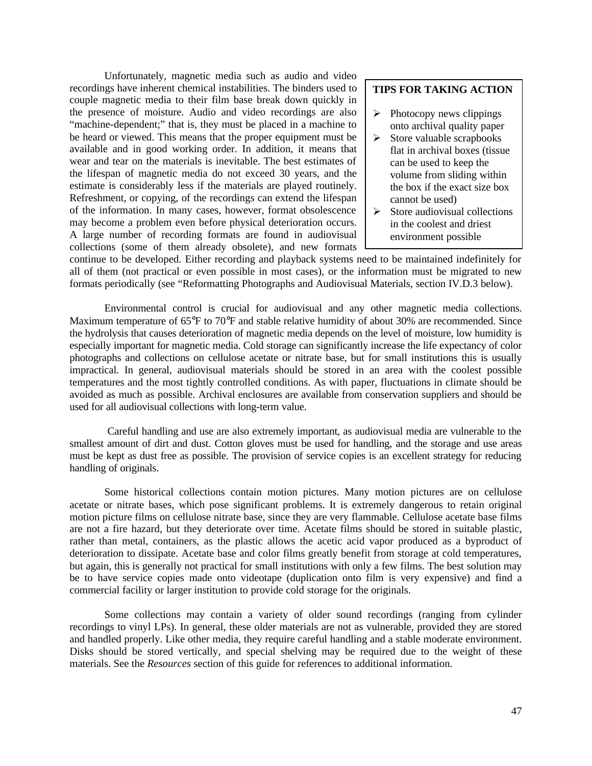Unfortunately, magnetic media such as audio and video recordings have inherent chemical instabilities. The binders used to couple magnetic media to their film base break down quickly in the presence of moisture. Audio and video recordings are also "machine-dependent;" that is, they must be placed in a machine to be heard or viewed. This means that the proper equipment must be available and in good working order. In addition, it means that wear and tear on the materials is inevitable. The best estimates of the lifespan of magnetic media do not exceed 30 years, and the estimate is considerably less if the materials are played routinely. Refreshment, or copying, of the recordings can extend the lifespan of the information. In many cases, however, format obsolescence may become a problem even before physical deterioration occurs. A large number of recording formats are found in audiovisual collections (some of them already obsolete), and new formats

#### **TIPS FOR TAKING ACTION**

- $\triangleright$  Photocopy news clippings onto archival quality paper
- $\triangleright$  Store valuable scrapbooks flat in archival boxes (tissue can be used to keep the volume from sliding within the box if the exact size box cannot be used)
- $\triangleright$  Store audiovisual collections in the coolest and driest environment possible

continue to be developed. Either recording and playback systems need to be maintained indefinitely for all of them (not practical or even possible in most cases), or the information must be migrated to new formats periodically (see "Reformatting Photographs and Audiovisual Materials, section IV.D.3 below).

Environmental control is crucial for audiovisual and any other magnetic media collections. Maximum temperature of 65°F to 70°F and stable relative humidity of about 30% are recommended. Since the hydrolysis that causes deterioration of magnetic media depends on the level of moisture, low humidity is especially important for magnetic media. Cold storage can significantly increase the life expectancy of color photographs and collections on cellulose acetate or nitrate base, but for small institutions this is usually impractical. In general, audiovisual materials should be stored in an area with the coolest possible temperatures and the most tightly controlled conditions. As with paper, fluctuations in climate should be avoided as much as possible. Archival enclosures are available from conservation suppliers and should be used for all audiovisual collections with long-term value.

 Careful handling and use are also extremely important, as audiovisual media are vulnerable to the smallest amount of dirt and dust. Cotton gloves must be used for handling, and the storage and use areas must be kept as dust free as possible. The provision of service copies is an excellent strategy for reducing handling of originals.

Some historical collections contain motion pictures. Many motion pictures are on cellulose acetate or nitrate bases, which pose significant problems. It is extremely dangerous to retain original motion picture films on cellulose nitrate base, since they are very flammable. Cellulose acetate base films are not a fire hazard, but they deteriorate over time. Acetate films should be stored in suitable plastic, rather than metal, containers, as the plastic allows the acetic acid vapor produced as a byproduct of deterioration to dissipate. Acetate base and color films greatly benefit from storage at cold temperatures, but again, this is generally not practical for small institutions with only a few films. The best solution may be to have service copies made onto videotape (duplication onto film is very expensive) and find a commercial facility or larger institution to provide cold storage for the originals.

Some collections may contain a variety of older sound recordings (ranging from cylinder recordings to vinyl LPs). In general, these older materials are not as vulnerable, provided they are stored and handled properly. Like other media, they require careful handling and a stable moderate environment. Disks should be stored vertically, and special shelving may be required due to the weight of these materials. See the *Resources* section of this guide for references to additional information.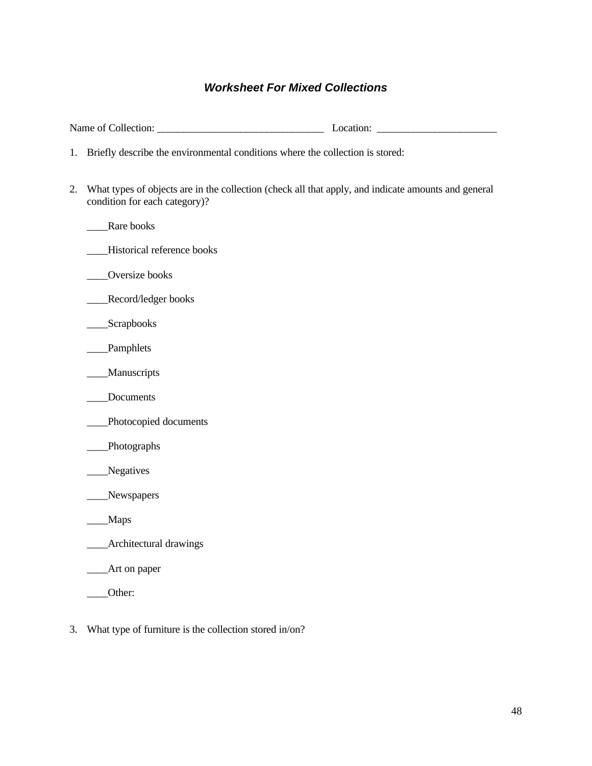# *Worksheet For Mixed Collections*

| Briefly describe the environmental conditions where the collection is stored:<br>1.                                                        |  |
|--------------------------------------------------------------------------------------------------------------------------------------------|--|
| What types of objects are in the collection (check all that apply, and indicate amounts and general<br>2.<br>condition for each category)? |  |
| Rare books                                                                                                                                 |  |
| Historical reference books                                                                                                                 |  |
| Oversize books                                                                                                                             |  |
| Record/ledger books                                                                                                                        |  |
| $S$ crapbooks                                                                                                                              |  |
| Pamphlets                                                                                                                                  |  |
| _Manuscripts                                                                                                                               |  |
| Documents                                                                                                                                  |  |
| _Photocopied documents                                                                                                                     |  |
| _Photographs                                                                                                                               |  |
| Negatives                                                                                                                                  |  |
| Newspapers                                                                                                                                 |  |
| <b>Maps</b>                                                                                                                                |  |
| <b>Architectural drawings</b>                                                                                                              |  |
| _Art on paper                                                                                                                              |  |
| Other:                                                                                                                                     |  |
|                                                                                                                                            |  |

3. What type of furniture is the collection stored in/on?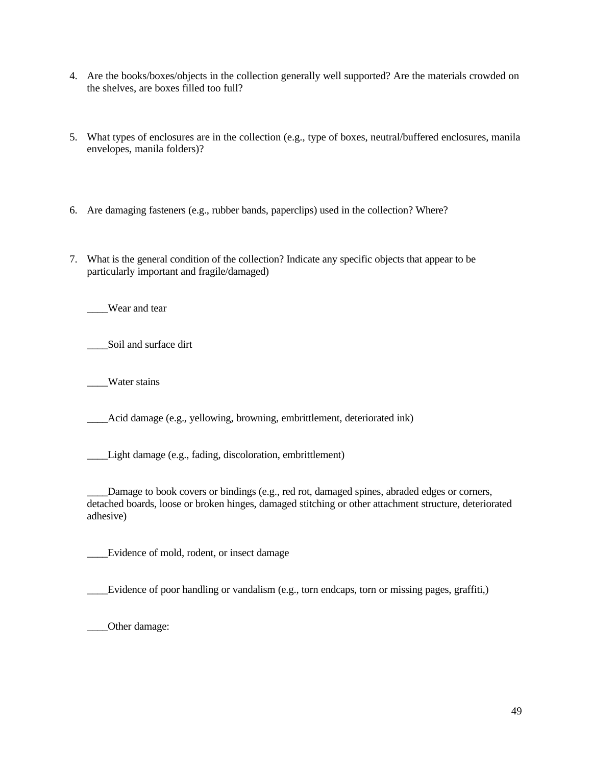- 4. Are the books/boxes/objects in the collection generally well supported? Are the materials crowded on the shelves, are boxes filled too full?
- 5. What types of enclosures are in the collection (e.g., type of boxes, neutral/buffered enclosures, manila envelopes, manila folders)?
- 6. Are damaging fasteners (e.g., rubber bands, paperclips) used in the collection? Where?
- 7. What is the general condition of the collection? Indicate any specific objects that appear to be particularly important and fragile/damaged)

\_\_\_\_Wear and tear

\_\_\_\_Soil and surface dirt

\_\_\_\_Water stains

\_\_\_\_Acid damage (e.g., yellowing, browning, embrittlement, deteriorated ink)

\_\_\_\_Light damage (e.g., fading, discoloration, embrittlement)

\_\_\_\_Damage to book covers or bindings (e.g., red rot, damaged spines, abraded edges or corners, detached boards, loose or broken hinges, damaged stitching or other attachment structure, deteriorated adhesive)

\_\_\_\_Evidence of mold, rodent, or insect damage

\_\_\_\_Evidence of poor handling or vandalism (e.g., torn endcaps, torn or missing pages, graffiti,)

\_\_\_\_Other damage: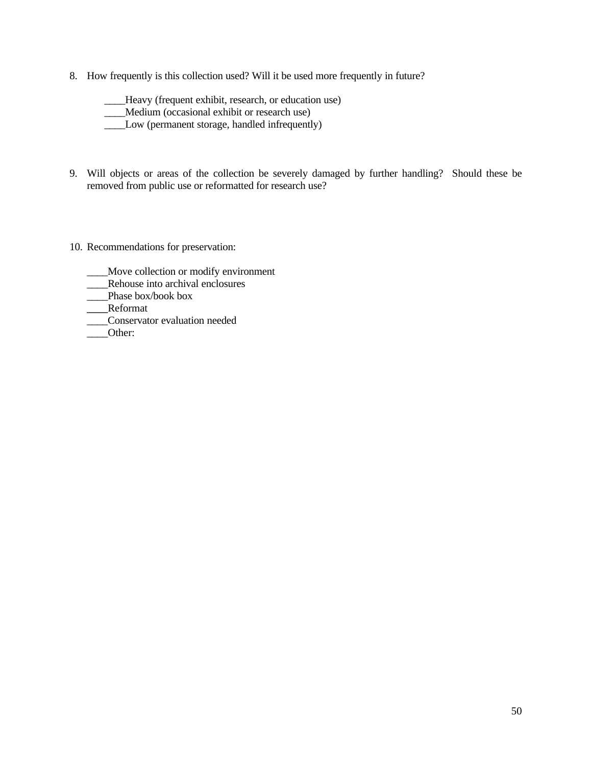8. How frequently is this collection used? Will it be used more frequently in future?

\_\_\_\_Heavy (frequent exhibit, research, or education use) \_\_\_\_Medium (occasional exhibit or research use) \_\_\_\_Low (permanent storage, handled infrequently)

- 9. Will objects or areas of the collection be severely damaged by further handling? Should these be removed from public use or reformatted for research use?
- 10. Recommendations for preservation:
	- \_\_\_\_Move collection or modify environment
	- \_\_\_\_Rehouse into archival enclosures
	- \_\_\_\_Phase box/book box
	- \_\_\_\_Reformat
	- \_\_\_\_Conservator evaluation needed
	- Other: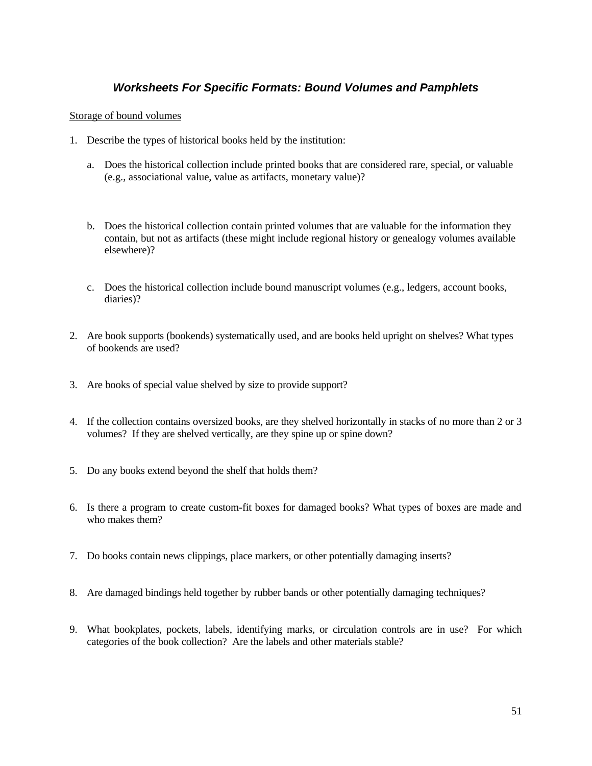## *Worksheets For Specific Formats: Bound Volumes and Pamphlets*

### Storage of bound volumes

- 1. Describe the types of historical books held by the institution:
	- a. Does the historical collection include printed books that are considered rare, special, or valuable (e.g., associational value, value as artifacts, monetary value)?
	- b. Does the historical collection contain printed volumes that are valuable for the information they contain, but not as artifacts (these might include regional history or genealogy volumes available elsewhere)?
	- c. Does the historical collection include bound manuscript volumes (e.g., ledgers, account books, diaries)?
- 2. Are book supports (bookends) systematically used, and are books held upright on shelves? What types of bookends are used?
- 3. Are books of special value shelved by size to provide support?
- 4. If the collection contains oversized books, are they shelved horizontally in stacks of no more than 2 or 3 volumes? If they are shelved vertically, are they spine up or spine down?
- 5. Do any books extend beyond the shelf that holds them?
- 6. Is there a program to create custom-fit boxes for damaged books? What types of boxes are made and who makes them?
- 7. Do books contain news clippings, place markers, or other potentially damaging inserts?
- 8. Are damaged bindings held together by rubber bands or other potentially damaging techniques?
- 9. What bookplates, pockets, labels, identifying marks, or circulation controls are in use? For which categories of the book collection? Are the labels and other materials stable?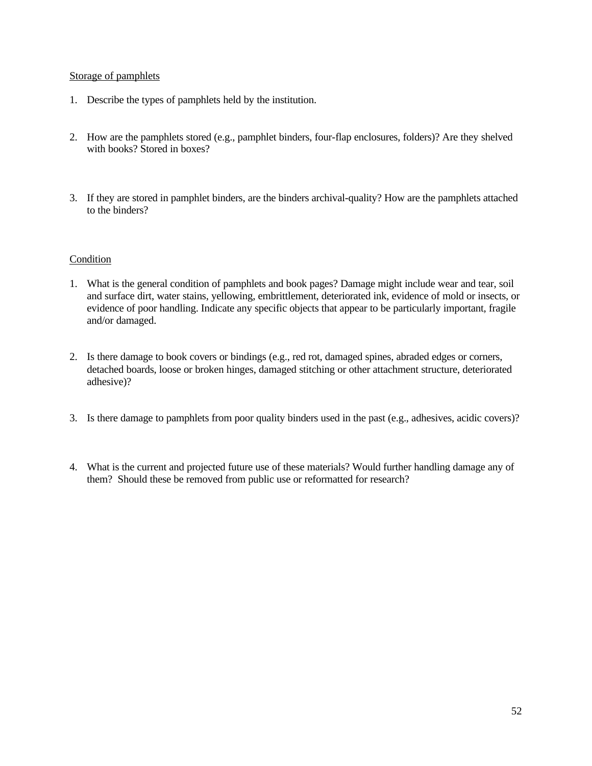### Storage of pamphlets

- 1. Describe the types of pamphlets held by the institution.
- 2. How are the pamphlets stored (e.g., pamphlet binders, four-flap enclosures, folders)? Are they shelved with books? Stored in boxes?
- 3. If they are stored in pamphlet binders, are the binders archival-quality? How are the pamphlets attached to the binders?

- 1. What is the general condition of pamphlets and book pages? Damage might include wear and tear, soil and surface dirt, water stains, yellowing, embrittlement, deteriorated ink, evidence of mold or insects, or evidence of poor handling. Indicate any specific objects that appear to be particularly important, fragile and/or damaged.
- 2. Is there damage to book covers or bindings (e.g., red rot, damaged spines, abraded edges or corners, detached boards, loose or broken hinges, damaged stitching or other attachment structure, deteriorated adhesive)?
- 3. Is there damage to pamphlets from poor quality binders used in the past (e.g., adhesives, acidic covers)?
- 4. What is the current and projected future use of these materials? Would further handling damage any of them? Should these be removed from public use or reformatted for research?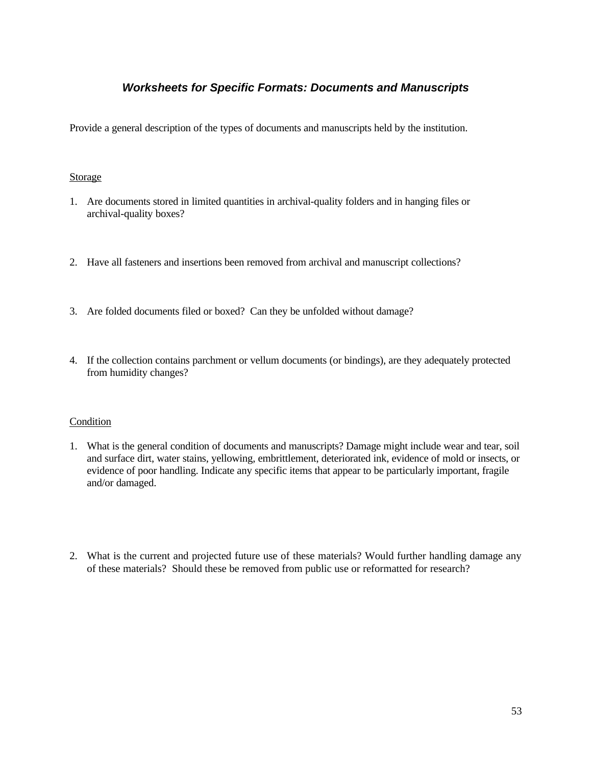## *Worksheets for Specific Formats: Documents and Manuscripts*

Provide a general description of the types of documents and manuscripts held by the institution.

### Storage

- 1. Are documents stored in limited quantities in archival-quality folders and in hanging files or archival-quality boxes?
- 2. Have all fasteners and insertions been removed from archival and manuscript collections?
- 3. Are folded documents filed or boxed? Can they be unfolded without damage?
- 4. If the collection contains parchment or vellum documents (or bindings), are they adequately protected from humidity changes?

- 1. What is the general condition of documents and manuscripts? Damage might include wear and tear, soil and surface dirt, water stains, yellowing, embrittlement, deteriorated ink, evidence of mold or insects, or evidence of poor handling. Indicate any specific items that appear to be particularly important, fragile and/or damaged.
- 2. What is the current and projected future use of these materials? Would further handling damage any of these materials? Should these be removed from public use or reformatted for research?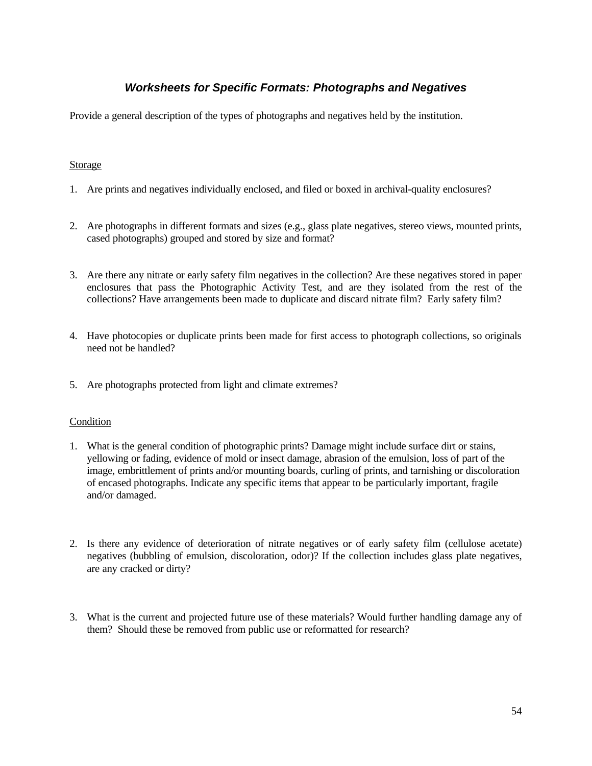# *Worksheets for Specific Formats: Photographs and Negatives*

Provide a general description of the types of photographs and negatives held by the institution.

### **Storage**

- 1. Are prints and negatives individually enclosed, and filed or boxed in archival-quality enclosures?
- 2. Are photographs in different formats and sizes (e.g., glass plate negatives, stereo views, mounted prints, cased photographs) grouped and stored by size and format?
- 3. Are there any nitrate or early safety film negatives in the collection? Are these negatives stored in paper enclosures that pass the Photographic Activity Test, and are they isolated from the rest of the collections? Have arrangements been made to duplicate and discard nitrate film? Early safety film?
- 4. Have photocopies or duplicate prints been made for first access to photograph collections, so originals need not be handled?
- 5. Are photographs protected from light and climate extremes?

- 1. What is the general condition of photographic prints? Damage might include surface dirt or stains, yellowing or fading, evidence of mold or insect damage, abrasion of the emulsion, loss of part of the image, embrittlement of prints and/or mounting boards, curling of prints, and tarnishing or discoloration of encased photographs. Indicate any specific items that appear to be particularly important, fragile and/or damaged.
- 2. Is there any evidence of deterioration of nitrate negatives or of early safety film (cellulose acetate) negatives (bubbling of emulsion, discoloration, odor)? If the collection includes glass plate negatives, are any cracked or dirty?
- 3. What is the current and projected future use of these materials? Would further handling damage any of them? Should these be removed from public use or reformatted for research?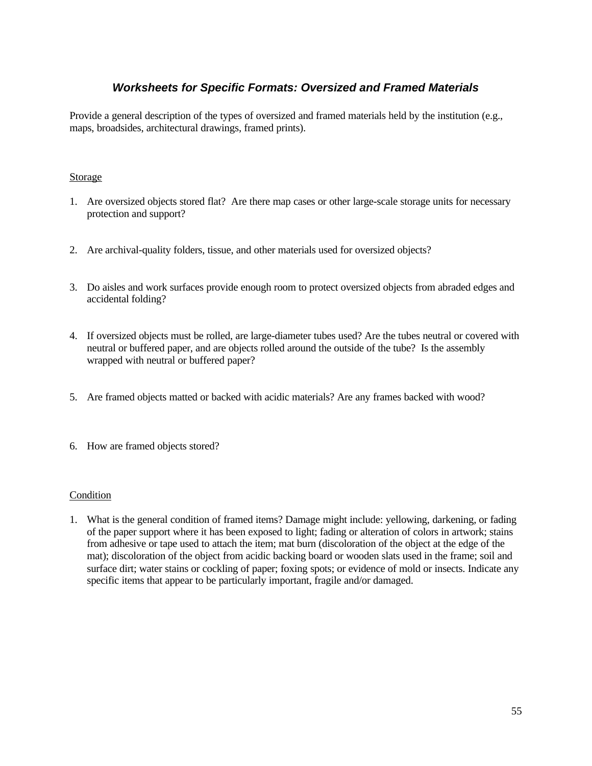# *Worksheets for Specific Formats: Oversized and Framed Materials*

Provide a general description of the types of oversized and framed materials held by the institution (e.g., maps, broadsides, architectural drawings, framed prints).

### Storage

- 1. Are oversized objects stored flat? Are there map cases or other large-scale storage units for necessary protection and support?
- 2. Are archival-quality folders, tissue, and other materials used for oversized objects?
- 3. Do aisles and work surfaces provide enough room to protect oversized objects from abraded edges and accidental folding?
- 4. If oversized objects must be rolled, are large-diameter tubes used? Are the tubes neutral or covered with neutral or buffered paper, and are objects rolled around the outside of the tube? Is the assembly wrapped with neutral or buffered paper?
- 5. Are framed objects matted or backed with acidic materials? Are any frames backed with wood?
- 6. How are framed objects stored?

### **Condition**

1. What is the general condition of framed items? Damage might include: yellowing, darkening, or fading of the paper support where it has been exposed to light; fading or alteration of colors in artwork; stains from adhesive or tape used to attach the item; mat burn (discoloration of the object at the edge of the mat); discoloration of the object from acidic backing board or wooden slats used in the frame; soil and surface dirt; water stains or cockling of paper; foxing spots; or evidence of mold or insects. Indicate any specific items that appear to be particularly important, fragile and/or damaged.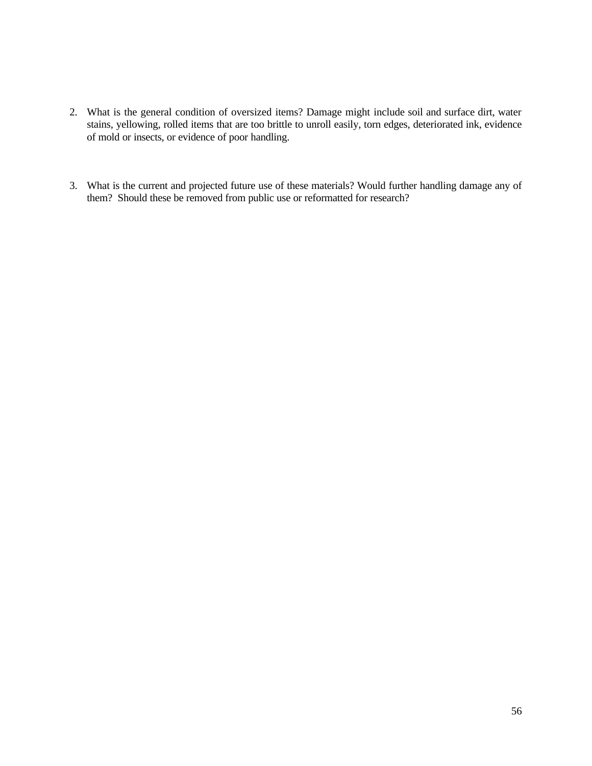- 2. What is the general condition of oversized items? Damage might include soil and surface dirt, water stains, yellowing, rolled items that are too brittle to unroll easily, torn edges, deteriorated ink, evidence of mold or insects, or evidence of poor handling.
- 3. What is the current and projected future use of these materials? Would further handling damage any of them? Should these be removed from public use or reformatted for research?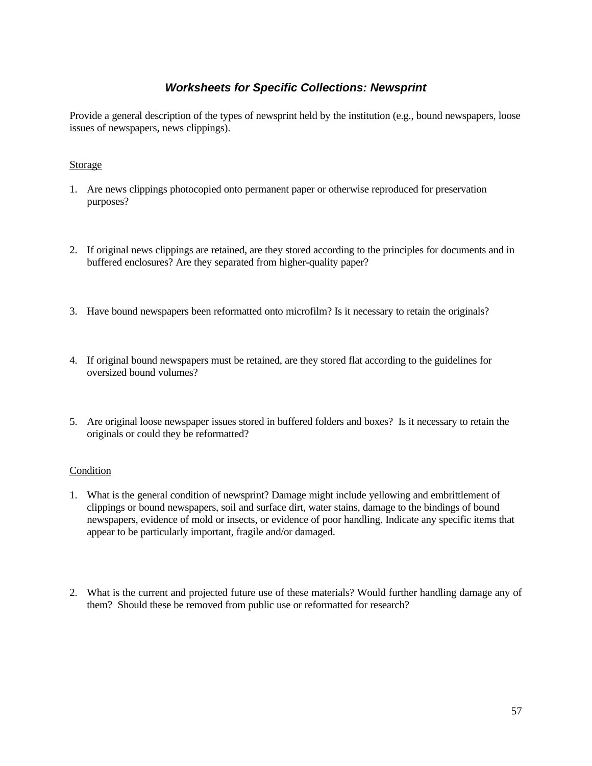# *Worksheets for Specific Collections: Newsprint*

Provide a general description of the types of newsprint held by the institution (e.g., bound newspapers, loose issues of newspapers, news clippings).

### **Storage**

- 1. Are news clippings photocopied onto permanent paper or otherwise reproduced for preservation purposes?
- 2. If original news clippings are retained, are they stored according to the principles for documents and in buffered enclosures? Are they separated from higher-quality paper?
- 3. Have bound newspapers been reformatted onto microfilm? Is it necessary to retain the originals?
- 4. If original bound newspapers must be retained, are they stored flat according to the guidelines for oversized bound volumes?
- 5. Are original loose newspaper issues stored in buffered folders and boxes? Is it necessary to retain the originals or could they be reformatted?

- 1. What is the general condition of newsprint? Damage might include yellowing and embrittlement of clippings or bound newspapers, soil and surface dirt, water stains, damage to the bindings of bound newspapers, evidence of mold or insects, or evidence of poor handling. Indicate any specific items that appear to be particularly important, fragile and/or damaged.
- 2. What is the current and projected future use of these materials? Would further handling damage any of them? Should these be removed from public use or reformatted for research?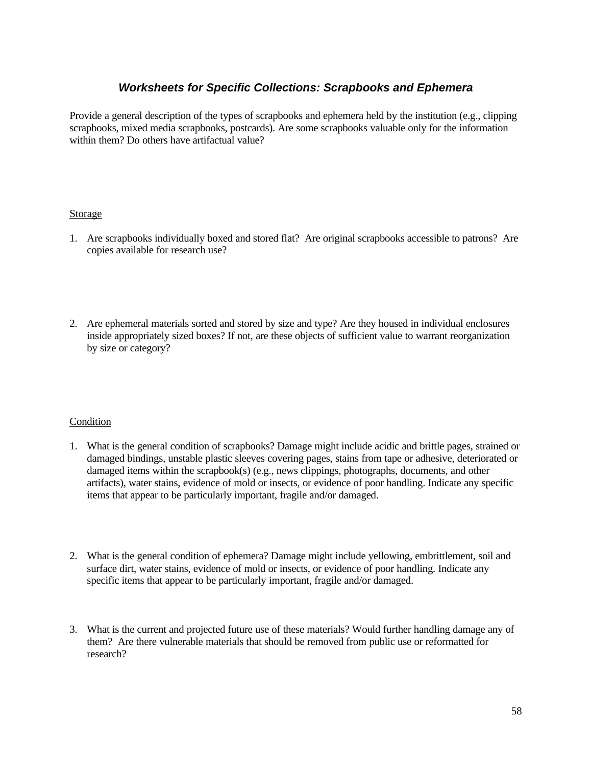## *Worksheets for Specific Collections: Scrapbooks and Ephemera*

Provide a general description of the types of scrapbooks and ephemera held by the institution (e.g., clipping scrapbooks, mixed media scrapbooks, postcards). Are some scrapbooks valuable only for the information within them? Do others have artifactual value?

### Storage

- 1. Are scrapbooks individually boxed and stored flat? Are original scrapbooks accessible to patrons? Are copies available for research use?
- 2. Are ephemeral materials sorted and stored by size and type? Are they housed in individual enclosures inside appropriately sized boxes? If not, are these objects of sufficient value to warrant reorganization by size or category?

- 1. What is the general condition of scrapbooks? Damage might include acidic and brittle pages, strained or damaged bindings, unstable plastic sleeves covering pages, stains from tape or adhesive, deteriorated or damaged items within the scrapbook(s) (e.g., news clippings, photographs, documents, and other artifacts), water stains, evidence of mold or insects, or evidence of poor handling. Indicate any specific items that appear to be particularly important, fragile and/or damaged.
- 2. What is the general condition of ephemera? Damage might include yellowing, embrittlement, soil and surface dirt, water stains, evidence of mold or insects, or evidence of poor handling. Indicate any specific items that appear to be particularly important, fragile and/or damaged.
- 3. What is the current and projected future use of these materials? Would further handling damage any of them? Are there vulnerable materials that should be removed from public use or reformatted for research?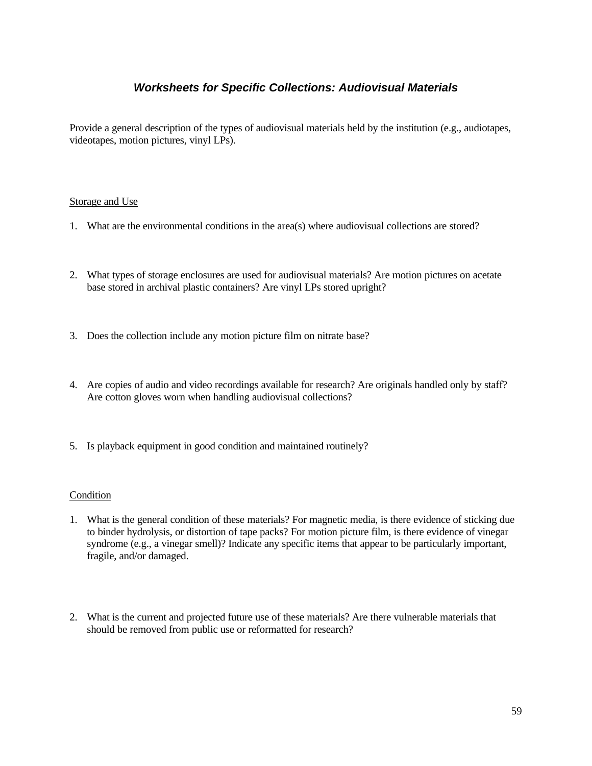# *Worksheets for Specific Collections: Audiovisual Materials*

Provide a general description of the types of audiovisual materials held by the institution (e.g., audiotapes, videotapes, motion pictures, vinyl LPs).

### Storage and Use

- 1. What are the environmental conditions in the area(s) where audiovisual collections are stored?
- 2. What types of storage enclosures are used for audiovisual materials? Are motion pictures on acetate base stored in archival plastic containers? Are vinyl LPs stored upright?
- 3. Does the collection include any motion picture film on nitrate base?
- 4. Are copies of audio and video recordings available for research? Are originals handled only by staff? Are cotton gloves worn when handling audiovisual collections?
- 5. Is playback equipment in good condition and maintained routinely?

- 1. What is the general condition of these materials? For magnetic media, is there evidence of sticking due to binder hydrolysis, or distortion of tape packs? For motion picture film, is there evidence of vinegar syndrome (e.g., a vinegar smell)? Indicate any specific items that appear to be particularly important, fragile, and/or damaged.
- 2. What is the current and projected future use of these materials? Are there vulnerable materials that should be removed from public use or reformatted for research?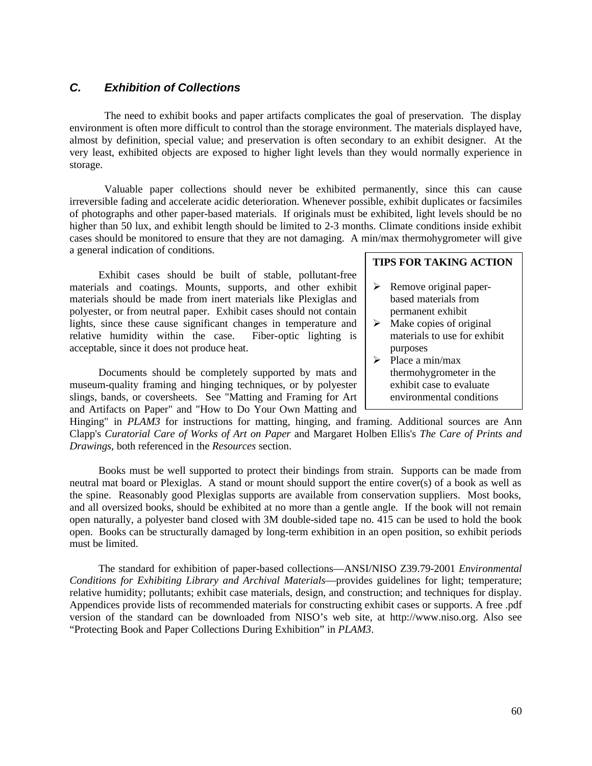# *C. Exhibition of Collections*

The need to exhibit books and paper artifacts complicates the goal of preservation. The display environment is often more difficult to control than the storage environment. The materials displayed have, almost by definition, special value; and preservation is often secondary to an exhibit designer. At the very least, exhibited objects are exposed to higher light levels than they would normally experience in storage.

Valuable paper collections should never be exhibited permanently, since this can cause irreversible fading and accelerate acidic deterioration. Whenever possible, exhibit duplicates or facsimiles of photographs and other paper-based materials. If originals must be exhibited, light levels should be no higher than 50 lux, and exhibit length should be limited to 2-3 months. Climate conditions inside exhibit cases should be monitored to ensure that they are not damaging. A min/max thermohygrometer will give a general indication of conditions.

Exhibit cases should be built of stable, pollutant-free materials and coatings. Mounts, supports, and other exhibit materials should be made from inert materials like Plexiglas and polyester, or from neutral paper. Exhibit cases should not contain lights, since these cause significant changes in temperature and relative humidity within the case. Fiber-optic lighting is acceptable, since it does not produce heat.

Documents should be completely supported by mats and museum-quality framing and hinging techniques, or by polyester slings, bands, or coversheets. See "Matting and Framing for Art and Artifacts on Paper" and "How to Do Your Own Matting and

### **TIPS FOR TAKING ACTION**

- $\triangleright$  Remove original paperbased materials from permanent exhibit
- $\triangleright$  Make copies of original materials to use for exhibit purposes
- $\triangleright$  Place a min/max thermohygrometer in the exhibit case to evaluate environmental conditions

Hinging" in *PLAM3* for instructions for matting, hinging, and framing. Additional sources are Ann Clapp's *Curatorial Care of Works of Art on Paper* and Margaret Holben Ellis's *The Care of Prints and Drawings*, both referenced in the *Resources* section.

Books must be well supported to protect their bindings from strain. Supports can be made from neutral mat board or Plexiglas. A stand or mount should support the entire cover(s) of a book as well as the spine. Reasonably good Plexiglas supports are available from conservation suppliers. Most books, and all oversized books, should be exhibited at no more than a gentle angle. If the book will not remain open naturally, a polyester band closed with 3M double-sided tape no. 415 can be used to hold the book open. Books can be structurally damaged by long-term exhibition in an open position, so exhibit periods must be limited.

The standard for exhibition of paper-based collections—ANSI/NISO Z39.79-2001 *Environmental Conditions for Exhibiting Library and Archival Materials*—provides guidelines for light; temperature; relative humidity; pollutants; exhibit case materials, design, and construction; and techniques for display. Appendices provide lists of recommended materials for constructing exhibit cases or supports. A free .pdf version of the standard can be downloaded from NISO's web site, at http://www.niso.org. Also see "Protecting Book and Paper Collections During Exhibition" in *PLAM3*.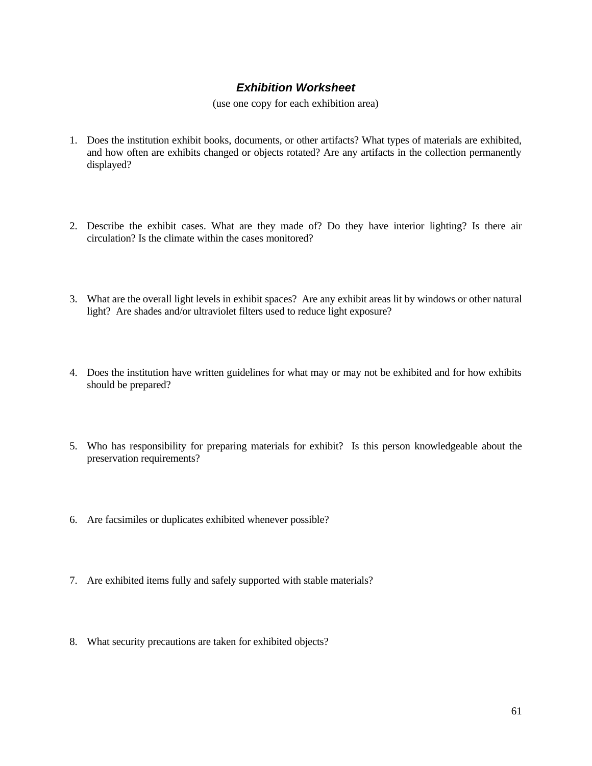# *Exhibition Worksheet*

(use one copy for each exhibition area)

- 1. Does the institution exhibit books, documents, or other artifacts? What types of materials are exhibited, and how often are exhibits changed or objects rotated? Are any artifacts in the collection permanently displayed?
- 2. Describe the exhibit cases. What are they made of? Do they have interior lighting? Is there air circulation? Is the climate within the cases monitored?
- 3. What are the overall light levels in exhibit spaces? Are any exhibit areas lit by windows or other natural light? Are shades and/or ultraviolet filters used to reduce light exposure?
- 4. Does the institution have written guidelines for what may or may not be exhibited and for how exhibits should be prepared?
- 5. Who has responsibility for preparing materials for exhibit? Is this person knowledgeable about the preservation requirements?
- 6. Are facsimiles or duplicates exhibited whenever possible?
- 7. Are exhibited items fully and safely supported with stable materials?
- 8. What security precautions are taken for exhibited objects?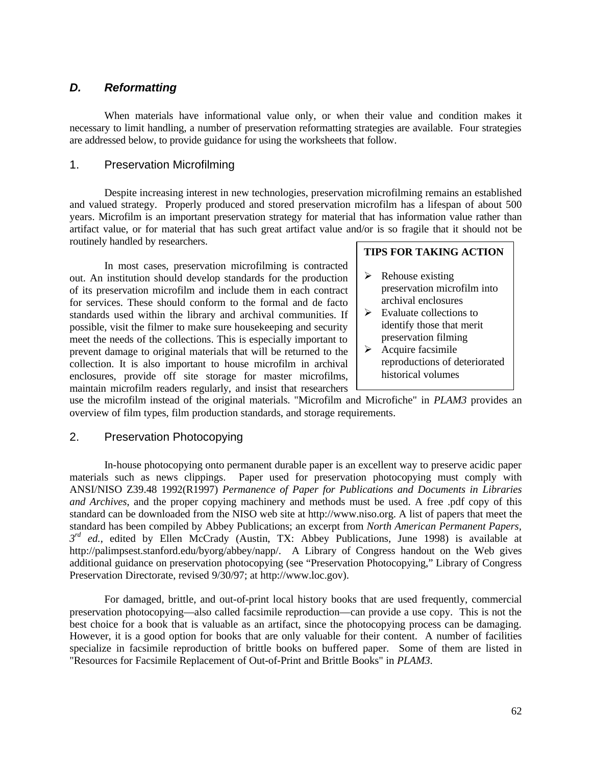## *D. Reformatting*

When materials have informational value only, or when their value and condition makes it necessary to limit handling, a number of preservation reformatting strategies are available. Four strategies are addressed below, to provide guidance for using the worksheets that follow.

### 1. Preservation Microfilming

Despite increasing interest in new technologies, preservation microfilming remains an established and valued strategy. Properly produced and stored preservation microfilm has a lifespan of about 500 years. Microfilm is an important preservation strategy for material that has information value rather than artifact value, or for material that has such great artifact value and/or is so fragile that it should not be routinely handled by researchers.

In most cases, preservation microfilming is contracted out. An institution should develop standards for the production of its preservation microfilm and include them in each contract for services. These should conform to the formal and de facto standards used within the library and archival communities. If possible, visit the filmer to make sure housekeeping and security meet the needs of the collections. This is especially important to prevent damage to original materials that will be returned to the collection. It is also important to house microfilm in archival enclosures, provide off site storage for master microfilms, maintain microfilm readers regularly, and insist that researchers **TIPS FOR TAKING ACTION**

- $\triangleright$  Rehouse existing preservation microfilm into archival enclosures
- $\triangleright$  Evaluate collections to identify those that merit preservation filming
- $\triangleright$  Acquire facsimile reproductions of deteriorated historical volumes

use the microfilm instead of the original materials. "Microfilm and Microfiche" in *PLAM3* provides an overview of film types, film production standards, and storage requirements.

## 2. Preservation Photocopying

In-house photocopying onto permanent durable paper is an excellent way to preserve acidic paper materials such as news clippings. Paper used for preservation photocopying must comply with ANSI/NISO Z39.48 1992(R1997) *Permanence of Paper for Publications and Documents in Libraries and Archives*, and the proper copying machinery and methods must be used. A free .pdf copy of this standard can be downloaded from the NISO web site at http://www.niso.org. A list of papers that meet the standard has been compiled by Abbey Publications; an excerpt from *North American Permanent Papers,*   $3^{rd}$  ed., edited by Ellen McCrady (Austin, TX: Abbey Publications, June 1998) is available at http://palimpsest.stanford.edu/byorg/abbey/napp/. A Library of Congress handout on the Web gives additional guidance on preservation photocopying (see "Preservation Photocopying," Library of Congress Preservation Directorate, revised 9/30/97; at http://www.loc.gov).

For damaged, brittle, and out-of-print local history books that are used frequently, commercial preservation photocopying—also called facsimile reproduction—can provide a use copy. This is not the best choice for a book that is valuable as an artifact, since the photocopying process can be damaging. However, it is a good option for books that are only valuable for their content. A number of facilities specialize in facsimile reproduction of brittle books on buffered paper. Some of them are listed in "Resources for Facsimile Replacement of Out-of-Print and Brittle Books" in *PLAM3*.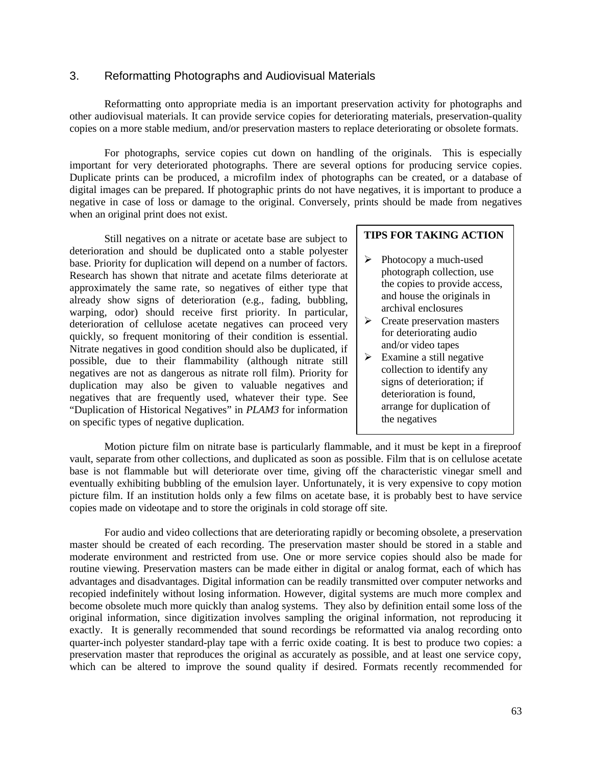## 3. Reformatting Photographs and Audiovisual Materials

Reformatting onto appropriate media is an important preservation activity for photographs and other audiovisual materials. It can provide service copies for deteriorating materials, preservation-quality copies on a more stable medium, and/or preservation masters to replace deteriorating or obsolete formats.

For photographs, service copies cut down on handling of the originals. This is especially important for very deteriorated photographs. There are several options for producing service copies. Duplicate prints can be produced, a microfilm index of photographs can be created, or a database of digital images can be prepared. If photographic prints do not have negatives, it is important to produce a negative in case of loss or damage to the original. Conversely, prints should be made from negatives when an original print does not exist.

Still negatives on a nitrate or acetate base are subject to deterioration and should be duplicated onto a stable polyester base. Priority for duplication will depend on a number of factors. Research has shown that nitrate and acetate films deteriorate at approximately the same rate, so negatives of either type that already show signs of deterioration (e.g., fading, bubbling, warping, odor) should receive first priority. In particular, deterioration of cellulose acetate negatives can proceed very quickly, so frequent monitoring of their condition is essential. Nitrate negatives in good condition should also be duplicated, if possible, due to their flammability (although nitrate still negatives are not as dangerous as nitrate roll film). Priority for duplication may also be given to valuable negatives and negatives that are frequently used, whatever their type. See "Duplication of Historical Negatives" in *PLAM3* for information on specific types of negative duplication.

### **TIPS FOR TAKING ACTION**

- $\triangleright$  Photocopy a much-used photograph collection, use the copies to provide access, and house the originals in archival enclosures
- $\triangleright$  Create preservation masters for deteriorating audio and/or video tapes
- $\triangleright$  Examine a still negative collection to identify any signs of deterioration; if deterioration is found, arrange for duplication of the negatives

Motion picture film on nitrate base is particularly flammable, and it must be kept in a fireproof vault, separate from other collections, and duplicated as soon as possible. Film that is on cellulose acetate base is not flammable but will deteriorate over time, giving off the characteristic vinegar smell and eventually exhibiting bubbling of the emulsion layer. Unfortunately, it is very expensive to copy motion picture film. If an institution holds only a few films on acetate base, it is probably best to have service copies made on videotape and to store the originals in cold storage off site.

For audio and video collections that are deteriorating rapidly or becoming obsolete, a preservation master should be created of each recording. The preservation master should be stored in a stable and moderate environment and restricted from use. One or more service copies should also be made for routine viewing. Preservation masters can be made either in digital or analog format, each of which has advantages and disadvantages. Digital information can be readily transmitted over computer networks and recopied indefinitely without losing information. However, digital systems are much more complex and become obsolete much more quickly than analog systems. They also by definition entail some loss of the original information, since digitization involves sampling the original information, not reproducing it exactly. It is generally recommended that sound recordings be reformatted via analog recording onto quarter-inch polyester standard-play tape with a ferric oxide coating. It is best to produce two copies: a preservation master that reproduces the original as accurately as possible, and at least one service copy, which can be altered to improve the sound quality if desired. Formats recently recommended for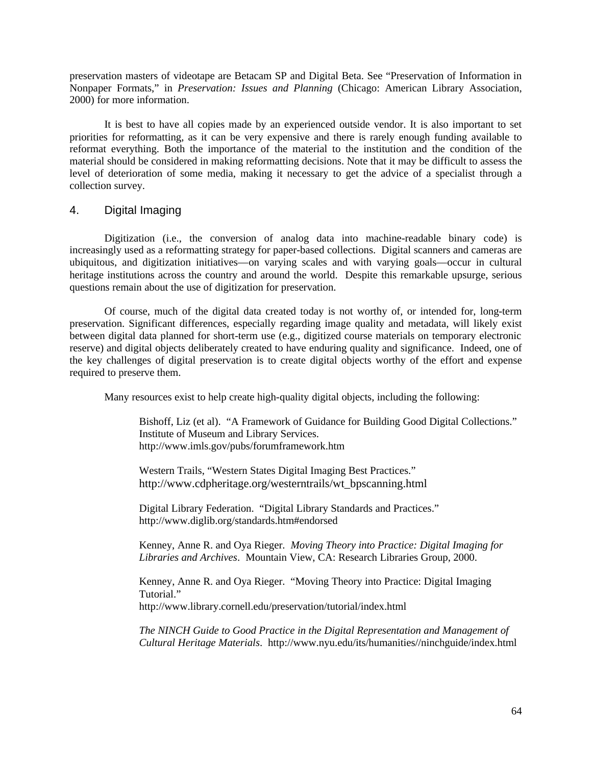preservation masters of videotape are Betacam SP and Digital Beta. See "Preservation of Information in Nonpaper Formats," in *Preservation: Issues and Planning* (Chicago: American Library Association, 2000) for more information.

It is best to have all copies made by an experienced outside vendor. It is also important to set priorities for reformatting, as it can be very expensive and there is rarely enough funding available to reformat everything. Both the importance of the material to the institution and the condition of the material should be considered in making reformatting decisions. Note that it may be difficult to assess the level of deterioration of some media, making it necessary to get the advice of a specialist through a collection survey.

## 4. Digital Imaging

Digitization (i.e., the conversion of analog data into machine-readable binary code) is increasingly used as a reformatting strategy for paper-based collections. Digital scanners and cameras are ubiquitous, and digitization initiatives—on varying scales and with varying goals—occur in cultural heritage institutions across the country and around the world. Despite this remarkable upsurge, serious questions remain about the use of digitization for preservation.

Of course, much of the digital data created today is not worthy of, or intended for, long-term preservation. Significant differences, especially regarding image quality and metadata, will likely exist between digital data planned for short-term use (e.g., digitized course materials on temporary electronic reserve) and digital objects deliberately created to have enduring quality and significance. Indeed, one of the key challenges of digital preservation is to create digital objects worthy of the effort and expense required to preserve them.

Many resources exist to help create high-quality digital objects, including the following:

Bishoff, Liz (et al). "A Framework of Guidance for Building Good Digital Collections." Institute of Museum and Library Services. http://www.imls.gov/pubs/forumframework.htm

Western Trails, "Western States Digital Imaging Best Practices." http://www.cdpheritage.org/westerntrails/wt\_bpscanning.html

Digital Library Federation. "Digital Library Standards and Practices." http://www.diglib.org/standards.htm#endorsed

Kenney, Anne R. and Oya Rieger. *Moving Theory into Practice: Digital Imaging for Libraries and Archives*. Mountain View, CA: Research Libraries Group, 2000.

Kenney, Anne R. and Oya Rieger. "Moving Theory into Practice: Digital Imaging Tutorial."

http://www.library.cornell.edu/preservation/tutorial/index.html

*The NINCH Guide to Good Practice in the Digital Representation and Management of Cultural Heritage Materials*. http://www.nyu.edu/its/humanities//ninchguide/index.html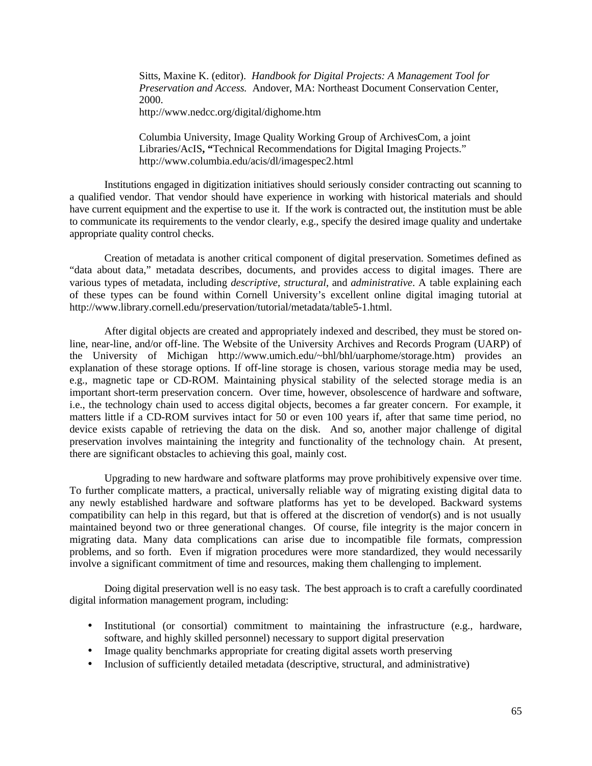Sitts, Maxine K. (editor). *Handbook for Digital Projects: A Management Tool for Preservation and Access.* Andover, MA: Northeast Document Conservation Center, 2000.

http://www.nedcc.org/digital/dighome.htm

Columbia University, Image Quality Working Group of ArchivesCom, a joint Libraries/AcIS**, "**Technical Recommendations for Digital Imaging Projects." http://www.columbia.edu/acis/dl/imagespec2.html

Institutions engaged in digitization initiatives should seriously consider contracting out scanning to a qualified vendor. That vendor should have experience in working with historical materials and should have current equipment and the expertise to use it. If the work is contracted out, the institution must be able to communicate its requirements to the vendor clearly, e.g., specify the desired image quality and undertake appropriate quality control checks.

Creation of metadata is another critical component of digital preservation. Sometimes defined as "data about data," metadata describes, documents, and provides access to digital images. There are various types of metadata, including *descriptive*, *structural*, and *administrative*. A table explaining each of these types can be found within Cornell University's excellent online digital imaging tutorial at http://www.library.cornell.edu/preservation/tutorial/metadata/table5-1.html.

After digital objects are created and appropriately indexed and described, they must be stored online, near-line, and/or off-line. The Website of the University Archives and Records Program (UARP) of the University of Michigan http://www.umich.edu/~bhl/bhl/uarphome/storage.htm) provides an explanation of these storage options. If off-line storage is chosen, various storage media may be used, e.g., magnetic tape or CD-ROM. Maintaining physical stability of the selected storage media is an important short-term preservation concern. Over time, however, obsolescence of hardware and software, i.e., the technology chain used to access digital objects, becomes a far greater concern. For example, it matters little if a CD-ROM survives intact for 50 or even 100 years if, after that same time period, no device exists capable of retrieving the data on the disk. And so, another major challenge of digital preservation involves maintaining the integrity and functionality of the technology chain. At present, there are significant obstacles to achieving this goal, mainly cost.

Upgrading to new hardware and software platforms may prove prohibitively expensive over time. To further complicate matters, a practical, universally reliable way of migrating existing digital data to any newly established hardware and software platforms has yet to be developed. Backward systems compatibility can help in this regard, but that is offered at the discretion of vendor(s) and is not usually maintained beyond two or three generational changes. Of course, file integrity is the major concern in migrating data. Many data complications can arise due to incompatible file formats, compression problems, and so forth. Even if migration procedures were more standardized, they would necessarily involve a significant commitment of time and resources, making them challenging to implement.

Doing digital preservation well is no easy task. The best approach is to craft a carefully coordinated digital information management program, including:

- Institutional (or consortial) commitment to maintaining the infrastructure (e.g., hardware, software, and highly skilled personnel) necessary to support digital preservation
- Image quality benchmarks appropriate for creating digital assets worth preserving
- Inclusion of sufficiently detailed metadata (descriptive, structural, and administrative)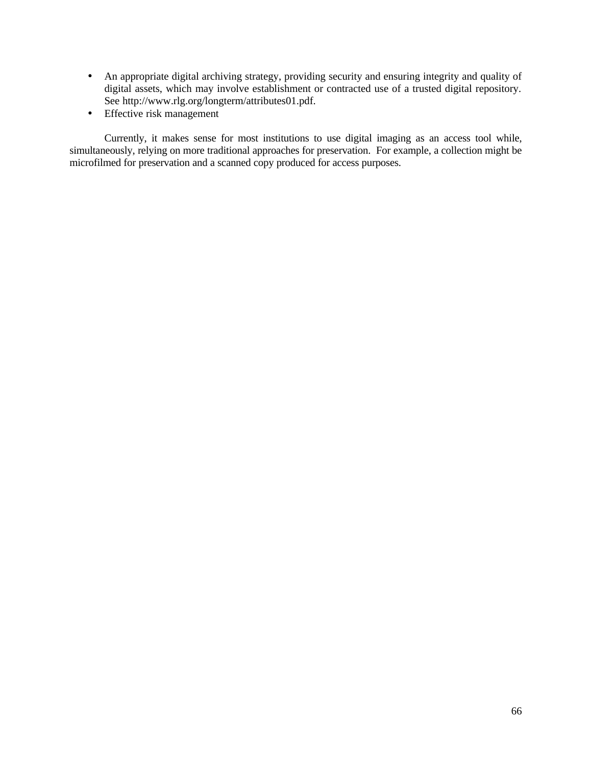- An appropriate digital archiving strategy, providing security and ensuring integrity and quality of digital assets, which may involve establishment or contracted use of a trusted digital repository. See http://www.rlg.org/longterm/attributes01.pdf.
- Effective risk management

Currently, it makes sense for most institutions to use digital imaging as an access tool while, simultaneously, relying on more traditional approaches for preservation. For example, a collection might be microfilmed for preservation and a scanned copy produced for access purposes.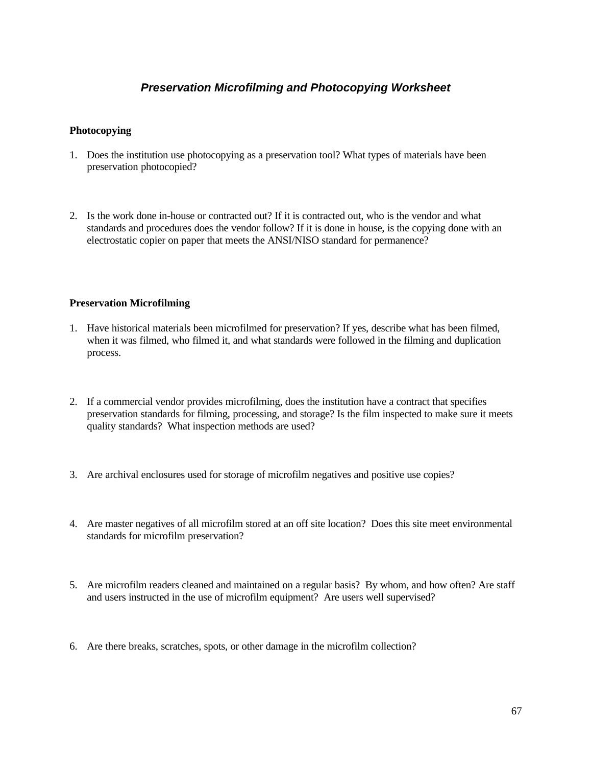# *Preservation Microfilming and Photocopying Worksheet*

### **Photocopying**

- 1. Does the institution use photocopying as a preservation tool? What types of materials have been preservation photocopied?
- 2. Is the work done in-house or contracted out? If it is contracted out, who is the vendor and what standards and procedures does the vendor follow? If it is done in house, is the copying done with an electrostatic copier on paper that meets the ANSI/NISO standard for permanence?

### **Preservation Microfilming**

- 1. Have historical materials been microfilmed for preservation? If yes, describe what has been filmed, when it was filmed, who filmed it, and what standards were followed in the filming and duplication process.
- 2. If a commercial vendor provides microfilming, does the institution have a contract that specifies preservation standards for filming, processing, and storage? Is the film inspected to make sure it meets quality standards? What inspection methods are used?
- 3. Are archival enclosures used for storage of microfilm negatives and positive use copies?
- 4. Are master negatives of all microfilm stored at an off site location? Does this site meet environmental standards for microfilm preservation?
- 5. Are microfilm readers cleaned and maintained on a regular basis? By whom, and how often? Are staff and users instructed in the use of microfilm equipment? Are users well supervised?
- 6. Are there breaks, scratches, spots, or other damage in the microfilm collection?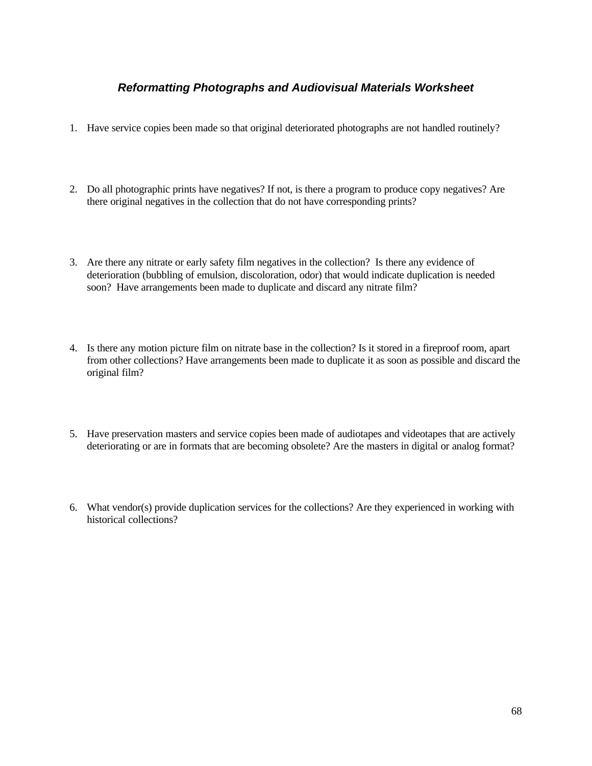# *Reformatting Photographs and Audiovisual Materials Worksheet*

- 1. Have service copies been made so that original deteriorated photographs are not handled routinely?
- 2. Do all photographic prints have negatives? If not, is there a program to produce copy negatives? Are there original negatives in the collection that do not have corresponding prints?
- 3. Are there any nitrate or early safety film negatives in the collection? Is there any evidence of deterioration (bubbling of emulsion, discoloration, odor) that would indicate duplication is needed soon? Have arrangements been made to duplicate and discard any nitrate film?
- 4. Is there any motion picture film on nitrate base in the collection? Is it stored in a fireproof room, apart from other collections? Have arrangements been made to duplicate it as soon as possible and discard the original film?
- 5. Have preservation masters and service copies been made of audiotapes and videotapes that are actively deteriorating or are in formats that are becoming obsolete? Are the masters in digital or analog format?
- 6. What vendor(s) provide duplication services for the collections? Are they experienced in working with historical collections?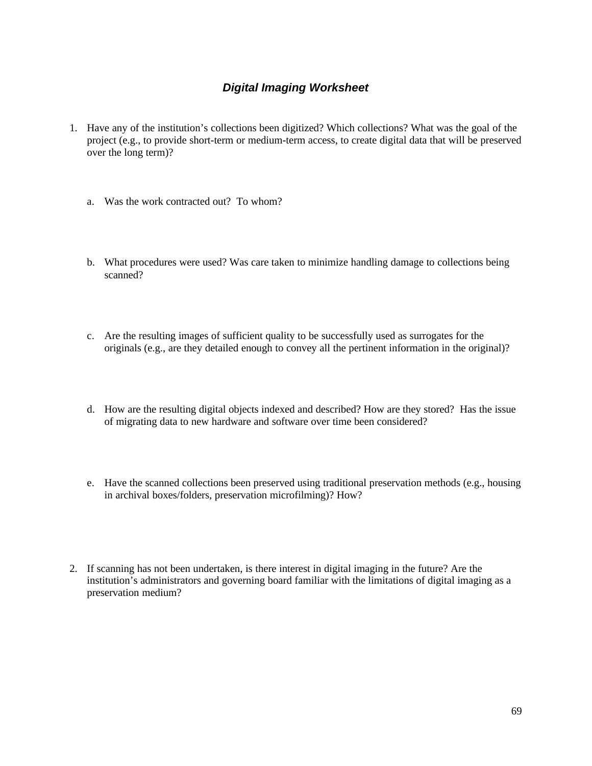# *Digital Imaging Worksheet*

- 1. Have any of the institution's collections been digitized? Which collections? What was the goal of the project (e.g., to provide short-term or medium-term access, to create digital data that will be preserved over the long term)?
	- a. Was the work contracted out? To whom?
	- b. What procedures were used? Was care taken to minimize handling damage to collections being scanned?
	- c. Are the resulting images of sufficient quality to be successfully used as surrogates for the originals (e.g., are they detailed enough to convey all the pertinent information in the original)?
	- d. How are the resulting digital objects indexed and described? How are they stored? Has the issue of migrating data to new hardware and software over time been considered?
	- e. Have the scanned collections been preserved using traditional preservation methods (e.g., housing in archival boxes/folders, preservation microfilming)? How?
- 2. If scanning has not been undertaken, is there interest in digital imaging in the future? Are the institution's administrators and governing board familiar with the limitations of digital imaging as a preservation medium?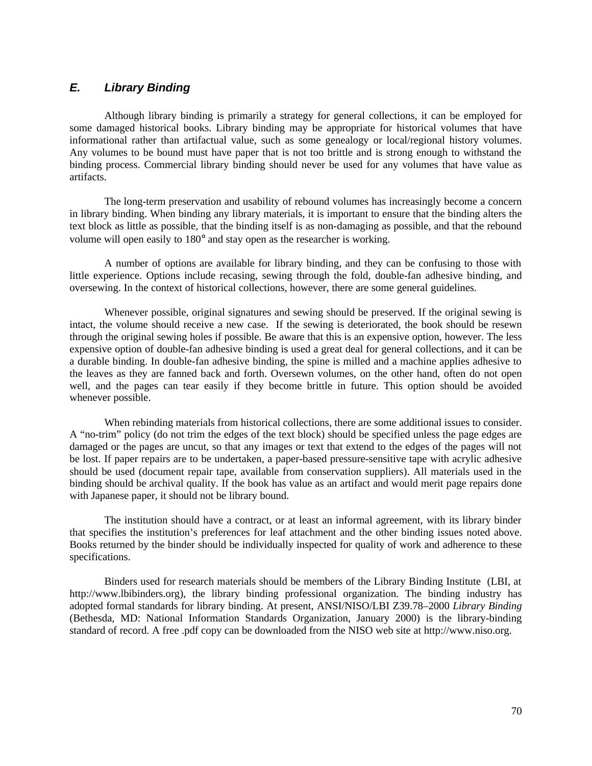# *E. Library Binding*

Although library binding is primarily a strategy for general collections, it can be employed for some damaged historical books. Library binding may be appropriate for historical volumes that have informational rather than artifactual value, such as some genealogy or local/regional history volumes. Any volumes to be bound must have paper that is not too brittle and is strong enough to withstand the binding process. Commercial library binding should never be used for any volumes that have value as artifacts.

The long-term preservation and usability of rebound volumes has increasingly become a concern in library binding. When binding any library materials, it is important to ensure that the binding alters the text block as little as possible, that the binding itself is as non-damaging as possible, and that the rebound volume will open easily to 180° and stay open as the researcher is working.

A number of options are available for library binding, and they can be confusing to those with little experience. Options include recasing, sewing through the fold, double-fan adhesive binding, and oversewing. In the context of historical collections, however, there are some general guidelines.

Whenever possible, original signatures and sewing should be preserved. If the original sewing is intact, the volume should receive a new case. If the sewing is deteriorated, the book should be resewn through the original sewing holes if possible. Be aware that this is an expensive option, however. The less expensive option of double-fan adhesive binding is used a great deal for general collections, and it can be a durable binding. In double-fan adhesive binding, the spine is milled and a machine applies adhesive to the leaves as they are fanned back and forth. Oversewn volumes, on the other hand, often do not open well, and the pages can tear easily if they become brittle in future. This option should be avoided whenever possible.

When rebinding materials from historical collections, there are some additional issues to consider. A "no-trim" policy (do not trim the edges of the text block) should be specified unless the page edges are damaged or the pages are uncut, so that any images or text that extend to the edges of the pages will not be lost. If paper repairs are to be undertaken, a paper-based pressure-sensitive tape with acrylic adhesive should be used (document repair tape, available from conservation suppliers). All materials used in the binding should be archival quality. If the book has value as an artifact and would merit page repairs done with Japanese paper, it should not be library bound.

The institution should have a contract, or at least an informal agreement, with its library binder that specifies the institution's preferences for leaf attachment and the other binding issues noted above. Books returned by the binder should be individually inspected for quality of work and adherence to these specifications.

Binders used for research materials should be members of the Library Binding Institute (LBI, at http://www.lbibinders.org), the library binding professional organization. The binding industry has adopted formal standards for library binding. At present, ANSI/NISO/LBI Z39.78–2000 *Library Binding* (Bethesda, MD: National Information Standards Organization, January 2000) is the library-binding standard of record. A free .pdf copy can be downloaded from the NISO web site at http://www.niso.org.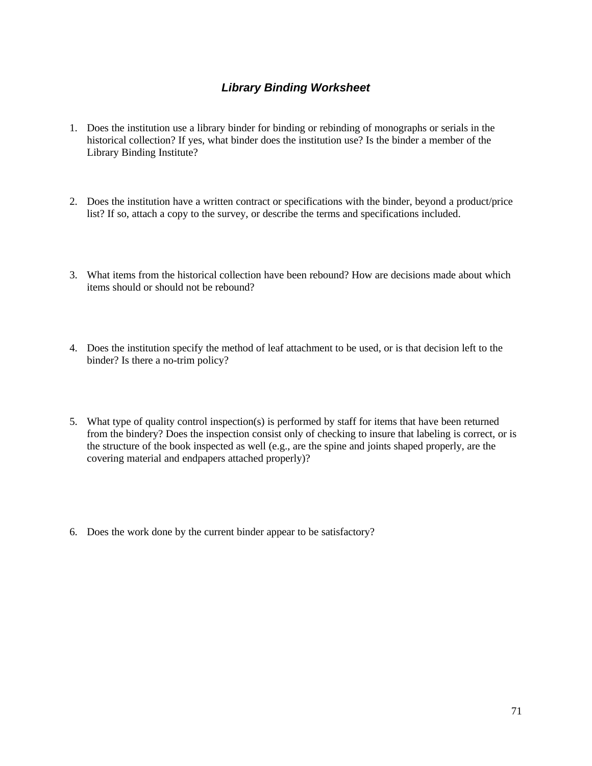# *Library Binding Worksheet*

- 1. Does the institution use a library binder for binding or rebinding of monographs or serials in the historical collection? If yes, what binder does the institution use? Is the binder a member of the Library Binding Institute?
- 2. Does the institution have a written contract or specifications with the binder, beyond a product/price list? If so, attach a copy to the survey, or describe the terms and specifications included.
- 3. What items from the historical collection have been rebound? How are decisions made about which items should or should not be rebound?
- 4. Does the institution specify the method of leaf attachment to be used, or is that decision left to the binder? Is there a no-trim policy?
- 5. What type of quality control inspection(s) is performed by staff for items that have been returned from the bindery? Does the inspection consist only of checking to insure that labeling is correct, or is the structure of the book inspected as well (e.g., are the spine and joints shaped properly, are the covering material and endpapers attached properly)?
- 6. Does the work done by the current binder appear to be satisfactory?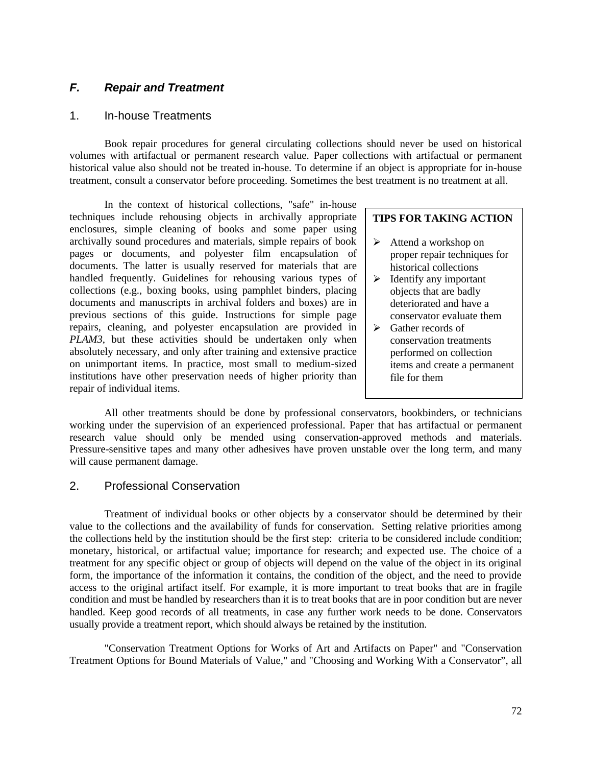## *F. Repair and Treatment*

### 1. In-house Treatments

Book repair procedures for general circulating collections should never be used on historical volumes with artifactual or permanent research value. Paper collections with artifactual or permanent historical value also should not be treated in-house. To determine if an object is appropriate for in-house treatment, consult a conservator before proceeding. Sometimes the best treatment is no treatment at all.

In the context of historical collections, "safe" in-house techniques include rehousing objects in archivally appropriate enclosures, simple cleaning of books and some paper using archivally sound procedures and materials, simple repairs of book pages or documents, and polyester film encapsulation of documents. The latter is usually reserved for materials that are handled frequently. Guidelines for rehousing various types of collections (e.g., boxing books, using pamphlet binders, placing documents and manuscripts in archival folders and boxes) are in previous sections of this guide. Instructions for simple page repairs, cleaning, and polyester encapsulation are provided in *PLAM3*, but these activities should be undertaken only when absolutely necessary, and only after training and extensive practice on unimportant items. In practice, most small to medium-sized institutions have other preservation needs of higher priority than repair of individual items.

### **TIPS FOR TAKING ACTION**

- $\triangleright$  Attend a workshop on proper repair techniques for historical collections
- $\blacktriangleright$  Identify any important objects that are badly deteriorated and have a conservator evaluate them
- $\triangleright$  Gather records of conservation treatments performed on collection items and create a permanent file for them

All other treatments should be done by professional conservators, bookbinders, or technicians working under the supervision of an experienced professional. Paper that has artifactual or permanent research value should only be mended using conservation-approved methods and materials. Pressure-sensitive tapes and many other adhesives have proven unstable over the long term, and many will cause permanent damage.

## 2. Professional Conservation

Treatment of individual books or other objects by a conservator should be determined by their value to the collections and the availability of funds for conservation. Setting relative priorities among the collections held by the institution should be the first step: criteria to be considered include condition; monetary, historical, or artifactual value; importance for research; and expected use. The choice of a treatment for any specific object or group of objects will depend on the value of the object in its original form, the importance of the information it contains, the condition of the object, and the need to provide access to the original artifact itself. For example, it is more important to treat books that are in fragile condition and must be handled by researchers than it is to treat books that are in poor condition but are never handled. Keep good records of all treatments, in case any further work needs to be done. Conservators usually provide a treatment report, which should always be retained by the institution.

"Conservation Treatment Options for Works of Art and Artifacts on Paper" and "Conservation Treatment Options for Bound Materials of Value," and "Choosing and Working With a Conservator", all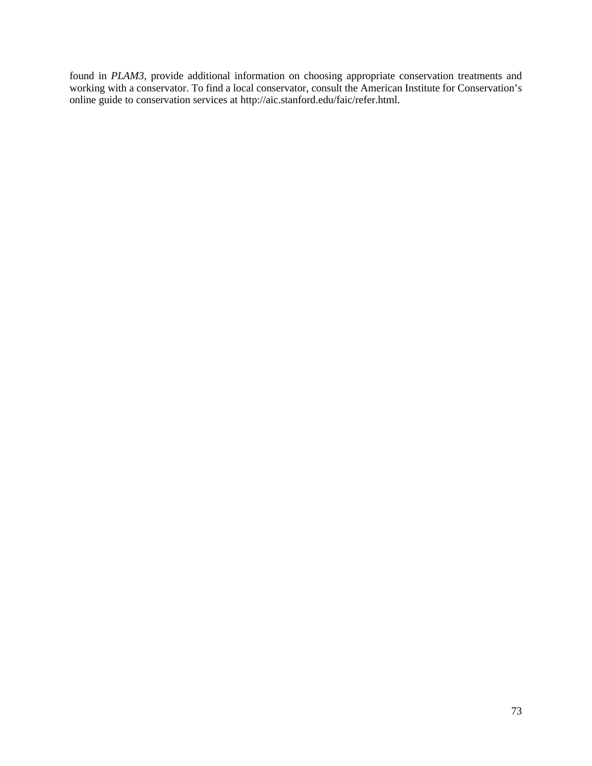found in *PLAM3*, provide additional information on choosing appropriate conservation treatments and working with a conservator. To find a local conservator, consult the American Institute for Conservation's online guide to conservation services at http://aic.stanford.edu/faic/refer.html.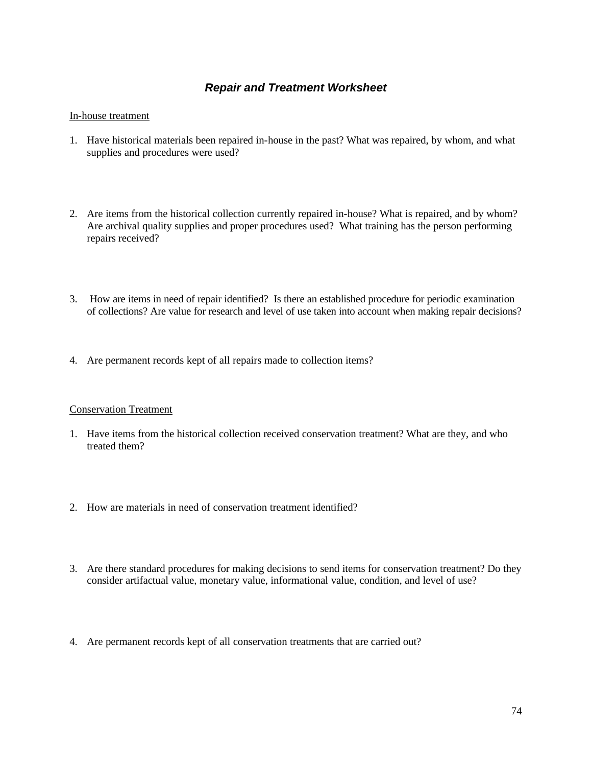## *Repair and Treatment Worksheet*

### In-house treatment

- 1. Have historical materials been repaired in-house in the past? What was repaired, by whom, and what supplies and procedures were used?
- 2. Are items from the historical collection currently repaired in-house? What is repaired, and by whom? Are archival quality supplies and proper procedures used? What training has the person performing repairs received?
- 3. How are items in need of repair identified? Is there an established procedure for periodic examination of collections? Are value for research and level of use taken into account when making repair decisions?
- 4. Are permanent records kept of all repairs made to collection items?

### Conservation Treatment

- 1. Have items from the historical collection received conservation treatment? What are they, and who treated them?
- 2. How are materials in need of conservation treatment identified?
- 3. Are there standard procedures for making decisions to send items for conservation treatment? Do they consider artifactual value, monetary value, informational value, condition, and level of use?
- 4. Are permanent records kept of all conservation treatments that are carried out?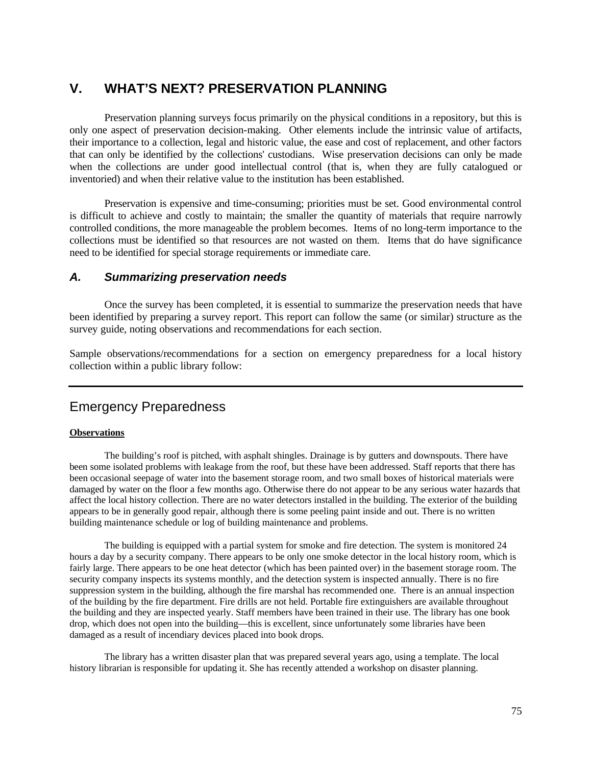# **V. WHAT'S NEXT? PRESERVATION PLANNING**

Preservation planning surveys focus primarily on the physical conditions in a repository, but this is only one aspect of preservation decision-making. Other elements include the intrinsic value of artifacts, their importance to a collection, legal and historic value, the ease and cost of replacement, and other factors that can only be identified by the collections' custodians. Wise preservation decisions can only be made when the collections are under good intellectual control (that is, when they are fully catalogued or inventoried) and when their relative value to the institution has been established.

Preservation is expensive and time-consuming; priorities must be set. Good environmental control is difficult to achieve and costly to maintain; the smaller the quantity of materials that require narrowly controlled conditions, the more manageable the problem becomes. Items of no long-term importance to the collections must be identified so that resources are not wasted on them. Items that do have significance need to be identified for special storage requirements or immediate care.

## *A. Summarizing preservation needs*

Once the survey has been completed, it is essential to summarize the preservation needs that have been identified by preparing a survey report. This report can follow the same (or similar) structure as the survey guide, noting observations and recommendations for each section.

Sample observations/recommendations for a section on emergency preparedness for a local history collection within a public library follow:

# Emergency Preparedness

### **Observations**

The building's roof is pitched, with asphalt shingles. Drainage is by gutters and downspouts. There have been some isolated problems with leakage from the roof, but these have been addressed. Staff reports that there has been occasional seepage of water into the basement storage room, and two small boxes of historical materials were damaged by water on the floor a few months ago. Otherwise there do not appear to be any serious water hazards that affect the local history collection. There are no water detectors installed in the building. The exterior of the building appears to be in generally good repair, although there is some peeling paint inside and out. There is no written building maintenance schedule or log of building maintenance and problems.

The building is equipped with a partial system for smoke and fire detection. The system is monitored 24 hours a day by a security company. There appears to be only one smoke detector in the local history room, which is fairly large. There appears to be one heat detector (which has been painted over) in the basement storage room. The security company inspects its systems monthly, and the detection system is inspected annually. There is no fire suppression system in the building, although the fire marshal has recommended one. There is an annual inspection of the building by the fire department. Fire drills are not held. Portable fire extinguishers are available throughout the building and they are inspected yearly. Staff members have been trained in their use. The library has one book drop, which does not open into the building—this is excellent, since unfortunately some libraries have been damaged as a result of incendiary devices placed into book drops.

The library has a written disaster plan that was prepared several years ago, using a template. The local history librarian is responsible for updating it. She has recently attended a workshop on disaster planning.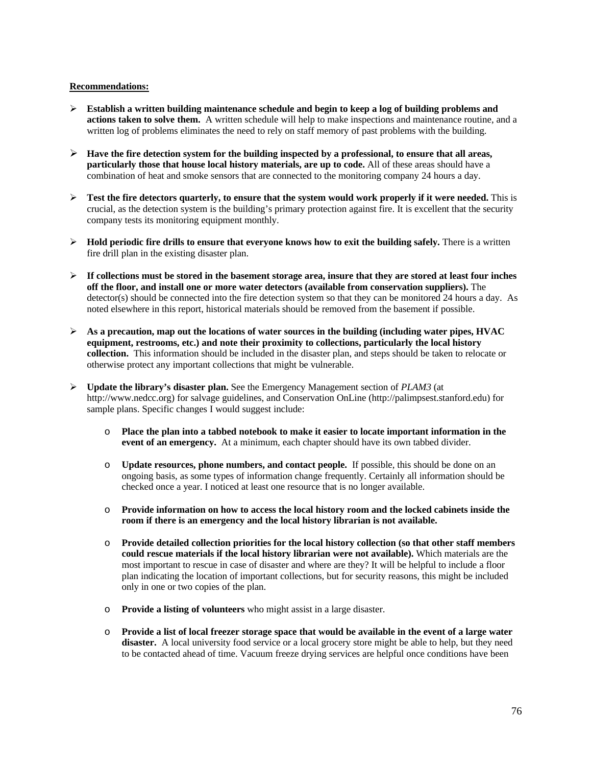#### **Recommendations:**

- ÿ **Establish a written building maintenance schedule and begin to keep a log of building problems and actions taken to solve them.** A written schedule will help to make inspections and maintenance routine, and a written log of problems eliminates the need to rely on staff memory of past problems with the building.
- $\triangleright$  **Have the fire detection system for the building inspected by a professional, to ensure that all areas, particularly those that house local history materials, are up to code.** All of these areas should have a combination of heat and smoke sensors that are connected to the monitoring company 24 hours a day.
- $\triangleright$  **Test the fire detectors quarterly, to ensure that the system would work properly if it were needed.** This is crucial, as the detection system is the building's primary protection against fire. It is excellent that the security company tests its monitoring equipment monthly.
- $\triangleright$  **Hold periodic fire drills to ensure that everyone knows how to exit the building safely.** There is a written fire drill plan in the existing disaster plan.
- $\triangleright$  If collections must be stored in the basement storage area, insure that they are stored at least four inches **off the floor, and install one or more water detectors (available from conservation suppliers).** The detector(s) should be connected into the fire detection system so that they can be monitored 24 hours a day. As noted elsewhere in this report, historical materials should be removed from the basement if possible.
- $\triangleright$  As a precaution, map out the locations of water sources in the building (including water pipes, HVAC **equipment, restrooms, etc.) and note their proximity to collections, particularly the local history collection.** This information should be included in the disaster plan, and steps should be taken to relocate or otherwise protect any important collections that might be vulnerable.
- ÿ **Update the library's disaster plan.** See the Emergency Management section of *PLAM3* (at http://www.nedcc.org) for salvage guidelines, and Conservation OnLine (http://palimpsest.stanford.edu) for sample plans. Specific changes I would suggest include:
	- o **Place the plan into a tabbed notebook to make it easier to locate important information in the event of an emergency.** At a minimum, each chapter should have its own tabbed divider.
	- o **Update resources, phone numbers, and contact people.** If possible, this should be done on an ongoing basis, as some types of information change frequently. Certainly all information should be checked once a year. I noticed at least one resource that is no longer available.
	- o **Provide information on how to access the local history room and the locked cabinets inside the room if there is an emergency and the local history librarian is not available.**
	- o **Provide detailed collection priorities for the local history collection (so that other staff members could rescue materials if the local history librarian were not available).** Which materials are the most important to rescue in case of disaster and where are they? It will be helpful to include a floor plan indicating the location of important collections, but for security reasons, this might be included only in one or two copies of the plan.
	- o **Provide a listing of volunteers** who might assist in a large disaster.
	- o **Provide a list of local freezer storage space that would be available in the event of a large water**  disaster. A local university food service or a local grocery store might be able to help, but they need to be contacted ahead of time. Vacuum freeze drying services are helpful once conditions have been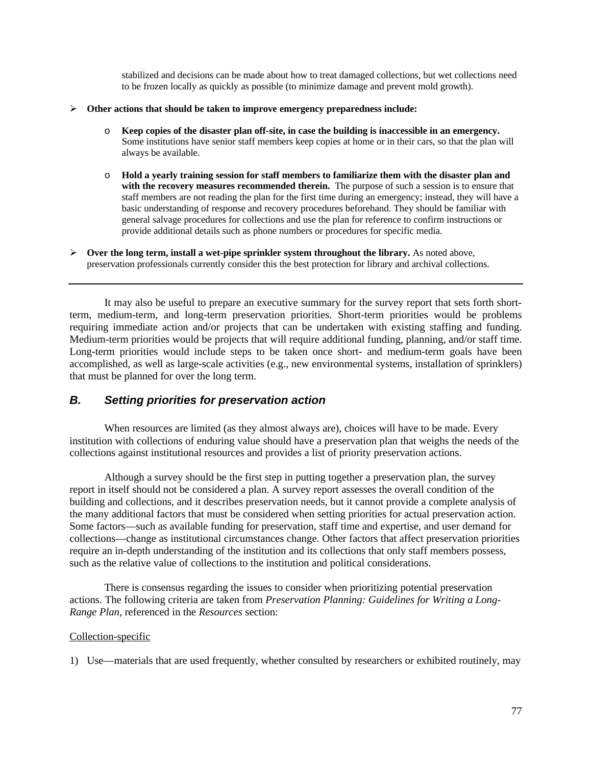stabilized and decisions can be made about how to treat damaged collections, but wet collections need to be frozen locally as quickly as possible (to minimize damage and prevent mold growth).

- ÿ **Other actions that should be taken to improve emergency preparedness include:**
	- o **Keep copies of the disaster plan off-site, in case the building is inaccessible in an emergency.** Some institutions have senior staff members keep copies at home or in their cars, so that the plan will always be available.
	- o **Hold a yearly training session for staff members to familiarize them with the disaster plan and with the recovery measures recommended therein.** The purpose of such a session is to ensure that staff members are not reading the plan for the first time during an emergency; instead, they will have a basic understanding of response and recovery procedures beforehand. They should be familiar with general salvage procedures for collections and use the plan for reference to confirm instructions or provide additional details such as phone numbers or procedures for specific media.
- ÿ **Over the long term, install a wet-pipe sprinkler system throughout the library.** As noted above, preservation professionals currently consider this the best protection for library and archival collections.

It may also be useful to prepare an executive summary for the survey report that sets forth shortterm, medium-term, and long-term preservation priorities. Short-term priorities would be problems requiring immediate action and/or projects that can be undertaken with existing staffing and funding. Medium-term priorities would be projects that will require additional funding, planning, and/or staff time. Long-term priorities would include steps to be taken once short- and medium-term goals have been accomplished, as well as large-scale activities (e.g., new environmental systems, installation of sprinklers) that must be planned for over the long term.

## *B. Setting priorities for preservation action*

When resources are limited (as they almost always are), choices will have to be made. Every institution with collections of enduring value should have a preservation plan that weighs the needs of the collections against institutional resources and provides a list of priority preservation actions.

Although a survey should be the first step in putting together a preservation plan, the survey report in itself should not be considered a plan. A survey report assesses the overall condition of the building and collections, and it describes preservation needs, but it cannot provide a complete analysis of the many additional factors that must be considered when setting priorities for actual preservation action. Some factors—such as available funding for preservation, staff time and expertise, and user demand for collections—change as institutional circumstances change. Other factors that affect preservation priorities require an in-depth understanding of the institution and its collections that only staff members possess, such as the relative value of collections to the institution and political considerations.

There is consensus regarding the issues to consider when prioritizing potential preservation actions. The following criteria are taken from *Preservation Planning: Guidelines for Writing a Long-Range Plan*, referenced in the *Resources* section:

### Collection-specific

1) Use—materials that are used frequently, whether consulted by researchers or exhibited routinely, may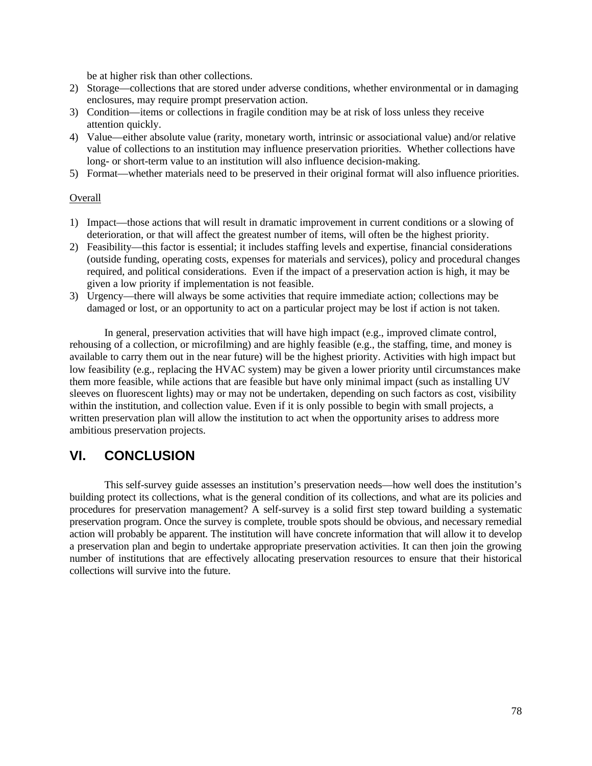be at higher risk than other collections.

- 2) Storage—collections that are stored under adverse conditions, whether environmental or in damaging enclosures, may require prompt preservation action.
- 3) Condition—items or collections in fragile condition may be at risk of loss unless they receive attention quickly.
- 4) Value—either absolute value (rarity, monetary worth, intrinsic or associational value) and/or relative value of collections to an institution may influence preservation priorities. Whether collections have long- or short-term value to an institution will also influence decision-making.
- 5) Format—whether materials need to be preserved in their original format will also influence priorities.

### **Overall**

- 1) Impact—those actions that will result in dramatic improvement in current conditions or a slowing of deterioration, or that will affect the greatest number of items, will often be the highest priority.
- 2) Feasibility—this factor is essential; it includes staffing levels and expertise, financial considerations (outside funding, operating costs, expenses for materials and services), policy and procedural changes required, and political considerations. Even if the impact of a preservation action is high, it may be given a low priority if implementation is not feasible.
- 3) Urgency—there will always be some activities that require immediate action; collections may be damaged or lost, or an opportunity to act on a particular project may be lost if action is not taken.

In general, preservation activities that will have high impact (e.g., improved climate control, rehousing of a collection, or microfilming) and are highly feasible (e.g., the staffing, time, and money is available to carry them out in the near future) will be the highest priority. Activities with high impact but low feasibility (e.g., replacing the HVAC system) may be given a lower priority until circumstances make them more feasible, while actions that are feasible but have only minimal impact (such as installing UV sleeves on fluorescent lights) may or may not be undertaken, depending on such factors as cost, visibility within the institution, and collection value. Even if it is only possible to begin with small projects, a written preservation plan will allow the institution to act when the opportunity arises to address more ambitious preservation projects.

## **VI. CONCLUSION**

This self-survey guide assesses an institution's preservation needs—how well does the institution's building protect its collections, what is the general condition of its collections, and what are its policies and procedures for preservation management? A self-survey is a solid first step toward building a systematic preservation program. Once the survey is complete, trouble spots should be obvious, and necessary remedial action will probably be apparent. The institution will have concrete information that will allow it to develop a preservation plan and begin to undertake appropriate preservation activities. It can then join the growing number of institutions that are effectively allocating preservation resources to ensure that their historical collections will survive into the future.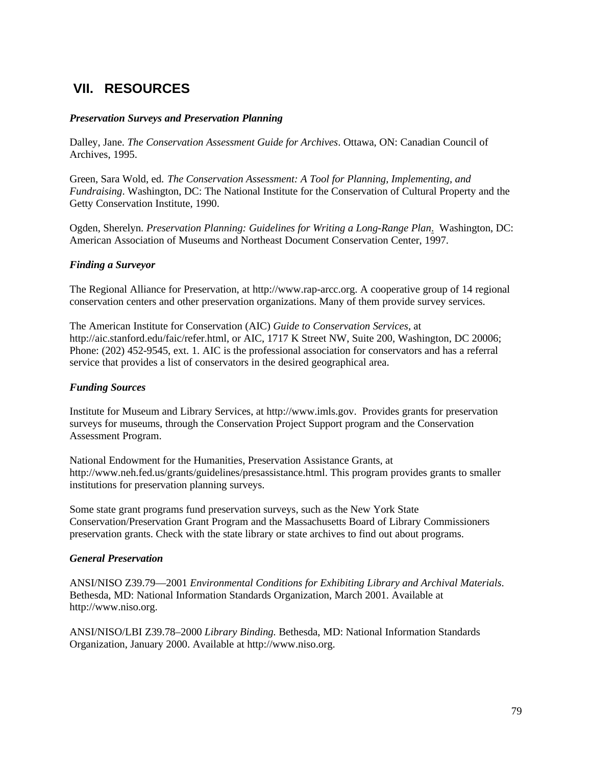# **VII. RESOURCES**

### *Preservation Surveys and Preservation Planning*

Dalley, Jane. *The Conservation Assessment Guide for Archives*. Ottawa, ON: Canadian Council of Archives, 1995.

Green, Sara Wold, ed. *The Conservation Assessment: A Tool for Planning, Implementing, and Fundraising*. Washington, DC: The National Institute for the Conservation of Cultural Property and the Getty Conservation Institute, 1990.

Ogden, Sherelyn. *Preservation Planning: Guidelines for Writing a Long-Range Plan*. Washington, DC: American Association of Museums and Northeast Document Conservation Center, 1997.

### *Finding a Surveyor*

The Regional Alliance for Preservation, at http://www.rap-arcc.org. A cooperative group of 14 regional conservation centers and other preservation organizations. Many of them provide survey services.

The American Institute for Conservation (AIC) *Guide to Conservation Services*, at http://aic.stanford.edu/faic/refer.html, or AIC, 1717 K Street NW, Suite 200, Washington, DC 20006; Phone: (202) 452-9545, ext. 1. AIC is the professional association for conservators and has a referral service that provides a list of conservators in the desired geographical area.

### *Funding Sources*

Institute for Museum and Library Services, at http://www.imls.gov. Provides grants for preservation surveys for museums, through the Conservation Project Support program and the Conservation Assessment Program.

National Endowment for the Humanities, Preservation Assistance Grants, at http://www.neh.fed.us/grants/guidelines/presassistance.html. This program provides grants to smaller institutions for preservation planning surveys.

Some state grant programs fund preservation surveys, such as the New York State Conservation/Preservation Grant Program and the Massachusetts Board of Library Commissioners preservation grants. Check with the state library or state archives to find out about programs.

### *General Preservation*

ANSI/NISO Z39.79—2001 *Environmental Conditions for Exhibiting Library and Archival Materials*. Bethesda, MD: National Information Standards Organization, March 2001. Available at http://www.niso.org.

ANSI/NISO/LBI Z39.78–2000 *Library Binding.* Bethesda, MD: National Information Standards Organization, January 2000. Available at http://www.niso.org.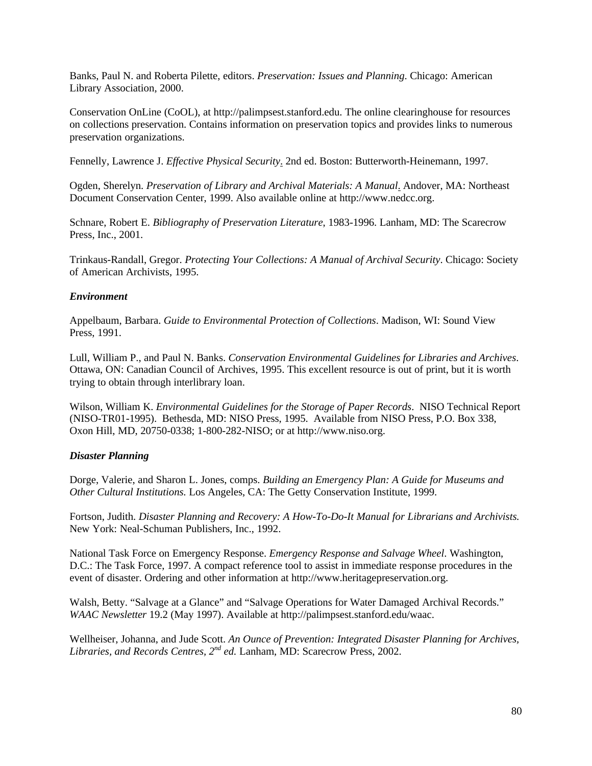Banks, Paul N. and Roberta Pilette, editors. *Preservation: Issues and Planning*. Chicago: American Library Association, 2000.

Conservation OnLine (CoOL), at http://palimpsest.stanford.edu. The online clearinghouse for resources on collections preservation. Contains information on preservation topics and provides links to numerous preservation organizations.

Fennelly, Lawrence J. *Effective Physical Security*. 2nd ed. Boston: Butterworth-Heinemann, 1997.

Ogden, Sherelyn. *Preservation of Library and Archival Materials: A Manual*. Andover, MA: Northeast Document Conservation Center, 1999. Also available online at http://www.nedcc.org.

Schnare, Robert E. *Bibliography of Preservation Literature*, 1983-1996. Lanham, MD: The Scarecrow Press, Inc., 2001.

Trinkaus-Randall, Gregor. *Protecting Your Collections: A Manual of Archival Security*. Chicago: Society of American Archivists, 1995.

### *Environment*

Appelbaum, Barbara. *Guide to Environmental Protection of Collections*. Madison, WI: Sound View Press, 1991.

Lull, William P., and Paul N. Banks. *Conservation Environmental Guidelines for Libraries and Archives*. Ottawa, ON: Canadian Council of Archives, 1995. This excellent resource is out of print, but it is worth trying to obtain through interlibrary loan.

Wilson, William K. *Environmental Guidelines for the Storage of Paper Records*. NISO Technical Report (NISO-TR01-1995). Bethesda, MD: NISO Press, 1995. Available from NISO Press, P.O. Box 338, Oxon Hill, MD, 20750-0338; 1-800-282-NISO; or at http://www.niso.org.

### *Disaster Planning*

Dorge, Valerie, and Sharon L. Jones, comps. *Building an Emergency Plan: A Guide for Museums and Other Cultural Institutions.* Los Angeles, CA: The Getty Conservation Institute, 1999.

Fortson, Judith. *Disaster Planning and Recovery: A How-To-Do-It Manual for Librarians and Archivists.* New York: Neal-Schuman Publishers, Inc., 1992.

National Task Force on Emergency Response. *Emergency Response and Salvage Wheel*. Washington, D.C.: The Task Force, 1997. A compact reference tool to assist in immediate response procedures in the event of disaster. Ordering and other information at http://www.heritagepreservation.org.

Walsh, Betty. "Salvage at a Glance" and "Salvage Operations for Water Damaged Archival Records." *WAAC Newsletter* 19.2 (May 1997). Available at http://palimpsest.stanford.edu/waac.

Wellheiser, Johanna, and Jude Scott. *An Ounce of Prevention: Integrated Disaster Planning for Archives, Libraries, and Records Centres, 2nd ed.* Lanham, MD: Scarecrow Press, 2002.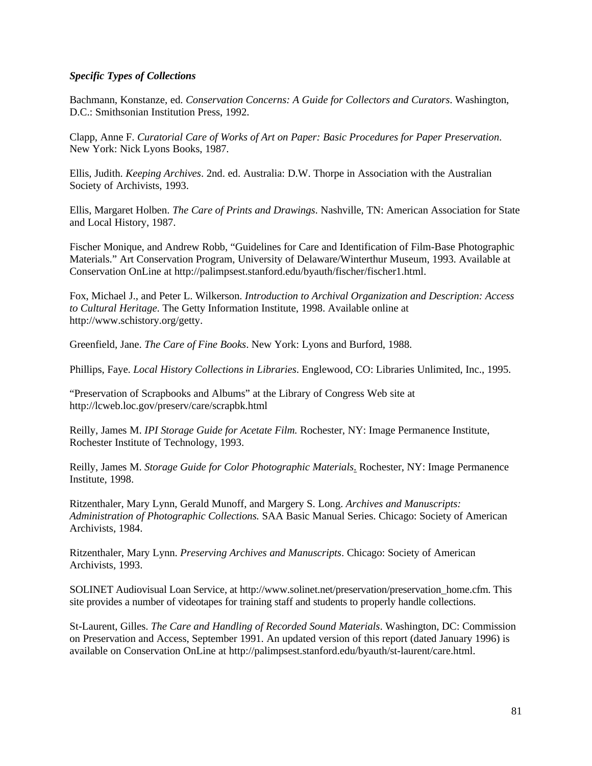### *Specific Types of Collections*

Bachmann, Konstanze, ed. *Conservation Concerns: A Guide for Collectors and Curators*. Washington, D.C.: Smithsonian Institution Press, 1992.

Clapp, Anne F. *Curatorial Care of Works of Art on Paper: Basic Procedures for Paper Preservation*. New York: Nick Lyons Books, 1987.

Ellis, Judith. *Keeping Archives*. 2nd. ed. Australia: D.W. Thorpe in Association with the Australian Society of Archivists, 1993.

Ellis, Margaret Holben. *The Care of Prints and Drawings*. Nashville, TN: American Association for State and Local History, 1987.

Fischer Monique, and Andrew Robb, "Guidelines for Care and Identification of Film-Base Photographic Materials." Art Conservation Program, University of Delaware/Winterthur Museum, 1993. Available at Conservation OnLine at http://palimpsest.stanford.edu/byauth/fischer/fischer1.html.

Fox, Michael J., and Peter L. Wilkerson. *Introduction to Archival Organization and Description: Access to Cultural Heritage*. The Getty Information Institute, 1998. Available online at http://www.schistory.org/getty.

Greenfield, Jane. *The Care of Fine Books*. New York: Lyons and Burford, 1988.

Phillips, Faye. *Local History Collections in Libraries*. Englewood, CO: Libraries Unlimited, Inc., 1995.

"Preservation of Scrapbooks and Albums" at the Library of Congress Web site at http://lcweb.loc.gov/preserv/care/scrapbk.html

Reilly, James M. *IPI Storage Guide for Acetate Film.* Rochester, NY: Image Permanence Institute, Rochester Institute of Technology, 1993.

Reilly, James M. *Storage Guide for Color Photographic Materials*. Rochester, NY: Image Permanence Institute, 1998.

Ritzenthaler, Mary Lynn, Gerald Munoff, and Margery S. Long. *Archives and Manuscripts: Administration of Photographic Collections.* SAA Basic Manual Series. Chicago: Society of American Archivists, 1984.

Ritzenthaler, Mary Lynn. *Preserving Archives and Manuscripts*. Chicago: Society of American Archivists, 1993.

SOLINET Audiovisual Loan Service, at http://www.solinet.net/preservation/preservation\_home.cfm. This site provides a number of videotapes for training staff and students to properly handle collections.

St-Laurent, Gilles. *The Care and Handling of Recorded Sound Materials*. Washington, DC: Commission on Preservation and Access, September 1991. An updated version of this report (dated January 1996) is available on Conservation OnLine at http://palimpsest.stanford.edu/byauth/st-laurent/care.html.